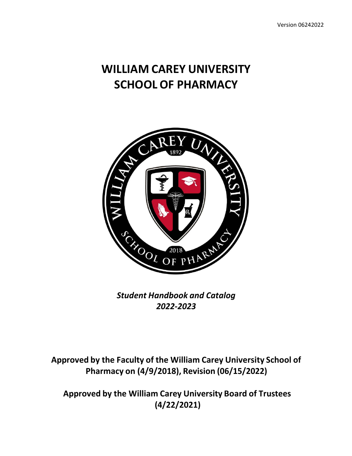# **WILLIAM CAREY UNIVERSITY SCHOOL OF PHARMACY**



*Student Handbook and Catalog 2022‐2023*

**Approved by the Faculty of the William Carey University School of Pharmacy on (4/9/2018), Revision (06/15/2022)**

**Approved by the William Carey University Board of Trustees (4/22/2021)**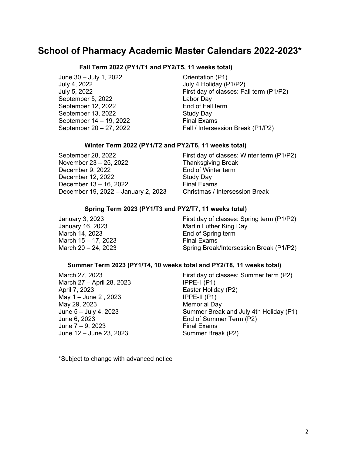# **School of Pharmacy Academic Master Calendars 2022-2023\***

#### **Fall Term 2022 (PY1/T1 and PY2/T5, 11 weeks total)**

June 30 – July 1, 2022 Orientation (P1) July 4, 2022 July 4 Holiday (P1/P2) September 5, 2022 Labor Day September 12, 2022 End of Fall term September 13, 2022 Study Day September  $14 - 19$ , 2022 Final Exams

July 5, 2022 First day of classes: Fall term (P1/P2) September 20 – 27, 2022 Fall / Intersession Break (P1/P2)

#### **Winter Term 2022 (PY1/T2 and PY2/T6, 11 weeks total)**

November 23 – 25, 2022 Thanksgiving Break December 9, 2022 End of Winter term December 12, 2022 Study Day December  $13 - 16$ , 2022 Final Exams December 19, 2022 – January 2, 2023 Christmas / Intersession Break

September 28, 2022 First day of classes: Winter term (P1/P2)

#### **Spring Term 2023 (PY1/T3 and PY2/T7, 11 weeks total)**

March 14, 2023 **End of Spring term** March  $15 - 17$ , 2023 Final Exams

January 3, 2023 **First day of classes: Spring term (P1/P2)** January 16, 2023 **Martin Luther King Day** March 20 – 24, 2023 Spring Break/Intersession Break (P1/P2)

#### **Summer Term 2023 (PY1/T4, 10 weeks total and PY2/T8, 11 weeks total)**

March 27 – April 28, 2023 IPPE-I (P1) April 7, 2023 **Easter Holiday (P2)** May 1 – June 2 , 2023 IPPE-II (P1) May 29, 2023 Memorial Day  $June 7 - 9, 2023$  Final Exams June 12 – June 23, 2023 Summer Break (P2)

March 27, 2023 First day of classes: Summer term (P2) June 5 – July 4, 2023 Summer Break and July 4th Holiday (P1) June 6, 2023 End of Summer Term (P2)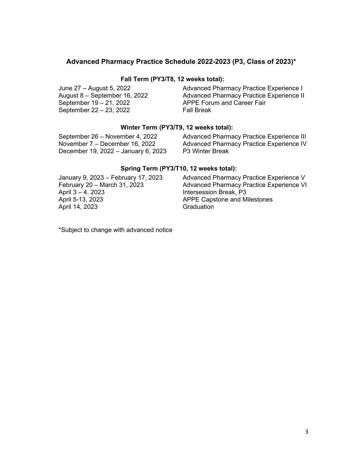### **Advanced Pharmacy Practice Schedule 2022-2023 (P3, Class of 2023)\***

#### **Fall Term (PY3/T8, 12 weeks total):**

| June 27 – August 5, 2022      | Advanced Pharmacy Practice Experience I  |
|-------------------------------|------------------------------------------|
| August 8 – September 16, 2022 | Advanced Pharmacy Practice Experience II |
| September 19 – 21, 2022       | APPE Forum and Career Fair               |
| September 22 – 23, 2022       | <b>Fall Break</b>                        |

### **Winter Term (PY3/T9, 12 weeks total):**

| September 26 – November 4, 2022     | Advanced Pharmacy Practice Experience III |
|-------------------------------------|-------------------------------------------|
| November $7 -$ December 16, 2022    | Advanced Pharmacy Practice Experience IV  |
| December 19, 2022 – January 6, 2023 | <b>P3 Winter Break</b>                    |

#### **Spring Term (PY3/T10, 12 weeks total):**

| January 9, 2023 – February 17, 2023 | Advanced Pharmacy Practice Experience V  |
|-------------------------------------|------------------------------------------|
| February 20 - March 31, 2023        | Advanced Pharmacy Practice Experience VI |
| April $3 - 4$ , 2023                | Intersession Break, P3                   |
| April 5-13, 2023                    | <b>APPE Capstone and Milestones</b>      |
| April 14, 2023                      | Graduation                               |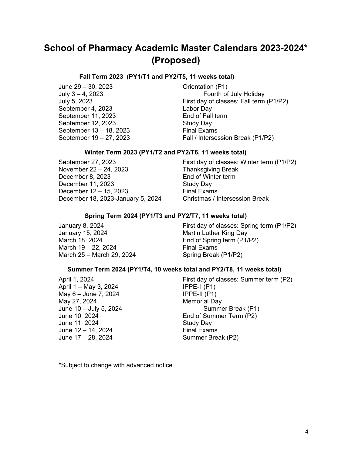# **School of Pharmacy Academic Master Calendars 2023-2024\* (Proposed)**

#### **Fall Term 2023 (PY1/T1 and PY2/T5, 11 weeks total)**

June 29 – 30, 2023 Orientation (P1) September 4, 2023 Labor Day September 11, 2023 End of Fall term September 12, 2023 Study Day September 13 – 18, 2023 Final Exams

Fourth of July Holiday July 5, 2023 First day of classes: Fall term (P1/P2) September 19 – 27, 2023 Fall / Intersession Break (P1/P2)

#### **Winter Term 2023 (PY1/T2 and PY2/T6, 11 weeks total)**

November 22 – 24, 2023 Thanksgiving Break December 8, 2023 End of Winter term December 11, 2023 Study Day December  $12 - 15$ , 2023 Final Exams December 18, 2023-January 5, 2024 Christmas / Intersession Break

September 27, 2023 **First day of classes: Winter term (P1/P2)** 

#### **Spring Term 2024 (PY1/T3 and PY2/T7, 11 weeks total)**

January 15, 2024 Martin Luther King Day March 18, 2024 **End of Spring term (P1/P2)** March  $19 - 22$ , 2024 Final Exams March 25 – March 29, 2024 Spring Break (P1/P2)

January 8, 2024 First day of classes: Spring term (P1/P2)

#### **Summer Term 2024 (PY1/T4, 10 weeks total and PY2/T8, 11 weeks total)**

April 1 – May 3, 2024 IPPE-I (P1)  $May 6 - June 7, 2024$  IPPE-II (P1) May 27, 2024 **Memorial Day** June 11, 2024 Study Day June 12 – 14, 2024 Final Exams June 17 – 28, 2024 Summer Break (P2)

April 1, 2024 **First day of classes: Summer term (P2)** June 10 – July 5, 2024 Summer Break (P1) June 10, 2024 End of Summer Term (P2)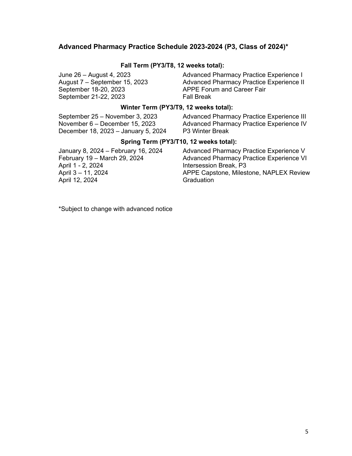#### **Advanced Pharmacy Practice Schedule 2023-2024 (P3, Class of 2024)\***

#### **Fall Term (PY3/T8, 12 weeks total):**

September 18-20, 2023 APPE Forum and Career Fair September 21-22, 2023 Fall Break

June 26 – August 4, 2023 Advanced Pharmacy Practice Experience I Advanced Pharmacy Practice Experience II

#### **Winter Term (PY3/T9, 12 weeks total):**

December 18, 2023 – January 5, 2024 P3 Winter Break

September 25 – November 3, 2023 Advanced Pharmacy Practice Experience III November 6 – December 15, 2023 Advanced Pharmacy Practice Experience IV

#### **Spring Term (PY3/T10, 12 weeks total):**

April 12, 2024 Graduation

January 8, 2024 – February 16, 2024 Advanced Pharmacy Practice Experience V<br>February 19 – March 29, 2024 Advanced Pharmacy Practice Experience VI February 19 – March 29, 2024 Advanced Pharmacy Practice Experience VI Intersession Break, P3 April 3 – 11, 2024 APPE Capstone, Milestone, NAPLEX Review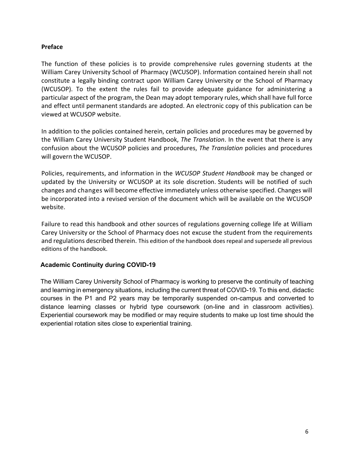#### **Preface**

The function of these policies is to provide comprehensive rules governing students at the William Carey University School of Pharmacy (WCUSOP). Information contained herein shall not constitute a legally binding contract upon William Carey University or the School of Pharmacy (WCUSOP). To the extent the rules fail to provide adequate guidance for administering a particular aspect of the program, the Dean may adopt temporary rules, which shall have full force and effect until permanent standards are adopted. An electronic copy of this publication can be viewed at WCUSOP website.

In addition to the policies contained herein, certain policies and procedures may be governed by the William Carey University Student Handbook, *The Translation*. In the event that there is any confusion about the WCUSOP policies and procedures, *The Translation* policies and procedures will govern the WCUSOP.

Policies, requirements, and information in the *WCUSOP Student Handbook* may be changed or updated by the University or WCUSOP at its sole discretion. Students will be notified of such changes and changes will become effective immediately unless otherwise specified. Changes will be incorporated into a revised version of the document which will be available on the WCUSOP website.

Failure to read this handbook and other sources of regulations governing college life at William Carey University or the School of Pharmacy does not excuse the student from the requirements and regulations described therein. This edition of the handbook does repeal and supersede all previous editions of the handbook.

#### **Academic Continuity during COVID-19**

The William Carey University School of Pharmacy is working to preserve the continuity of teaching and learning in emergency situations, including the current threat of COVID-19. To this end, didactic courses in the P1 and P2 years may be temporarily suspended on-campus and converted to distance learning classes or hybrid type coursework (on-line and in classroom activities). Experiential coursework may be modified or may require students to make up lost time should the experiential rotation sites close to experiential training.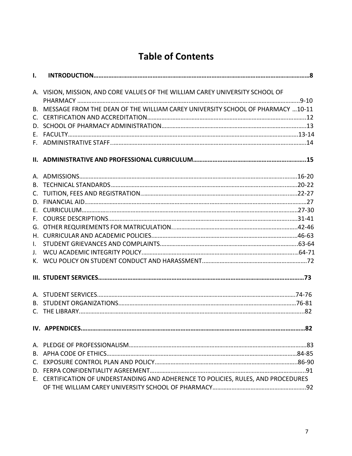# **Table of Contents**

|              | A. VISION, MISSION, AND CORE VALUES OF THE WILLIAM CAREY UNIVERSITY SCHOOL OF      |
|--------------|------------------------------------------------------------------------------------|
|              |                                                                                    |
|              | B. MESSAGE FROM THE DEAN OF THE WILLIAM CAREY UNIVERSITY SCHOOL OF PHARMACY 10-11  |
|              |                                                                                    |
|              |                                                                                    |
|              |                                                                                    |
|              |                                                                                    |
|              |                                                                                    |
|              |                                                                                    |
|              |                                                                                    |
|              |                                                                                    |
|              |                                                                                    |
|              |                                                                                    |
|              |                                                                                    |
|              |                                                                                    |
|              |                                                                                    |
| $\mathbf{L}$ |                                                                                    |
|              |                                                                                    |
|              |                                                                                    |
|              |                                                                                    |
|              |                                                                                    |
|              |                                                                                    |
|              |                                                                                    |
|              |                                                                                    |
|              |                                                                                    |
|              |                                                                                    |
|              |                                                                                    |
|              |                                                                                    |
|              | E. CERTIFICATION OF UNDERSTANDING AND ADHERENCE TO POLICIES, RULES, AND PROCEDURES |
|              |                                                                                    |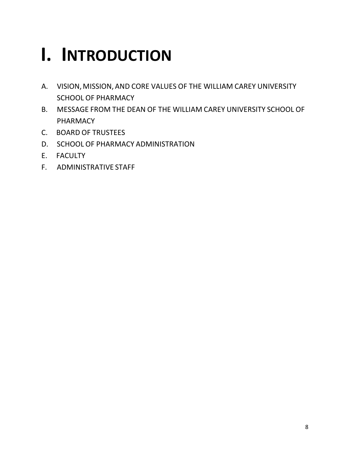# **I. INTRODUCTION**

- A. VISION, MISSION, AND CORE VALUES OF THE WILLIAM CAREY UNIVERSITY SCHOOL OF PHARMACY
- B. MESSAGE FROM THE DEAN OF THE WILLIAM CAREY UNIVERSITY SCHOOL OF PHARMACY
- C. BOARD OF TRUSTEES
- D. SCHOOL OF PHARMACY ADMINISTRATION
- E. FACULTY
- F. ADMINISTRATIVE STAFF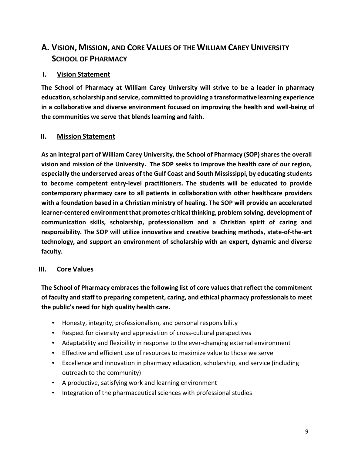# **A. VISION, MISSION, AND CORE VALUES OF THE WILLIAM CAREY UNIVERSITY SCHOOL OF PHARMACY**

### **I. Vision Statement**

**The School of Pharmacy at William Carey University will strive to be a leader in pharmacy education, scholarship and service, committed to providing a transformative learning experience in a collaborative and diverse environment focused on improving the health and well‐being of the communities we serve that blends learning and faith.**

### **II. Mission Statement**

**As an integral part of William Carey University, the School of Pharmacy (SOP) shares the overall vision and mission of the University. The SOP seeks to improve the health care of our region, especially the underserved areas of the Gulf Coast and South Mississippi, by educating students to become competent entry‐level practitioners. The students will be educated to provide contemporary pharmacy care to all patients in collaboration with other healthcare providers with a foundation based in a Christian ministry of healing. The SOP will provide an accelerated learner‐centered environment that promotes critical thinking, problem solving, development of communication skills, scholarship, professionalism and a Christian spirit of caring and responsibility. The SOP will utilize innovative and creative teaching methods, state‐of‐the‐art technology, and support an environment of scholarship with an expert, dynamic and diverse faculty.**

### **III. Core Values**

**The School of Pharmacy embraces the following list of core values that reflect the commitment of faculty and staff to preparing competent, caring, and ethical pharmacy professionals to meet the public's need for high quality health care.**

- Honesty, integrity, professionalism, and personal responsibility
- Respect for diversity and appreciation of cross-cultural perspectives
- Adaptability and flexibility in response to the ever-changing external environment
- Effective and efficient use of resources to maximize value to those we serve
- Excellence and innovation in pharmacy education, scholarship, and service (including outreach to the community)
- A productive, satisfying work and learning environment
- Integration of the pharmaceutical sciences with professional studies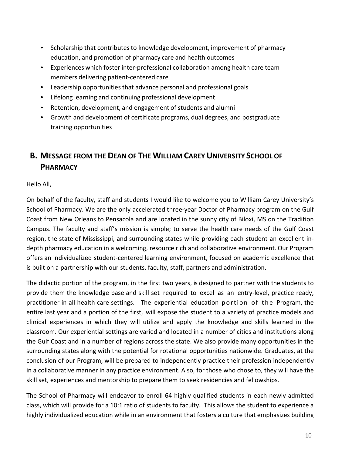- Scholarship that contributes to knowledge development, improvement of pharmacy education, and promotion of pharmacy care and health outcomes
- Experiences which foster inter-professional collaboration among health care team members delivering patient‐centered care
- Leadership opportunities that advance personal and professional goals
- Lifelong learning and continuing professional development
- Retention, development, and engagement of students and alumni
- Growth and development of certificate programs, dual degrees, and postgraduate training opportunities

# **B. MESSAGE FROM THE DEAN OF THE WILLIAM CAREY UNIVERSITY SCHOOL OF PHARMACY**

Hello All,

On behalf of the faculty, staff and students I would like to welcome you to William Carey University's School of Pharmacy. We are the only accelerated three‐year Doctor of Pharmacy program on the Gulf Coast from New Orleans to Pensacola and are located in the sunny city of Biloxi, MS on the Tradition Campus. The faculty and staff's mission is simple; to serve the health care needs of the Gulf Coast region, the state of Mississippi, and surrounding states while providing each student an excellent indepth pharmacy education in a welcoming, resource rich and collaborative environment. Our Program offers an individualized student‐centered learning environment, focused on academic excellence that is built on a partnership with our students, faculty, staff, partners and administration.

The didactic portion of the program, in the first two years, is designed to partner with the students to provide them the knowledge base and skill set required to excel as an entry‐level, practice ready, practitioner in all health care settings. The experiential education portion of the Program, the entire last year and a portion of the first, will expose the student to a variety of practice models and clinical experiences in which they will utilize and apply the knowledge and skills learned in the classroom. Our experiential settings are varied and located in a number of cities and institutions along the Gulf Coast and in a number of regions across the state. We also provide many opportunities in the surrounding states along with the potential for rotational opportunities nationwide. Graduates, at the conclusion of our Program, will be prepared to independently practice their profession independently in a collaborative manner in any practice environment. Also, for those who chose to, they will have the skill set, experiences and mentorship to prepare them to seek residencies and fellowships.

The School of Pharmacy will endeavor to enroll 64 highly qualified students in each newly admitted class, which will provide for a 10:1 ratio of students to faculty. This allows the student to experience a highly individualized education while in an environment that fosters a culture that emphasizes building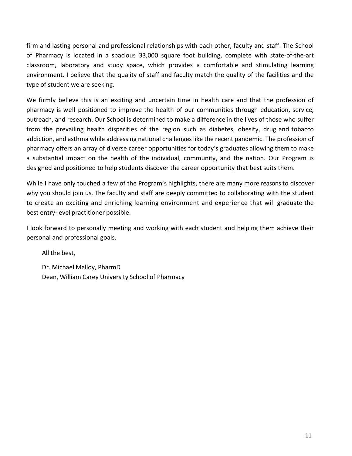firm and lasting personal and professional relationships with each other, faculty and staff. The School of Pharmacy is located in a spacious 33,000 square foot building, complete with state‐of‐the‐art classroom, laboratory and study space, which provides a comfortable and stimulating learning environment. I believe that the quality of staff and faculty match the quality of the facilities and the type of student we are seeking.

We firmly believe this is an exciting and uncertain time in health care and that the profession of pharmacy is well positioned to improve the health of our communities through education, service, outreach, and research. Our School is determined to make a difference in the lives of those who suffer from the prevailing health disparities of the region such as diabetes, obesity, drug and tobacco addiction, and asthma while addressing national challenges like the recent pandemic. The profession of pharmacy offers an array of diverse career opportunities for today's graduates allowing them to make a substantial impact on the health of the individual, community, and the nation. Our Program is designed and positioned to help students discover the career opportunity that best suits them.

While I have only touched a few of the Program's highlights, there are many more reasons to discover why you should join us. The faculty and staff are deeply committed to collaborating with the student to create an exciting and enriching learning environment and experience that will graduate the best entry‐level practitioner possible.

I look forward to personally meeting and working with each student and helping them achieve their personal and professional goals.

All the best,

Dr. Michael Malloy, PharmD Dean, William Carey University School of Pharmacy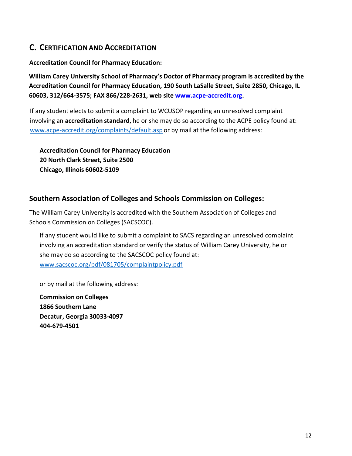# **C. CERTIFICATION AND ACCREDITATION**

#### **Accreditation Council for Pharmacy Education:**

**William Carey University School of Pharmacy's Doctor of Pharmacy program is accredited by the Accreditation Council for Pharmacy Education, 190 South LaSalle Street, Suite 2850, Chicago, IL 60603, 312/664‐3575; FAX 866/228‐2631, web site www.acpe‐accredit.org.**

If any student elects to submit a complaint to WCUSOP regarding an unresolved complaint involving an **accreditation standard**, he or she may do so according to the ACPE policy found at: www.acpe-accredit.org/complaints/default.asp or by mail at the following address:

**Accreditation Council for Pharmacy Education 20 North Clark Street, Suite 2500 Chicago, Illinois 60602‐5109**

### **Southern Association of Colleges and Schools Commission on Colleges:**

The William Carey University is accredited with the Southern Association of Colleges and Schools Commission on Colleges (SACSCOC).

If any student would like to submit a complaint to SACS regarding an unresolved complaint involving an accreditation standard or verify the status of William Carey University, he or she may do so according to the SACSCOC policy found at: www.sacscoc.org/pdf/081705/complaintpolicy.pdf

or by mail at the following address:

**Commission on Colleges 1866 Southern Lane Decatur, Georgia 30033‐4097 404‐679‐4501**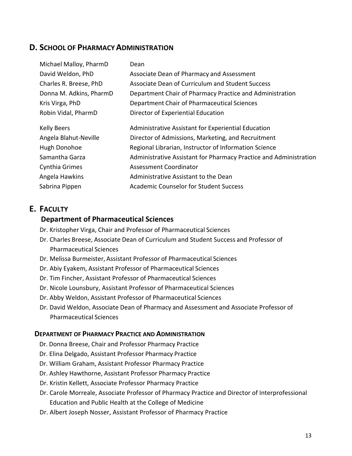## **D. SCHOOL OF PHARMACY ADMINISTRATION**

| Michael Malloy, PharmD  | Dean                                                              |
|-------------------------|-------------------------------------------------------------------|
| David Weldon, PhD       | Associate Dean of Pharmacy and Assessment                         |
| Charles R. Breese, PhD  | Associate Dean of Curriculum and Student Success                  |
| Donna M. Adkins, PharmD | Department Chair of Pharmacy Practice and Administration          |
| Kris Virga, PhD         | Department Chair of Pharmaceutical Sciences                       |
| Robin Vidal, PharmD     | Director of Experiential Education                                |
| <b>Kelly Beers</b>      | Administrative Assistant for Experiential Education               |
| Angela Blahut-Neville   | Director of Admissions, Marketing, and Recruitment                |
| Hugh Donohoe            | Regional Librarian, Instructor of Information Science             |
| Samantha Garza          | Administrative Assistant for Pharmacy Practice and Administration |
| Cynthia Grimes          | <b>Assessment Coordinator</b>                                     |
| Angela Hawkins          | Administrative Assistant to the Dean                              |
| Sabrina Pippen          | <b>Academic Counselor for Student Success</b>                     |

# **E. FACULTY**

#### **Department of Pharmaceutical Sciences**

- Dr. Kristopher Virga, Chair and Professor of Pharmaceutical Sciences
- Dr. Charles Breese, Associate Dean of Curriculum and Student Success and Professor of Pharmaceutical Sciences
- Dr. Melissa Burmeister, Assistant Professor of Pharmaceutical Sciences
- Dr. Abiy Eyakem, Assistant Professor of Pharmaceutical Sciences
- Dr. Tim Fincher, Assistant Professor of Pharmaceutical Sciences
- Dr. Nicole Lounsbury, Assistant Professor of Pharmaceutical Sciences
- Dr. Abby Weldon, Assistant Professor of Pharmaceutical Sciences
- Dr. David Weldon, Associate Dean of Pharmacy and Assessment and Associate Professor of Pharmaceutical Sciences

#### **DEPARTMENT OF PHARMACY PRACTICE AND ADMINISTRATION**

- Dr. Donna Breese, Chair and Professor Pharmacy Practice
- Dr. Elina Delgado, Assistant Professor Pharmacy Practice
- Dr. William Graham, Assistant Professor Pharmacy Practice
- Dr. Ashley Hawthorne, Assistant Professor Pharmacy Practice
- Dr. Kristin Kellett, Associate Professor Pharmacy Practice
- Dr. Carole Morreale, Associate Professor of Pharmacy Practice and Director of Interprofessional Education and Public Health at the College of Medicine
- Dr. Albert Joseph Nosser, Assistant Professor of Pharmacy Practice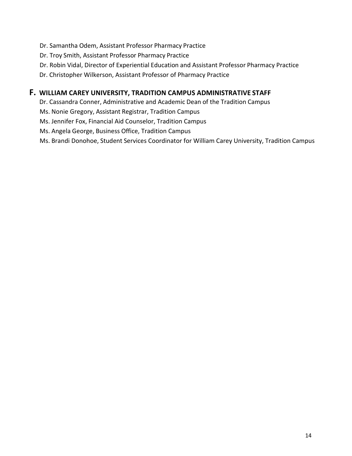- Dr. Samantha Odem, Assistant Professor Pharmacy Practice
- Dr. Troy Smith, Assistant Professor Pharmacy Practice
- Dr. Robin Vidal, Director of Experiential Education and Assistant Professor Pharmacy Practice
- Dr. Christopher Wilkerson, Assistant Professor of Pharmacy Practice

### **F. WILLIAM CAREY UNIVERSITY, TRADITION CAMPUS ADMINISTRATIVE STAFF**

Dr. Cassandra Conner, Administrative and Academic Dean of the Tradition Campus

Ms. Nonie Gregory, Assistant Registrar, Tradition Campus

Ms. Jennifer Fox, Financial Aid Counselor, Tradition Campus

Ms. Angela George, Business Office, Tradition Campus

Ms. Brandi Donohoe, Student Services Coordinator for William Carey University, Tradition Campus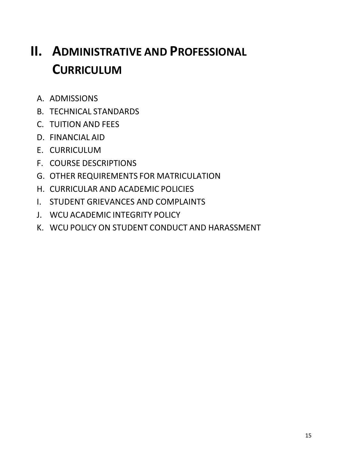# **II. ADMINISTRATIVE AND PROFESSIONAL CURRICULUM**

- A. ADMISSIONS
- B. TECHNICAL STANDARDS
- C. TUITION AND FEES
- D. FINANCIAL AID
- E. CURRICULUM
- F. COURSE DESCRIPTIONS
- G. OTHER REQUIREMENTS FOR MATRICULATION
- H. CURRICULAR AND ACADEMIC POLICIES
- I. STUDENT GRIEVANCES AND COMPLAINTS
- J. WCU ACADEMIC INTEGRITY POLICY
- K. WCU POLICY ON STUDENT CONDUCT AND HARASSMENT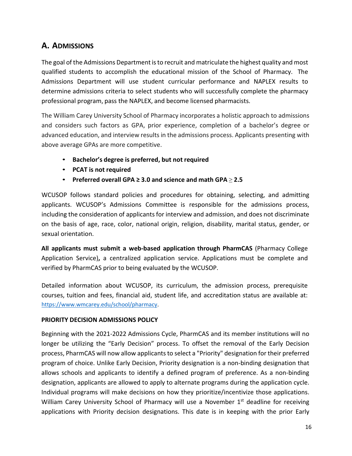# **A. ADMISSIONS**

The goal of the Admissions Department is to recruit and matriculate the highest quality and most qualified students to accomplish the educational mission of the School of Pharmacy. The Admissions Department will use student curricular performance and NAPLEX results to determine admissions criteria to select students who will successfully complete the pharmacy professional program, pass the NAPLEX, and become licensed pharmacists.

The William Carey University School of Pharmacy incorporates a holistic approach to admissions and considers such factors as GPA, prior experience, completion of a bachelor's degree or advanced education, and interview results in the admissions process. Applicants presenting with above average GPAs are more competitive.

- **Bachelor's degree is preferred, but not required**
- **PCAT is not required**
- **Preferred overall GPA ≥ 3.0 and science and math GPA** ≥ **2.5**

WCUSOP follows standard policies and procedures for obtaining, selecting, and admitting applicants. WCUSOP's Admissions Committee is responsible for the admissions process, including the consideration of applicants for interview and admission, and does not discriminate on the basis of age, race, color, national origin, religion, disability, marital status, gender, or sexual orientation.

**All applicants must submit a web‐based application through PharmCAS** (Pharmacy College Application Service)**,**  a centralized application service. Applications must be complete and verified by PharmCAS prior to being evaluated by the WCUSOP.

Detailed information about WCUSOP, its curriculum, the admission process, prerequisite courses, tuition and fees, financial aid, student life, and accreditation status are available at: https://www.wmcarey.edu/school/pharmacy.

#### **PRIORITY DECISION ADMISSIONS POLICY**

Beginning with the 2021‐2022 Admissions Cycle, PharmCAS and its member institutions will no longer be utilizing the "Early Decision" process. To offset the removal of the Early Decision process, PharmCAS will now allow applicants to select a "Priority" designation for their preferred program of choice. Unlike Early Decision, Priority designation is a non‐binding designation that allows schools and applicants to identify a defined program of preference. As a non-binding designation, applicants are allowed to apply to alternate programs during the application cycle. Individual programs will make decisions on how they prioritize/incentivize those applications. William Carey University School of Pharmacy will use a November 1<sup>st</sup> deadline for receiving applications with Priority decision designations. This date is in keeping with the prior Early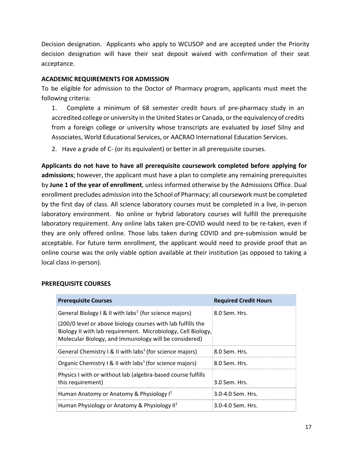Decision designation. Applicants who apply to WCUSOP and are accepted under the Priority decision designation will have their seat deposit waived with confirmation of their seat acceptance.

#### **ACADEMIC REQUIREMENTS FOR ADMISSION**

To be eligible for admission to the Doctor of Pharmacy program, applicants must meet the following criteria:

1. Complete a minimum of 68 semester credit hours of pre-pharmacy study in an accredited college or university in the United States or Canada, or the equivalency of credits from a foreign college or university whose transcripts are evaluated by Josef Silny and Associates, World Educational Services, or AACRAO International Education Services.

2. Have a grade of C- (or its equivalent) or better in all prerequisite courses.

**Applicants do not have to have all prerequisite coursework completed before applying for admissions**; however, the applicant must have a plan to complete any remaining prerequisites by **June 1 of the year of enrollment**, unless informed otherwise by the Admissions Office. Dual enrollment precludes admission into the School of Pharmacy; all coursework must be completed by the first day of class. All science laboratory courses must be completed in a live, in‐person laboratory environment. No online or hybrid laboratory courses will fulfill the prerequisite laboratory requirement. Any online labs taken pre‐COVID would need to be re‐taken, even if they are only offered online. Those labs taken during COVID and pre-submission would be acceptable. For future term enrollment, the applicant would need to provide proof that an online course was the only viable option available at their institution (as opposed to taking a local class in‐person).

#### **PREREQUISITE COURSES**

| <b>Prerequisite Courses</b>                                                                                                                                                          | <b>Required Credit Hours</b> |
|--------------------------------------------------------------------------------------------------------------------------------------------------------------------------------------|------------------------------|
| General Biology I & II with labs <sup>1</sup> (for science majors)                                                                                                                   | 8.0 Sem. Hrs.                |
| (200/0 level or above biology courses with lab fulfills the<br>Biology II with lab requirement. Microbiology, Cell Biology,<br>Molecular Biology, and Immunology will be considered) |                              |
| General Chemistry I & II with labs <sup>1</sup> (for science majors)                                                                                                                 | 8.0 Sem. Hrs.                |
| Organic Chemistry $\vert \mathbf{R} \vert$ II with labs <sup>1</sup> (for science majors)                                                                                            | 8.0 Sem. Hrs.                |
| Physics I with or without lab (algebra-based course fulfills<br>this requirement)                                                                                                    | 3.0 Sem. Hrs.                |
| Human Anatomy or Anatomy & Physiology I <sup>1</sup>                                                                                                                                 | 3.0-4.0 Sem. Hrs.            |
| Human Physiology or Anatomy & Physiology $II1$                                                                                                                                       | 3.0-4.0 Sem. Hrs.            |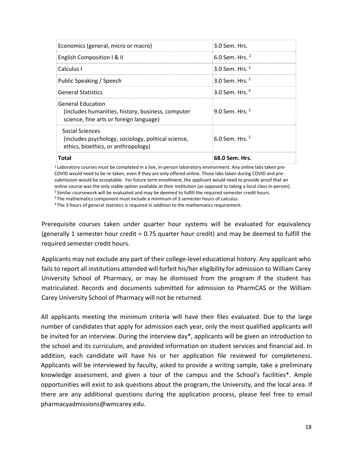| $6.0$ Sem. Hrs. $2$ |  |
|---------------------|--|
| 9.0 Sem. Hrs. $2$   |  |
| 3.0 Sem. Hrs. $4$   |  |
| 3.0 Sem. Hrs. $2$   |  |
| 3.0 Sem. Hrs. $3$   |  |
| 6.0 Sem. Hrs. $^2$  |  |
| 3.0 Sem. Hrs.       |  |
|                     |  |

<sup>1</sup> Laboratory courses must be completed in a live, in-person laboratory environment. Any online labs taken pre-COVID would need to be re‐taken, even if they are only offered online. Those labs taken during COVID and pre‐ submission would be acceptable. For future term enrollment, the applicant would need to provide proof that an online course was the only viable option available at their institution (as opposed to taking a local class in‐person).

<sup>2</sup> Similar coursework will be evaluated and may be deemed to fulfill the required semester credit hours.

3 The mathematics component must include a minimum of 3 semester hours of calculus.

4 The 3 hours of general statistics is required in addition to the mathematics requirement.

Prerequisite courses taken under quarter hour systems will be evaluated for equivalency (generally 1 semester hour credit = 0.75 quarter hour credit) and may be deemed to fulfill the required semester credit hours.

Applicants may not exclude any part of their college‐level educational history. Any applicant who fails to report all institutions attended will forfeit his/her eligibility for admission to William Carey University School of Pharmacy, or may be dismissed from the program if the student has matriculated. Records and documents submitted for admission to PharmCAS or the William Carey University School of Pharmacy will not be returned.

All applicants meeting the minimum criteria will have their files evaluated. Due to the large number of candidates that apply for admission each year, only the most qualified applicants will be invited for an interview. During the interview day\*, applicants will be given an introduction to the school and its curriculum, and provided information on student services and financial aid. In addition, each candidate will have his or her application file reviewed for completeness. Applicants will be interviewed by faculty, asked to provide a writing sample, take a preliminary knowledge assessment, and given a tour of the campus and the School's facilities\*. Ample opportunities will exist to ask questions about the program, the University, and the local area. If there are any additional questions during the application process, please feel free to email pharmacyadmissions@wmcarey.edu.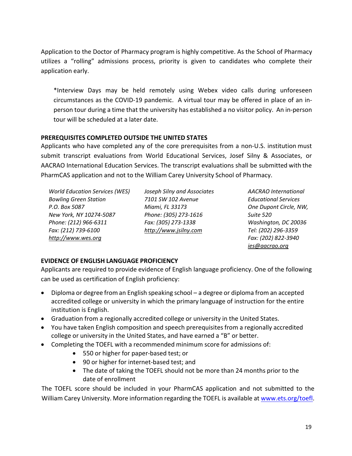Application to the Doctor of Pharmacy program is highly competitive. As the School of Pharmacy utilizes a "rolling" admissions process, priority is given to candidates who complete their application early.

\*Interview Days may be held remotely using Webex video calls during unforeseen circumstances as the COVID‐19 pandemic. A virtual tour may be offered in place of an in‐ person tour during a time that the university has established a no visitor policy. An in‐person tour will be scheduled at a later date.

#### **PREREQUISITES COMPLETED OUTSIDE THE UNITED STATES**

Applicants who have completed any of the core prerequisites from a non‐U.S. institution must submit transcript evaluations from World Educational Services, Josef Silny & Associates, or AACRAO International Education Services. The transcript evaluations shall be submitted with the PharmCAS application and not to the William Carey University School of Pharmacy.

*World Education Services (WES) Joseph Silny and Associates AACRAO International Bowling Green Station 7101 SW 102 Avenue Educational Services P.O. Box 5087 Miami, FL 33173 One Dupont Circle, NW, New York, NY 10274‐5087 Phone: (305) 273‐1616 Suite 520 Phone: (212) 966‐6311 Fax: (305) 273‐1338 Washington, DC 20036 Fax: (212) 739‐6100 http://www.jsilny.com Tel: (202) 296‐3359 http://www.wes.org Fax: (202) 822‐3940*

*ies@aacrao.org*

### **EVIDENCE OF ENGLISH LANGUAGE PROFICIENCY**

Applicants are required to provide evidence of English language proficiency. One of the following can be used as certification of English proficiency:

- Diploma or degree from an English speaking school a degree or diploma from an accepted accredited college or university in which the primary language of instruction for the entire institution is English.
- Graduation from a regionally accredited college or university in the United States.
- You have taken English composition and speech prerequisites from a regionally accredited college or university in the United States, and have earned a "B" or better.
- Completing the TOEFL with a recommended minimum score for admissions of:
	- 550 or higher for paper-based test; or
	- 90 or higher for internet-based test; and
	- The date of taking the TOEFL should not be more than 24 months prior to the date of enrollment

The TOEFL score should be included in your PharmCAS application and not submitted to the William Carey University. More information regarding the TOEFL is available at www.ets.org/toefl.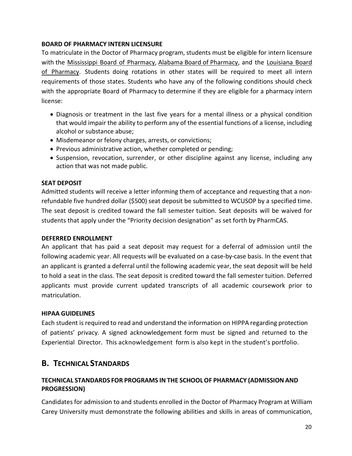#### **BOARD OF PHARMACY INTERN LICENSURE**

To matriculate in the Doctor of Pharmacy program, students must be eligible for intern licensure with the Mississippi Board of Pharmacy, Alabama Board of Pharmacy, and the Louisiana Board of Pharmacy. Students doing rotations in other states will be required to meet all intern requirements of those states. Students who have any of the following conditions should check with the appropriate Board of Pharmacy to determine if they are eligible for a pharmacy intern license:

- Diagnosis or treatment in the last five years for a mental illness or a physical condition that would impair the ability to perform any of the essential functions of a license, including alcohol or substance abuse;
- Misdemeanor or felony charges, arrests, or convictions;
- Previous administrative action, whether completed or pending;
- Suspension, revocation, surrender, or other discipline against any license, including any action that was not made public.

#### **SEAT DEPOSIT**

Admitted students will receive a letter informing them of acceptance and requesting that a non‐ refundable five hundred dollar (\$500) seat deposit be submitted to WCUSOP by a specified time. The seat deposit is credited toward the fall semester tuition. Seat deposits will be waived for students that apply under the "Priority decision designation" as set forth by PharmCAS.

#### **DEFERRED ENROLLMENT**

An applicant that has paid a seat deposit may request for a deferral of admission until the following academic year. All requests will be evaluated on a case‐by‐case basis. In the event that an applicant is granted a deferral until the following academic year, the seat deposit will be held to hold a seat in the class. The seat deposit is credited toward the fall semester tuition. Deferred applicants must provide current updated transcripts of all academic coursework prior to matriculation.

#### **HIPAA GUIDELINES**

Each student is required to read and understand the information on HIPPA regarding protection of patients' privacy. A signed acknowledgement form must be signed and returned to the Experiential Director. This acknowledgement form is also kept in the student's portfolio.

## **B. TECHNICAL STANDARDS**

### **TECHNICAL STANDARDS FOR PROGRAMS IN THE SCHOOL OF PHARMACY (ADMISSION AND PROGRESSION)**

Candidates for admission to and students enrolled in the Doctor of Pharmacy Program at William Carey University must demonstrate the following abilities and skills in areas of communication,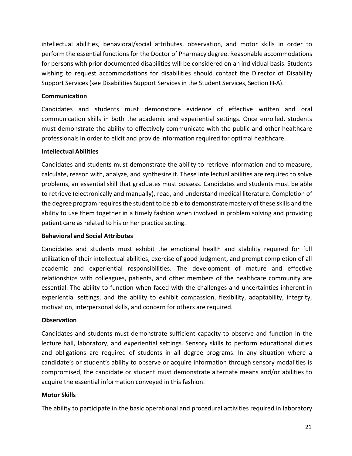intellectual abilities, behavioral/social attributes, observation, and motor skills in order to perform the essential functions for the Doctor of Pharmacy degree. Reasonable accommodations for persons with prior documented disabilities will be considered on an individual basis. Students wishing to request accommodations for disabilities should contact the Director of Disability Support Services (see Disabilities Support Services in the Student Services, Section III‐A).

#### **Communication**

Candidates and students must demonstrate evidence of effective written and oral communication skills in both the academic and experiential settings. Once enrolled, students must demonstrate the ability to effectively communicate with the public and other healthcare professionals in order to elicit and provide information required for optimal healthcare.

#### **Intellectual Abilities**

Candidates and students must demonstrate the ability to retrieve information and to measure, calculate, reason with, analyze, and synthesize it. These intellectual abilities are required to solve problems, an essential skill that graduates must possess. Candidates and students must be able to retrieve (electronically and manually), read, and understand medical literature. Completion of the degree program requires the student to be able to demonstrate mastery of these skills and the ability to use them together in a timely fashion when involved in problem solving and providing patient care as related to his or her practice setting.

#### **Behavioral and Social Attributes**

Candidates and students must exhibit the emotional health and stability required for full utilization of their intellectual abilities, exercise of good judgment, and prompt completion of all academic and experiential responsibilities. The development of mature and effective relationships with colleagues, patients, and other members of the healthcare community are essential. The ability to function when faced with the challenges and uncertainties inherent in experiential settings, and the ability to exhibit compassion, flexibility, adaptability, integrity, motivation, interpersonal skills, and concern for others are required.

#### **Observation**

Candidates and students must demonstrate sufficient capacity to observe and function in the lecture hall, laboratory, and experiential settings. Sensory skills to perform educational duties and obligations are required of students in all degree programs. In any situation where a candidate's or student's ability to observe or acquire information through sensory modalities is compromised, the candidate or student must demonstrate alternate means and/or abilities to acquire the essential information conveyed in this fashion.

#### **Motor Skills**

The ability to participate in the basic operational and procedural activities required in laboratory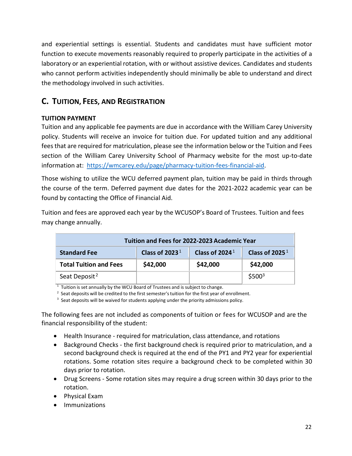and experiential settings is essential. Students and candidates must have sufficient motor function to execute movements reasonably required to properly participate in the activities of a laboratory or an experiential rotation, with or without assistive devices. Candidates and students who cannot perform activities independently should minimally be able to understand and direct the methodology involved in such activities.

# **C. TUITION, FEES, AND REGISTRATION**

### **TUITION PAYMENT**

Tuition and any applicable fee payments are due in accordance with the William Carey University policy. Students will receive an invoice for tuition due. For updated tuition and any additional fees that are required for matriculation, please see the information below or the Tuition and Fees section of the William Carey University School of Pharmacy website for the most up-to-date information at: https://wmcarey.edu/page/pharmacy-tuition-fees-financial-aid.

Those wishing to utilize the WCU deferred payment plan, tuition may be paid in thirds through the course of the term. Deferred payment due dates for the 2021‐2022 academic year can be found by contacting the Office of Financial Aid.

Tuition and fees are approved each year by the WCUSOP's Board of Trustees. Tuition and fees may change annually.

| Tuition and Fees for 2022-2023 Academic Year |                   |                            |                   |
|----------------------------------------------|-------------------|----------------------------|-------------------|
| <b>Standard Fee</b>                          | Class of 2023 $1$ | Class of 2024 <sup>1</sup> | Class of 2025 $1$ |
| <b>Total Tuition and Fees</b>                | \$42,000          | \$42,000                   | \$42,000          |
| Seat Deposit <sup>2</sup>                    |                   |                            | $$500^3$          |

 $1$  Tuition is set annually by the WCU Board of Trustees and is subject to change.

 $2$  Seat deposits will be credited to the first semester's tuition for the first year of enrollment.

<sup>3</sup> Seat deposits will be waived for students applying under the priority admissions policy.

The following fees are not included as components of tuition or fees for WCUSOP and are the financial responsibility of the student:

- Health Insurance required for matriculation, class attendance, and rotations
- Background Checks the first background check is required prior to matriculation, and a second background check is required at the end of the PY1 and PY2 year for experiential rotations. Some rotation sites require a background check to be completed within 30 days prior to rotation.
- Drug Screens Some rotation sites may require a drug screen within 30 days prior to the rotation.
- Physical Exam
- **•** Immunizations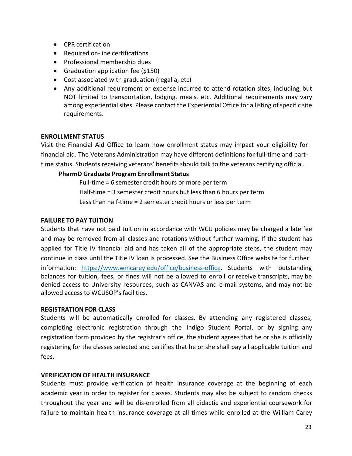- CPR certification
- Required on-line certifications
- Professional membership dues
- Graduation application fee (\$150)
- Cost associated with graduation (regalia, etc)
- Any additional requirement or expense incurred to attend rotation sites, including, but NOT limited to transportation, lodging, meals, etc. Additional requirements may vary among experiential sites. Please contact the Experiential Office for a listing of specific site requirements.

#### **ENROLLMENT STATUS**

Visit the Financial Aid Office to learn how enrollment status may impact your eligibility for financial aid. The Veterans Administration may have different definitions for full‐time and part‐ time status. Students receiving veterans' benefits should talk to the veterans certifying official.

#### **PharmD Graduate Program Enrollment Status**

Full-time = 6 semester credit hours or more per term Half-time = 3 semester credit hours but less than 6 hours per term Less than half-time = 2 semester credit hours or less per term

#### **FAILURE TO PAY TUITION**

Students that have not paid tuition in accordance with WCU policies may be charged a late fee and may be removed from all classes and rotations without further warning. If the student has applied for Title IV financial aid and has taken all of the appropriate steps, the student may continue in class until the Title IV loan is processed. See the Business Office website for further information: https://www.wmcarey.edu/office/business-office. Students with outstanding balances for tuition, fees, or fines will not be allowed to enroll or receive transcripts, may be denied access to University resources, such as CANVAS and e-mail systems, and may not be allowed access to WCUSOP's facilities.

#### **REGISTRATION FOR CLASS**

Students will be automatically enrolled for classes. By attending any registered classes, completing electronic registration through the Indigo Student Portal, or by signing any registration form provided by the registrar's office, the student agrees that he or she is officially registering for the classes selected and certifies that he or she shall pay all applicable tuition and fees.

#### **VERIFICATION OF HEALTH INSURANCE**

Students must provide verification of health insurance coverage at the beginning of each academic year in order to register for classes. Students may also be subject to random checks throughout the year and will be dis‐enrolled from all didactic and experiential coursework for failure to maintain health insurance coverage at all times while enrolled at the William Carey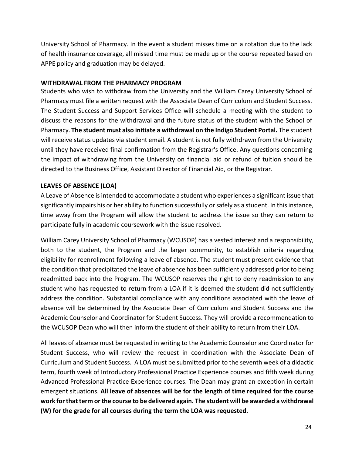University School of Pharmacy. In the event a student misses time on a rotation due to the lack of health insurance coverage, all missed time must be made up or the course repeated based on APPE policy and graduation may be delayed.

#### **WITHDRAWAL FROM THE PHARMACY PROGRAM**

Students who wish to withdraw from the University and the William Carey University School of Pharmacy must file a written request with the Associate Dean of Curriculum and Student Success. The Student Success and Support Services Office will schedule a meeting with the student to discuss the reasons for the withdrawal and the future status of the student with the School of Pharmacy. **The student must also initiate a withdrawal on the Indigo Student Portal.** The student will receive status updates via student email. A student is not fully withdrawn from the University until they have received final confirmation from the Registrar's Office. Any questions concerning the impact of withdrawing from the University on financial aid or refund of tuition should be directed to the Business Office, Assistant Director of Financial Aid, or the Registrar.

#### **LEAVES OF ABSENCE (LOA)**

A Leave of Absence is intended to accommodate a student who experiences a significant issue that significantly impairs his or her ability to function successfully or safely as a student. In this instance, time away from the Program will allow the student to address the issue so they can return to participate fully in academic coursework with the issue resolved.

William Carey University School of Pharmacy (WCUSOP) has a vested interest and a responsibility, both to the student, the Program and the larger community, to establish criteria regarding eligibility for reenrollment following a leave of absence. The student must present evidence that the condition that precipitated the leave of absence has been sufficiently addressed prior to being readmitted back into the Program. The WCUSOP reserves the right to deny readmission to any student who has requested to return from a LOA if it is deemed the student did not sufficiently address the condition. Substantial compliance with any conditions associated with the leave of absence will be determined by the Associate Dean of Curriculum and Student Success and the Academic Counselor and Coordinator for Student Success. They will provide a recommendation to the WCUSOP Dean who will then inform the student of their ability to return from their LOA.

All leaves of absence must be requested in writing to the Academic Counselor and Coordinator for Student Success, who will review the request in coordination with the Associate Dean of Curriculum and Student Success. A LOA must be submitted prior to the seventh week of a didactic term, fourth week of Introductory Professional Practice Experience courses and fifth week during Advanced Professional Practice Experience courses. The Dean may grant an exception in certain emergent situations. **All leave of absences will be for the length of time required for the course work for that term or the course to be delivered again. The student will be awarded a withdrawal (W) for the grade for all courses during the term the LOA was requested.**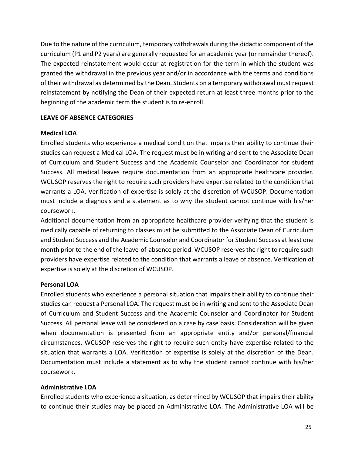Due to the nature of the curriculum, temporary withdrawals during the didactic component of the curriculum (P1 and P2 years) are generally requested for an academic year (or remainder thereof). The expected reinstatement would occur at registration for the term in which the student was granted the withdrawal in the previous year and/or in accordance with the terms and conditions of their withdrawal as determined by the Dean. Students on a temporary withdrawal must request reinstatement by notifying the Dean of their expected return at least three months prior to the beginning of the academic term the student is to re‐enroll.

#### **LEAVE OF ABSENCE CATEGORIES**

#### **Medical LOA**

Enrolled students who experience a medical condition that impairs their ability to continue their studies can request a Medical LOA. The request must be in writing and sent to the Associate Dean of Curriculum and Student Success and the Academic Counselor and Coordinator for student Success. All medical leaves require documentation from an appropriate healthcare provider. WCUSOP reserves the right to require such providers have expertise related to the condition that warrants a LOA. Verification of expertise is solely at the discretion of WCUSOP. Documentation must include a diagnosis and a statement as to why the student cannot continue with his/her coursework.

Additional documentation from an appropriate healthcare provider verifying that the student is medically capable of returning to classes must be submitted to the Associate Dean of Curriculum and Student Success and the Academic Counselor and Coordinator for Student Success at least one month prior to the end of the leave‐of‐absence period. WCUSOP reserves the right to require such providers have expertise related to the condition that warrants a leave of absence. Verification of expertise is solely at the discretion of WCUSOP.

#### **Personal LOA**

Enrolled students who experience a personal situation that impairs their ability to continue their studies can request a Personal LOA. The request must be in writing and sent to the Associate Dean of Curriculum and Student Success and the Academic Counselor and Coordinator for Student Success. All personal leave will be considered on a case by case basis. Consideration will be given when documentation is presented from an appropriate entity and/or personal/financial circumstances. WCUSOP reserves the right to require such entity have expertise related to the situation that warrants a LOA. Verification of expertise is solely at the discretion of the Dean. Documentation must include a statement as to why the student cannot continue with his/her coursework.

#### **Administrative LOA**

Enrolled students who experience a situation, as determined by WCUSOP that impairs their ability to continue their studies may be placed an Administrative LOA. The Administrative LOA will be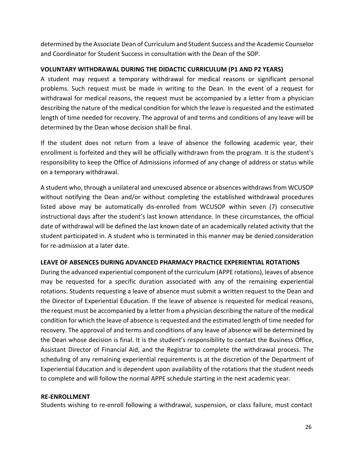determined by the Associate Dean of Curriculum and Student Success and the Academic Counselor and Coordinator for Student Success in consultation with the Dean of the SOP.

#### **VOLUNTARY WITHDRAWAL DURING THE DIDACTIC CURRICULUM (P1 AND P2 YEARS)**

A student may request a temporary withdrawal for medical reasons or significant personal problems. Such request must be made in writing to the Dean. In the event of a request for withdrawal for medical reasons, the request must be accompanied by a letter from a physician describing the nature of the medical condition for which the leave is requested and the estimated length of time needed for recovery. The approval of and terms and conditions of any leave will be determined by the Dean whose decision shall be final.

If the student does not return from a leave of absence the following academic year, their enrollment is forfeited and they will be officially withdrawn from the program. It is the student's responsibility to keep the Office of Admissions informed of any change of address or status while on a temporary withdrawal.

A student who, through a unilateral and unexcused absence or absences withdraws from WCUSOP without notifying the Dean and/or without completing the established withdrawal procedures listed above may be automatically dis-enrolled from WCUSOP within seven (7) consecutive instructional days after the student's last known attendance. In these circumstances, the official date of withdrawal will be defined the last known date of an academically related activity that the student participated in. A student who is terminated in this manner may be denied consideration for re‐admission at a later date.

#### **LEAVE OF ABSENCES DURING ADVANCED PHARMACY PRACTICE EXPERIENTIAL ROTATIONS**

During the advanced experiential component of the curriculum (APPE rotations), leaves of absence may be requested for a specific duration associated with any of the remaining experiential rotations. Students requesting a leave of absence must submit a written request to the Dean and the Director of Experiential Education. If the leave of absence is requested for medical reasons, the request must be accompanied by a letter from a physician describing the nature of the medical condition for which the leave of absence is requested and the estimated length of time needed for recovery. The approval of and terms and conditions of any leave of absence will be determined by the Dean whose decision is final. It is the student's responsibility to contact the Business Office, Assistant Director of Financial Aid, and the Registrar to complete the withdrawal process. The scheduling of any remaining experiential requirements is at the discretion of the Department of Experiential Education and is dependent upon availability of the rotations that the student needs to complete and will follow the normal APPE schedule starting in the next academic year.

#### **RE‐ENROLLMENT**

Students wishing to re-enroll following a withdrawal, suspension, or class failure, must contact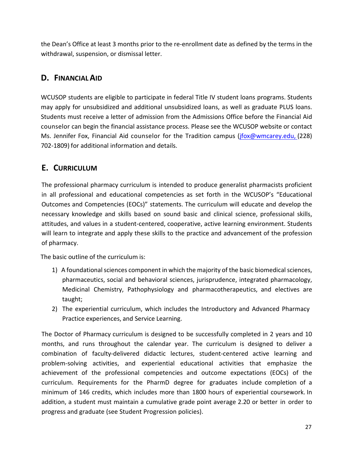the Dean's Office at least 3 months prior to the re‐enrollment date as defined by the terms in the withdrawal, suspension, or dismissal letter.

# **D. FINANCIAL AID**

WCUSOP students are eligible to participate in federal Title IV student loans programs. Students may apply for unsubsidized and additional unsubsidized loans, as well as graduate PLUS loans. Students must receive a letter of admission from the Admissions Office before the Financial Aid counselor can begin the financial assistance process. Please see the WCUSOP website or contact Ms. Jennifer Fox, Financial Aid counselor for the Tradition campus (jfox@wmcarey.edu, (228) 702‐1809) for additional information and details.

# **E. CURRICULUM**

The professional pharmacy curriculum is intended to produce generalist pharmacists proficient in all professional and educational competencies as set forth in the WCUSOP's "Educational Outcomes and Competencies (EOCs)" statements. The curriculum will educate and develop the necessary knowledge and skills based on sound basic and clinical science, professional skills, attitudes, and values in a student‐centered, cooperative, active learning environment. Students will learn to integrate and apply these skills to the practice and advancement of the profession of pharmacy.

The basic outline of the curriculum is:

- 1) A foundational sciences component in which the majority of the basic biomedical sciences, pharmaceutics, social and behavioral sciences, jurisprudence, integrated pharmacology, Medicinal Chemistry, Pathophysiology and pharmacotherapeutics, and electives are taught;
- 2) The experiential curriculum, which includes the Introductory and Advanced Pharmacy Practice experiences, and Service Learning.

The Doctor of Pharmacy curriculum is designed to be successfully completed in 2 years and 10 months, and runs throughout the calendar year. The curriculum is designed to deliver a combination of faculty‐delivered didactic lectures, student‐centered active learning and problem‐solving activities, and experiential educational activities that emphasize the achievement of the professional competencies and outcome expectations (EOCs) of the curriculum. Requirements for the PharmD degree for graduates include completion of a minimum of 146 credits, which includes more than 1800 hours of experiential coursework. In addition, a student must maintain a cumulative grade point average 2.20 or better in order to progress and graduate (see Student Progression policies).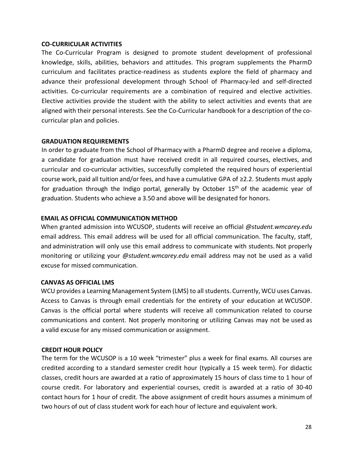#### **CO‐CURRICULAR ACTIVITIES**

The Co-Curricular Program is designed to promote student development of professional knowledge, skills, abilities, behaviors and attitudes. This program supplements the PharmD curriculum and facilitates practice‐readiness as students explore the field of pharmacy and advance their professional development through School of Pharmacy-led and self-directed activities. Co-curricular requirements are a combination of required and elective activities. Elective activities provide the student with the ability to select activities and events that are aligned with their personal interests. See the Co‐Curricular handbook for a description of the co‐ curricular plan and policies.

#### **GRADUATION REQUIREMENTS**

In order to graduate from the School of Pharmacy with a PharmD degree and receive a diploma, a candidate for graduation must have received credit in all required courses, electives, and curricular and co‐curricular activities, successfully completed the required hours of experiential course work, paid all tuition and/or fees, and have a cumulative GPA of ≥2.2. Students must apply for graduation through the Indigo portal, generally by October 15<sup>th</sup> of the academic year of graduation. Students who achieve a 3.50 and above will be designated for honors.

#### **EMAIL AS OFFICIAL COMMUNICATION METHOD**

When granted admission into WCUSOP, students will receive an official *@student.wmcarey.edu* email address. This email address will be used for all official communication. The faculty, staff, and administration will only use this email address to communicate with students. Not properly monitoring or utilizing your *@student.wmcarey.edu* email address may not be used as a valid excuse for missed communication.

#### **CANVAS AS OFFICIAL LMS**

WCU provides a Learning Management System (LMS) to all students. Currently, WCU uses Canvas. Access to Canvas is through email credentials for the entirety of your education at WCUSOP. Canvas is the official portal where students will receive all communication related to course communications and content. Not properly monitoring or utilizing Canvas may not be used as a valid excuse for any missed communication or assignment.

#### **CREDIT HOUR POLICY**

The term for the WCUSOP is a 10 week "trimester" plus a week for final exams. All courses are credited according to a standard semester credit hour (typically a 15 week term). For didactic classes, credit hours are awarded at a ratio of approximately 15 hours of class time to 1 hour of course credit. For laboratory and experiential courses, credit is awarded at a ratio of 30‐40 contact hours for 1 hour of credit. The above assignment of credit hours assumes a minimum of two hours of out of class student work for each hour of lecture and equivalent work.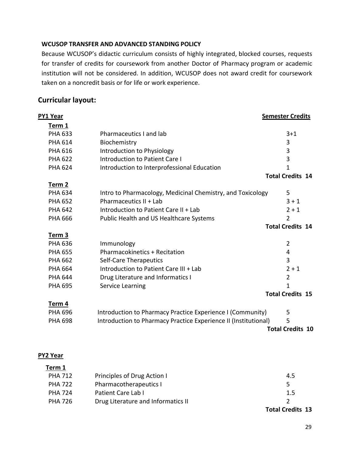#### **WCUSOP TRANSFER AND ADVANCED STANDING POLICY**

Because WCUSOP's didactic curriculum consists of highly integrated, blocked courses, requests for transfer of credits for coursework from another Doctor of Pharmacy program or academic institution will not be considered. In addition, WCUSOP does not award credit for coursework taken on a noncredit basis or for life or work experience.

### **Curricular layout:**

**PY1 Year Semester Credits** 

| Term 1         |                                                                 |                         |
|----------------|-----------------------------------------------------------------|-------------------------|
| <b>PHA 633</b> | Pharmaceutics I and lab                                         | $3 + 1$                 |
| <b>PHA 614</b> | Biochemistry                                                    | 3                       |
| <b>PHA 616</b> | Introduction to Physiology                                      | 3                       |
| <b>PHA 622</b> | <b>Introduction to Patient Care I</b>                           | 3                       |
| <b>PHA 624</b> | Introduction to Interprofessional Education                     | 1                       |
|                |                                                                 | <b>Total Credits 14</b> |
| Term 2         |                                                                 |                         |
| <b>PHA 634</b> | Intro to Pharmacology, Medicinal Chemistry, and Toxicology      | 5                       |
| <b>PHA 652</b> | Pharmaceutics II + Lab                                          | $3 + 1$                 |
| <b>PHA 642</b> | Introduction to Patient Care II + Lab                           | $2 + 1$                 |
| <b>PHA 666</b> | Public Health and US Healthcare Systems                         | $\overline{2}$          |
|                |                                                                 | <b>Total Credits 14</b> |
| Term 3         |                                                                 |                         |
| <b>PHA 636</b> | Immunology                                                      | $\overline{2}$          |
| <b>PHA 655</b> | <b>Pharmacokinetics + Recitation</b>                            | 4                       |
| <b>PHA 662</b> | Self-Care Therapeutics                                          | 3                       |
| <b>PHA 664</b> | Introduction to Patient Care III + Lab                          | $2 + 1$                 |
| <b>PHA 644</b> | Drug Literature and Informatics I                               | $\overline{2}$          |
| <b>PHA 695</b> | Service Learning                                                | 1                       |
|                |                                                                 | <b>Total Credits 15</b> |
| Term 4         |                                                                 |                         |
| <b>PHA 696</b> | Introduction to Pharmacy Practice Experience I (Community)      | 5                       |
| <b>PHA 698</b> | Introduction to Pharmacy Practice Experience II (Institutional) | 5                       |
|                |                                                                 | <b>Total Credits 10</b> |
|                |                                                                 |                         |

#### **PY2 Year**

**Term 1** 

|                |                                    | <b>Total Credits 13</b> |
|----------------|------------------------------------|-------------------------|
| <b>PHA 726</b> | Drug Literature and Informatics II |                         |
| <b>PHA 724</b> | Patient Care Lab I                 | 1.5                     |
| <b>PHA 722</b> | Pharmacotherapeutics I             | 5                       |
| <b>PHA 712</b> | Principles of Drug Action I        | 4.5                     |
| .              |                                    |                         |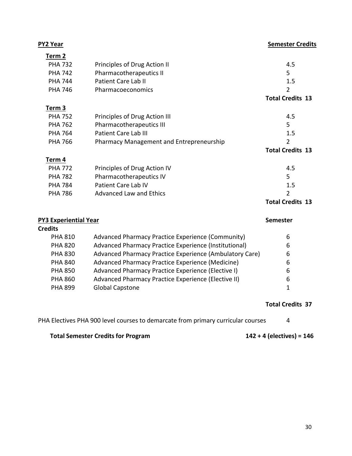| <b>PY2 Year</b>              |                                                         | <b>Semester Credits</b> |
|------------------------------|---------------------------------------------------------|-------------------------|
| Term 2                       |                                                         |                         |
| <b>PHA 732</b>               | Principles of Drug Action II                            | 4.5                     |
| <b>PHA 742</b>               | Pharmacotherapeutics II                                 | 5                       |
| <b>PHA 744</b>               | <b>Patient Care Lab II</b>                              | 1.5                     |
| <b>PHA 746</b>               | Pharmacoeconomics                                       | $\overline{2}$          |
|                              |                                                         | <b>Total Credits 13</b> |
| Term 3                       |                                                         |                         |
| <b>PHA 752</b>               | Principles of Drug Action III                           | 4.5                     |
| <b>PHA 762</b>               | Pharmacotherapeutics III                                | 5                       |
| <b>PHA 764</b>               | <b>Patient Care Lab III</b>                             | 1.5                     |
| <b>PHA 766</b>               | Pharmacy Management and Entrepreneurship                | $\overline{2}$          |
|                              |                                                         | <b>Total Credits 13</b> |
| Term 4                       |                                                         |                         |
| <b>PHA 772</b>               | Principles of Drug Action IV                            | 4.5                     |
| <b>PHA 782</b>               | Pharmacotherapeutics IV                                 | 5                       |
| <b>PHA 784</b>               | Patient Care Lab IV                                     | 1.5                     |
| <b>PHA 786</b>               | <b>Advanced Law and Ethics</b>                          | $\overline{2}$          |
|                              |                                                         | <b>Total Credits 13</b> |
| <b>PY3 Experiential Year</b> |                                                         | <b>Semester</b>         |
| <b>Credits</b>               |                                                         |                         |
| <b>PHA 810</b>               | Advanced Pharmacy Practice Experience (Community)       | 6                       |
| <b>PHA 820</b>               | Advanced Pharmacy Practice Experience (Institutional)   | 6                       |
| <b>PHA 830</b>               | Advanced Pharmacy Practice Experience (Ambulatory Care) | 6                       |
|                              |                                                         |                         |

| PHA 830        | Advanced Pharmacy Practice Experience (Ambulatory Care) | O  |
|----------------|---------------------------------------------------------|----|
| <b>PHA 840</b> | Advanced Pharmacy Practice Experience (Medicine)        | b  |
| <b>PHA 850</b> | Advanced Pharmacy Practice Experience (Elective I)      | 6  |
| <b>PHA 860</b> | Advanced Pharmacy Practice Experience (Elective II)     | 6  |
| <b>PHA 899</b> | <b>Global Capstone</b>                                  | -1 |
|                |                                                         |    |

## **Total Credits 37**

| PHA Electives PHA 900 level courses to demarcate from primary curricular courses |  |
|----------------------------------------------------------------------------------|--|
|----------------------------------------------------------------------------------|--|

# **Total Semester Credits for Program 142 + 4 (electives) = 146**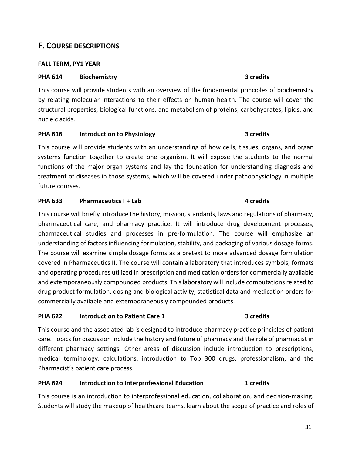31

### **F. COURSE DESCRIPTIONS**

#### **FALL TERM, PY1 YEAR**

#### **PHA 614 Biochemistry 3 credits**

This course will provide students with an overview of the fundamental principles of biochemistry by relating molecular interactions to their effects on human health. The course will cover the structural properties, biological functions, and metabolism of proteins, carbohydrates, lipids, and nucleic acids.

#### PHA 616 **Introduction to Physiology 1996 1997 1998 1998 1998 1998 1999 1999 1999 1999 1999 1999 1999 1999 1999 1999 1999 1999 1999 1999 1999 1999 1999 1999 1999 1999 1**

This course will provide students with an understanding of how cells, tissues, organs, and organ systems function together to create one organism. It will expose the students to the normal functions of the major organ systems and lay the foundation for understanding diagnosis and treatment of diseases in those systems, which will be covered under pathophysiology in multiple future courses.

#### **PHA 633 Pharmaceutics I + Lab 1.1 <b>CO 1.1 EXECUTE: 1.1 CO 1.1 EXECUTE: 1.1 CO 1.1 CO 1.1 CO 1.1 CO 1.1 CO 1.1 CO 1.1 CO 1.1 CO 1.1 CO 1.1 CO 1.1 CO 1.1 CO**

This course will briefly introduce the history, mission, standards, laws and regulations of pharmacy, pharmaceutical care, and pharmacy practice. It will introduce drug development processes, pharmaceutical studies and processes in pre‐formulation. The course will emphasize an understanding of factors influencing formulation, stability, and packaging of various dosage forms. The course will examine simple dosage forms as a pretext to more advanced dosage formulation covered in Pharmaceutics II. The course will contain a laboratory that introduces symbols, formats and operating procedures utilized in prescription and medication orders for commercially available and extemporaneously compounded products. This laboratory will include computations related to drug product formulation, dosing and biological activity, statistical data and medication orders for commercially available and extemporaneously compounded products.

#### PHA 622 **Introduction to Patient Care 1 1 1 1 1 1 1 1 3** credits

This course and the associated lab is designed to introduce pharmacy practice principles of patient care. Topics for discussion include the history and future of pharmacy and the role of pharmacist in different pharmacy settings. Other areas of discussion include introduction to prescriptions, medical terminology, calculations, introduction to Top 300 drugs, professionalism, and the Pharmacist's patient care process.

### PHA 624 **Introduction to Interprofessional Education 1** credits

This course is an introduction to interprofessional education, collaboration, and decision‐making. Students will study the makeup of healthcare teams, learn about the scope of practice and roles of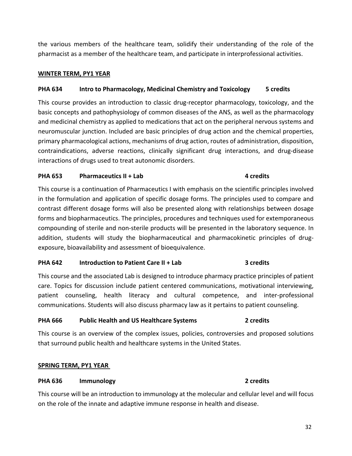the various members of the healthcare team, solidify their understanding of the role of the pharmacist as a member of the healthcare team, and participate in interprofessional activities.

#### **WINTER TERM, PY1 YEAR**

#### **PHA 634 Intro to Pharmacology, Medicinal Chemistry and Toxicology 5 credits**

This course provides an introduction to classic drug-receptor pharmacology, toxicology, and the basic concepts and pathophysiology of common diseases of the ANS, as well as the pharmacology and medicinal chemistry as applied to medications that act on the peripheral nervous systems and neuromuscular junction. Included are basic principles of drug action and the chemical properties, primary pharmacological actions, mechanisms of drug action, routes of administration, disposition, contraindications, adverse reactions, clinically significant drug interactions, and drug‐disease interactions of drugs used to treat autonomic disorders.

#### **PHA 653** Pharmaceutics II + Lab 2012 12:20 12:20 12:20 12:20 12:20 12:20 12:20 12:20 12:20 12:20 12:20 12:20 12:20 12:20 12:20 12:20 12:20 12:20 12:20 12:20 12:20 12:20 12:20 12:20 12:20 12:20 12:20 12:20 12:20 12:20 12:2

This course is a continuation of Pharmaceutics I with emphasis on the scientific principles involved in the formulation and application of specific dosage forms. The principles used to compare and contrast different dosage forms will also be presented along with relationships between dosage forms and biopharmaceutics. The principles, procedures and techniques used for extemporaneous compounding of sterile and non‐sterile products will be presented in the laboratory sequence. In addition, students will study the biopharmaceutical and pharmacokinetic principles of drugexposure, bioavailability and assessment of bioequivalence.

#### **PHA 642** Introduction to Patient Care II + Lab 3 credits

This course and the associated Lab is designed to introduce pharmacy practice principles of patient care. Topics for discussion include patient centered communications, motivational interviewing, patient counseling, health literacy and cultural competence, and inter‐professional communications. Students will also discuss pharmacy law as it pertains to patient counseling.

#### **PHA 666 Public Health and US Healthcare Systems 2 credits**

This course is an overview of the complex issues, policies, controversies and proposed solutions that surround public health and healthcare systems in the United States.

#### **SPRING TERM, PY1 YEAR**

#### **PHA 636 Immunology 2 credits**

This course will be an introduction to immunology at the molecular and cellular level and will focus on the role of the innate and adaptive immune response in health and disease.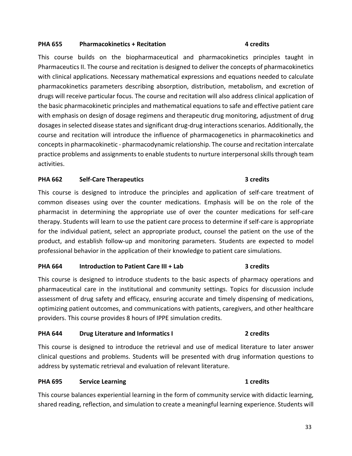#### **PHA 655 Pharmacokinetics + Recitation 4 credits**

This course builds on the biopharmaceutical and pharmacokinetics principles taught in Pharmaceutics II. The course and recitation is designed to deliver the concepts of pharmacokinetics with clinical applications. Necessary mathematical expressions and equations needed to calculate pharmacokinetics parameters describing absorption, distribution, metabolism, and excretion of drugs will receive particular focus. The course and recitation will also address clinical application of the basic pharmacokinetic principles and mathematical equations to safe and effective patient care with emphasis on design of dosage regimens and therapeutic drug monitoring, adjustment of drug dosages in selected disease states and significant drug‐drug interactions scenarios. Additionally, the course and recitation will introduce the influence of pharmacogenetics in pharmacokinetics and concepts in pharmacokinetic ‐ pharmacodynamic relationship. The course and recitation intercalate practice problems and assignments to enable students to nurture interpersonal skills through team activities.

#### **PHA 662 Self‐Care Therapeutics 3 credits**

This course is designed to introduce the principles and application of self-care treatment of common diseases using over the counter medications. Emphasis will be on the role of the pharmacist in determining the appropriate use of over the counter medications for self‐care therapy. Students will learn to use the patient care process to determine if self‐care is appropriate for the individual patient, select an appropriate product, counsel the patient on the use of the product, and establish follow‐up and monitoring parameters. Students are expected to model professional behavior in the application of their knowledge to patient care simulations.

#### **PHA 664 Introduction to Patient Care III + Lab 3 credits**

This course is designed to introduce students to the basic aspects of pharmacy operations and pharmaceutical care in the institutional and community settings. Topics for discussion include assessment of drug safety and efficacy, ensuring accurate and timely dispensing of medications, optimizing patient outcomes, and communications with patients, caregivers, and other healthcare providers. This course provides 8 hours of IPPE simulation credits.

#### **PHA 644** Drug Literature and Informatics I **2** credits

This course is designed to introduce the retrieval and use of medical literature to later answer clinical questions and problems. Students will be presented with drug information questions to address by systematic retrieval and evaluation of relevant literature.

#### **PHA 695 Service Learning 1 credits**

This course balances experiential learning in the form of community service with didactic learning, shared reading, reflection, and simulation to create a meaningful learning experience. Students will

#### 33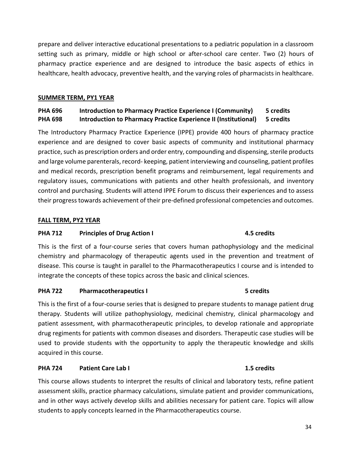prepare and deliver interactive educational presentations to a pediatric population in a classroom setting such as primary, middle or high school or after-school care center. Two (2) hours of pharmacy practice experience and are designed to introduce the basic aspects of ethics in healthcare, health advocacy, preventive health, and the varying roles of pharmacists in healthcare.

#### **SUMMER TERM, PY1 YEAR**

### **PHA 696 Introduction to Pharmacy Practice Experience I (Community) 5 credits PHA 698 Introduction to Pharmacy Practice Experience II (Institutional) 5 credits**

The Introductory Pharmacy Practice Experience (IPPE) provide 400 hours of pharmacy practice experience and are designed to cover basic aspects of community and institutional pharmacy practice, such as prescription orders and order entry, compounding and dispensing, sterile products and large volume parenterals, record- keeping, patient interviewing and counseling, patient profiles and medical records, prescription benefit programs and reimbursement, legal requirements and regulatory issues, communications with patients and other health professionals, and inventory control and purchasing. Students will attend IPPE Forum to discuss their experiences and to assess their progress towards achievement of their pre‐defined professional competencies and outcomes.

#### **FALL TERM, PY2 YEAR**

#### PHA 712 Principles of Drug Action I **Action 1** 2.5 credits

# This is the first of a four-course series that covers human pathophysiology and the medicinal chemistry and pharmacology of therapeutic agents used in the prevention and treatment of disease. This course is taught in parallel to the Pharmacotherapeutics I course and is intended to integrate the concepts of these topics across the basic and clinical sciences.

#### PHA 722 Pharmacotherapeutics I 3 and 5 credits

This is the first of a four‐course series that is designed to prepare students to manage patient drug therapy. Students will utilize pathophysiology, medicinal chemistry, clinical pharmacology and patient assessment, with pharmacotherapeutic principles, to develop rationale and appropriate drug regiments for patients with common diseases and disorders. Therapeutic case studies will be used to provide students with the opportunity to apply the therapeutic knowledge and skills acquired in this course.

#### **PHA 724 Patient Care Lab I 1.5 credits**

This course allows students to interpret the results of clinical and laboratory tests, refine patient assessment skills, practice pharmacy calculations, simulate patient and provider communications, and in other ways actively develop skills and abilities necessary for patient care. Topics will allow students to apply concepts learned in the Pharmacotherapeutics course.

### 34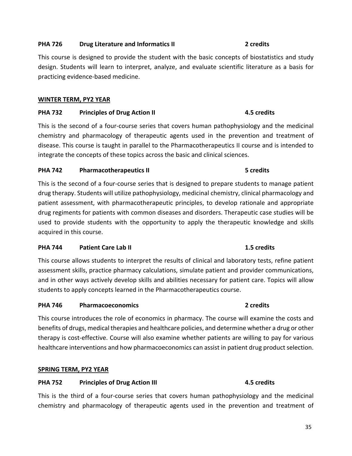#### **PHA 726** Drug Literature and Informatics II **1998 2** credits

This course is designed to provide the student with the basic concepts of biostatistics and study design. Students will learn to interpret, analyze, and evaluate scientific literature as a basis for practicing evidence‐based medicine.

#### **WINTER TERM, PY2 YEAR**

#### **PHA 732** Principles of Drug Action II **1998 120 120 13 13 14 14 15 credits**

This is the second of a four‐course series that covers human pathophysiology and the medicinal chemistry and pharmacology of therapeutic agents used in the prevention and treatment of disease. This course is taught in parallel to the Pharmacotherapeutics II course and is intended to integrate the concepts of these topics across the basic and clinical sciences.

#### PHA 742 Pharmacotherapeutics II **BEEN SEALER 19 SEALER 19 SEALER 19 SEALER 19 SEALER 19 SEALER 19 SEALER 19 SEALER 19 SEALER 19 SEALER 19 SEALER 19 SEALER 19 SEALER 19 SEALER 19 SEALER 19 SEALER 19 SEALER 19 SEALER 19 SEAL**

This is the second of a four-course series that is designed to prepare students to manage patient drug therapy. Students will utilize pathophysiology, medicinal chemistry, clinical pharmacology and patient assessment, with pharmacotherapeutic principles, to develop rationale and appropriate drug regiments for patients with common diseases and disorders. Therapeutic case studies will be used to provide students with the opportunity to apply the therapeutic knowledge and skills acquired in this course.

#### **PHA 744** Patient Care Lab II **1.5 credits 1.5 credits**

This course allows students to interpret the results of clinical and laboratory tests, refine patient assessment skills, practice pharmacy calculations, simulate patient and provider communications, and in other ways actively develop skills and abilities necessary for patient care. Topics will allow students to apply concepts learned in the Pharmacotherapeutics course.

#### **PHA 746 Pharmacoeconomics 2 credits**

This course introduces the role of economics in pharmacy. The course will examine the costs and benefits of drugs, medical therapies and healthcare policies, and determine whether a drug or other therapy is cost‐effective. Course will also examine whether patients are willing to pay for various healthcare interventions and how pharmacoeconomics can assist in patient drug product selection.

#### **SPRING TERM, PY2 YEAR**

#### **PHA 752** Principles of Drug Action III **1996 1997 12:33 12:45 PHA 752**

This is the third of a four-course series that covers human pathophysiology and the medicinal chemistry and pharmacology of therapeutic agents used in the prevention and treatment of

# 35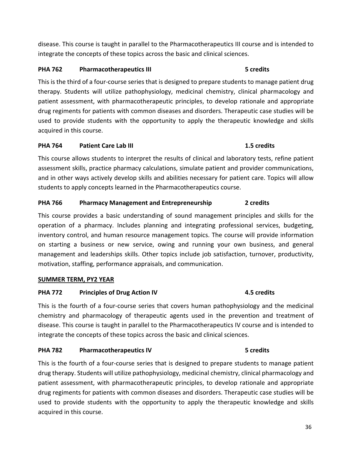disease. This course is taught in parallel to the Pharmacotherapeutics III course and is intended to integrate the concepts of these topics across the basic and clinical sciences.

#### **PHA 762** Pharmacotherapeutics III **1996 1997** Scredits

This is the third of a four‐course series that is designed to prepare students to manage patient drug therapy. Students will utilize pathophysiology, medicinal chemistry, clinical pharmacology and patient assessment, with pharmacotherapeutic principles, to develop rationale and appropriate drug regiments for patients with common diseases and disorders. Therapeutic case studies will be used to provide students with the opportunity to apply the therapeutic knowledge and skills acquired in this course.

#### **PHA 764 Patient Care Lab III 1.5 credits**

This course allows students to interpret the results of clinical and laboratory tests, refine patient assessment skills, practice pharmacy calculations, simulate patient and provider communications, and in other ways actively develop skills and abilities necessary for patient care. Topics will allow students to apply concepts learned in the Pharmacotherapeutics course.

### PHA 766 Pharmacy Management and Entrepreneurship 2 credits

This course provides a basic understanding of sound management principles and skills for the operation of a pharmacy. Includes planning and integrating professional services, budgeting, inventory control, and human resource management topics. The course will provide information on starting a business or new service, owing and running your own business, and general management and leaderships skills. Other topics include job satisfaction, turnover, productivity, motivation, staffing, performance appraisals, and communication.

#### **SUMMER TERM, PY2 YEAR**

### PHA 772 Principles of Drug Action IV **4.5 credits**

This is the fourth of a four-course series that covers human pathophysiology and the medicinal chemistry and pharmacology of therapeutic agents used in the prevention and treatment of disease. This course is taught in parallel to the Pharmacotherapeutics IV course and is intended to integrate the concepts of these topics across the basic and clinical sciences.

### PHA 782 Pharmacotherapeutics IV **BIOCOTA EXAMPLE 19 SETEN 1999** 5 credits

This is the fourth of a four-course series that is designed to prepare students to manage patient drug therapy. Students will utilize pathophysiology, medicinal chemistry, clinical pharmacology and patient assessment, with pharmacotherapeutic principles, to develop rationale and appropriate drug regiments for patients with common diseases and disorders. Therapeutic case studies will be used to provide students with the opportunity to apply the therapeutic knowledge and skills acquired in this course.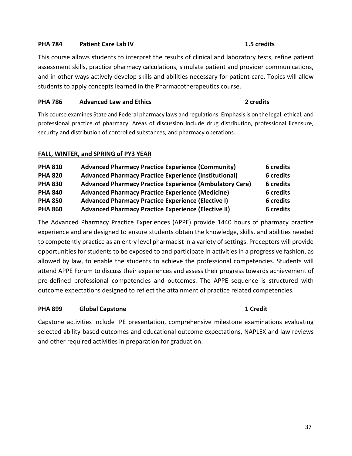#### **PHA 784 Patient Care Lab IV 1.5 credits**

This course allows students to interpret the results of clinical and laboratory tests, refine patient assessment skills, practice pharmacy calculations, simulate patient and provider communications, and in other ways actively develop skills and abilities necessary for patient care. Topics will allow students to apply concepts learned in the Pharmacotherapeutics course.

#### **PHA 786 Advanced Law and Ethics 1996 2** credits **2**

This course examines State and Federal pharmacy laws and regulations. Emphasis is on the legal, ethical, and professional practice of pharmacy. Areas of discussion include drug distribution, professional licensure, security and distribution of controlled substances, and pharmacy operations.

#### **FALL, WINTER, and SPRING of PY3 YEAR**

| <b>PHA 810</b> | <b>Advanced Pharmacy Practice Experience (Community)</b>       | 6 credits |
|----------------|----------------------------------------------------------------|-----------|
| <b>PHA 820</b> | <b>Advanced Pharmacy Practice Experience (Institutional)</b>   | 6 credits |
| <b>PHA 830</b> | <b>Advanced Pharmacy Practice Experience (Ambulatory Care)</b> | 6 credits |
| <b>PHA 840</b> | <b>Advanced Pharmacy Practice Experience (Medicine)</b>        | 6 credits |
| <b>PHA 850</b> | Advanced Pharmacy Practice Experience (Elective I)             | 6 credits |
| <b>PHA 860</b> | <b>Advanced Pharmacy Practice Experience (Elective II)</b>     | 6 credits |

The Advanced Pharmacy Practice Experiences (APPE) provide 1440 hours of pharmacy practice experience and are designed to ensure students obtain the knowledge, skills, and abilities needed to competently practice as an entry level pharmacist in a variety of settings. Preceptors will provide opportunities for students to be exposed to and participate in activities in a progressive fashion, as allowed by law, to enable the students to achieve the professional competencies. Students will attend APPE Forum to discuss their experiences and assess their progress towards achievement of pre-defined professional competencies and outcomes. The APPE sequence is structured with outcome expectations designed to reflect the attainment of practice related competencies.

#### **PHA 899 Global Capstone 1 Credit**

Capstone activities include IPE presentation, comprehensive milestone examinations evaluating selected ability-based outcomes and educational outcome expectations, NAPLEX and law reviews and other required activities in preparation for graduation.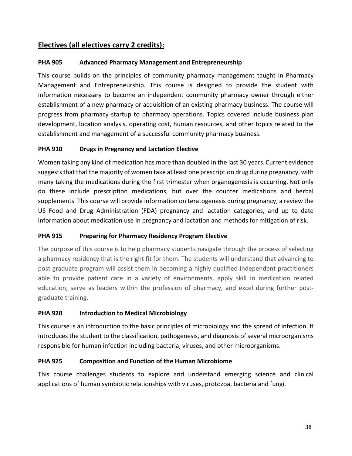# **Electives (all electives carry 2 credits):**

# **PHA 905 Advanced Pharmacy Management and Entrepreneurship**

This course builds on the principles of community pharmacy management taught in Pharmacy Management and Entrepreneurship. This course is designed to provide the student with information necessary to become an independent community pharmacy owner through either establishment of a new pharmacy or acquisition of an existing pharmacy business. The course will progress from pharmacy startup to pharmacy operations. Topics covered include business plan development, location analysis, operating cost, human resources, and other topics related to the establishment and management of a successful community pharmacy business.

# **PHA 910 Drugs in Pregnancy and Lactation Elective**

Women taking any kind of medication has more than doubled in the last 30 years. Current evidence suggests that that the majority of women take at least one prescription drug during pregnancy, with many taking the medications during the first trimester when organogenesis is occurring. Not only do these include prescription medications, but over the counter medications and herbal supplements. This course will provide information on teratogenesis during pregnancy, a review the US Food and Drug Administration (FDA) pregnancy and lactation categories, and up to date information about medication use in pregnancy and lactation and methods for mitigation of risk.

# **PHA 915 Preparing for Pharmacy Residency Program Elective**

The purpose of this course is to help pharmacy students navigate through the process of selecting a pharmacy residency that is the right fit for them. The students will understand that advancing to post graduate program will assist them in becoming a highly qualified independent practitioners able to provide patient care in a variety of environments, apply skill in medication related education, serve as leaders within the profession of pharmacy, and excel during further postgraduate training.

# **PHA 920 Introduction to Medical Microbiology**

This course is an introduction to the basic principles of microbiology and the spread of infection. It introduces the student to the classification, pathogenesis, and diagnosis of several microorganisms responsible for human infection including bacteria, viruses, and other microorganisms.

# **PHA 925 Composition and Function of the Human Microbiome**

This course challenges students to explore and understand emerging science and clinical applications of human symbiotic relationships with viruses, protozoa, bacteria and fungi.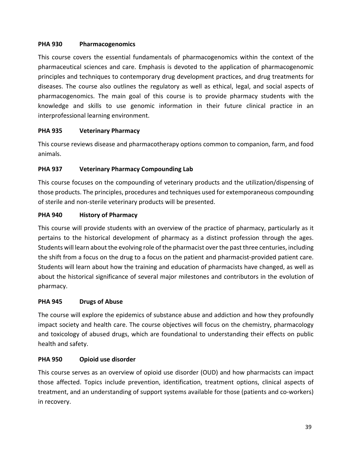# **PHA 930 Pharmacogenomics**

This course covers the essential fundamentals of pharmacogenomics within the context of the pharmaceutical sciences and care. Emphasis is devoted to the application of pharmacogenomic principles and techniques to contemporary drug development practices, and drug treatments for diseases. The course also outlines the regulatory as well as ethical, legal, and social aspects of pharmacogenomics. The main goal of this course is to provide pharmacy students with the knowledge and skills to use genomic information in their future clinical practice in an interprofessional learning environment.

# **PHA 935 Veterinary Pharmacy**

This course reviews disease and pharmacotherapy options common to companion, farm, and food animals.

# **PHA 937 Veterinary Pharmacy Compounding Lab**

This course focuses on the compounding of veterinary products and the utilization/dispensing of those products. The principles, procedures and techniques used for extemporaneous compounding of sterile and non‐sterile veterinary products will be presented.

# **PHA 940 History of Pharmacy**

This course will provide students with an overview of the practice of pharmacy, particularly as it pertains to the historical development of pharmacy as a distinct profession through the ages. Students will learn about the evolving role of the pharmacist over the past three centuries, including the shift from a focus on the drug to a focus on the patient and pharmacist‐provided patient care. Students will learn about how the training and education of pharmacists have changed, as well as about the historical significance of several major milestones and contributors in the evolution of pharmacy.

# **PHA 945 Drugs of Abuse**

The course will explore the epidemics of substance abuse and addiction and how they profoundly impact society and health care. The course objectives will focus on the chemistry, pharmacology and toxicology of abused drugs, which are foundational to understanding their effects on public health and safety.

# **PHA 950 Opioid use disorder**

This course serves as an overview of opioid use disorder (OUD) and how pharmacists can impact those affected. Topics include prevention, identification, treatment options, clinical aspects of treatment, and an understanding of support systems available for those (patients and co‐workers) in recovery.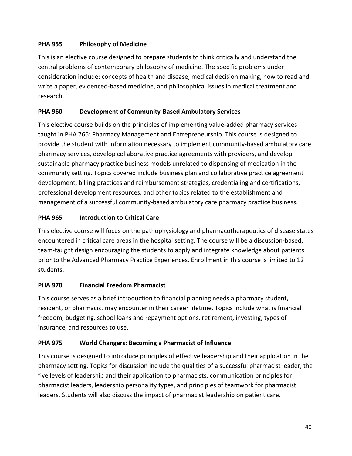# **PHA 955 Philosophy of Medicine**

This is an elective course designed to prepare students to think critically and understand the central problems of contemporary philosophy of medicine. The specific problems under consideration include: concepts of health and disease, medical decision making, how to read and write a paper, evidenced-based medicine, and philosophical issues in medical treatment and research.

# **PHA 960 Development of Community‐Based Ambulatory Services**

This elective course builds on the principles of implementing value‐added pharmacy services taught in PHA 766: Pharmacy Management and Entrepreneurship. This course is designed to provide the student with information necessary to implement community‐based ambulatory care pharmacy services, develop collaborative practice agreements with providers, and develop sustainable pharmacy practice business models unrelated to dispensing of medication in the community setting. Topics covered include business plan and collaborative practice agreement development, billing practices and reimbursement strategies, credentialing and certifications, professional development resources, and other topics related to the establishment and management of a successful community‐based ambulatory care pharmacy practice business.

# **PHA 965 Introduction to Critical Care**

This elective course will focus on the pathophysiology and pharmacotherapeutics of disease states encountered in critical care areas in the hospital setting. The course will be a discussion‐based, team‐taught design encouraging the students to apply and integrate knowledge about patients prior to the Advanced Pharmacy Practice Experiences. Enrollment in this course is limited to 12 students.

# **PHA 970 Financial Freedom Pharmacist**

This course serves as a brief introduction to financial planning needs a pharmacy student, resident, or pharmacist may encounter in their career lifetime. Topics include what is financial freedom, budgeting, school loans and repayment options, retirement, investing, types of insurance, and resources to use.

# **PHA 975 World Changers: Becoming a Pharmacist of Influence**

This course is designed to introduce principles of effective leadership and their application in the pharmacy setting. Topics for discussion include the qualities of a successful pharmacist leader, the five levels of leadership and their application to pharmacists, communication principles for pharmacist leaders, leadership personality types, and principles of teamwork for pharmacist leaders. Students will also discuss the impact of pharmacist leadership on patient care.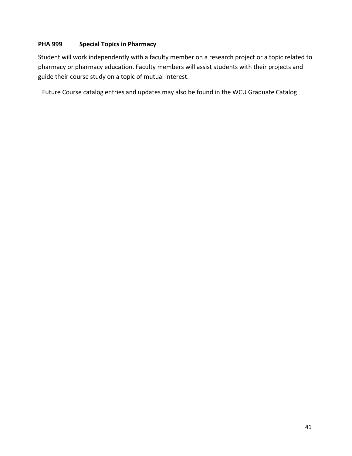# **PHA 999 Special Topics in Pharmacy**

Student will work independently with a faculty member on a research project or a topic related to pharmacy or pharmacy education. Faculty members will assist students with their projects and guide their course study on a topic of mutual interest.

Future Course catalog entries and updates may also be found in the WCU Graduate Catalog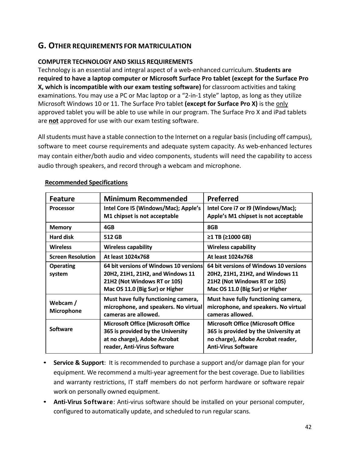# **G. OTHER REQUIREMENTS FOR MATRICULATION**

# **COMPUTER TECHNOLOGY AND SKILLS REQUIREMENTS**

Technology is an essential and integral aspect of a web‐enhanced curriculum. **Students are required to have a laptop computer or Microsoft Surface Pro tablet (except for the Surface Pro X, which is incompatible with our exam testing software)** for classroom activities and taking examinations. You may use a PC or Mac laptop or a "2‐in‐1 style" laptop, as long as they utilize Microsoft Windows 10 or 11. The Surface Pro tablet **(except for Surface Pro X)** is the only approved tablet you will be able to use while in our program. The Surface Pro X and iPad tablets are **not** approved for use with our exam testing software.

All students must have a stable connection to the Internet on a regular basis (including off campus), software to meet course requirements and adequate system capacity. As web-enhanced lectures may contain either/both audio and video components, students will need the capability to access audio through speakers, and record through a webcam and microphone.

| <b>Feature</b>                | <b>Minimum Recommended</b>                                                                                                                    | <b>Preferred</b>                                                                                                                                     |
|-------------------------------|-----------------------------------------------------------------------------------------------------------------------------------------------|------------------------------------------------------------------------------------------------------------------------------------------------------|
| <b>Processor</b>              | Intel Core I5 (Windows/Mac); Apple's<br>M1 chipset is not acceptable                                                                          | Intel Core i7 or I9 (Windows/Mac);<br>Apple's M1 chipset is not acceptable                                                                           |
| <b>Memory</b>                 | 4GB                                                                                                                                           | 8GB                                                                                                                                                  |
| <b>Hard disk</b>              | 512 GB                                                                                                                                        | ≥1 TB (≥1000 GB)                                                                                                                                     |
| <b>Wireless</b>               | <b>Wireless capability</b>                                                                                                                    | <b>Wireless capability</b>                                                                                                                           |
| <b>Screen Resolution</b>      | At least 1024x768                                                                                                                             | At least 1024x768                                                                                                                                    |
| <b>Operating</b><br>system    | 64 bit versions of Windows 10 versions<br>20H2, 21H1, 21H2, and Windows 11<br>21H2 (Not Windows RT or 10S)<br>Mac OS 11.0 (Big Sur) or Higher | 64 bit versions of Windows 10 versions<br>20H2, 21H1, 21H2, and Windows 11<br>21H2 (Not Windows RT or 10S)<br>Mac OS 11.0 (Big Sur) or Higher        |
| Webcam /<br><b>Microphone</b> | Must have fully functioning camera,<br>microphone, and speakers. No virtual<br>cameras are allowed.                                           | Must have fully functioning camera,<br>microphone, and speakers. No virtual<br>cameras allowed.                                                      |
| <b>Software</b>               | <b>Microsoft Office (Microsoft Office</b><br>365 is provided by the University<br>at no charge), Adobe Acrobat<br>reader, Anti-Virus Software | <b>Microsoft Office (Microsoft Office</b><br>365 is provided by the University at<br>no charge), Adobe Acrobat reader,<br><b>Anti-Virus Software</b> |

# **Recommended Specifications**

- **Service & Support**: It is recommended to purchase a support and/or damage plan for your equipment. We recommend a multi‐year agreement for the best coverage. Due to liabilities and warranty restrictions, IT staff members do not perform hardware or software repair work on personally owned equipment.
- **Anti‐Virus Software**: Anti‐virus software should be installed on your personal computer, configured to automatically update, and scheduled to run regular scans.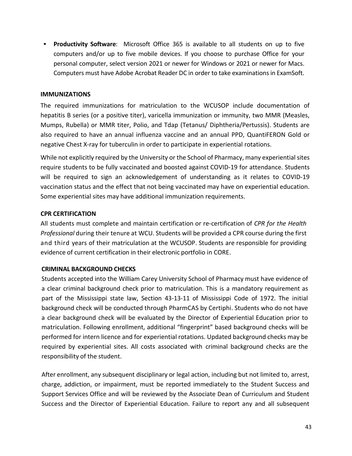• **Productivity Software**: Microsoft Office 365 is available to all students on up to five computers and/or up to five mobile devices. If you choose to purchase Office for your personal computer, select version 2021 or newer for Windows or 2021 or newer for Macs. Computers must have Adobe Acrobat Reader DC in order to take examinations in ExamSoft.

#### **IMMUNIZATIONS**

The required immunizations for matriculation to the WCUSOP include documentation of hepatitis B series (or a positive titer), varicella immunization or immunity, two MMR (Measles, Mumps, Rubella) or MMR titer, Polio, and Tdap (Tetanus/ Diphtheria/Pertussis). Students are also required to have an annual influenza vaccine and an annual PPD, QuantiFERON Gold or negative Chest X‐ray for tuberculin in order to participate in experiential rotations.

While not explicitly required by the University or the School of Pharmacy, many experiential sites require students to be fully vaccinated and boosted against COVID‐19 for attendance. Students will be required to sign an acknowledgement of understanding as it relates to COVID-19 vaccination status and the effect that not being vaccinated may have on experiential education. Some experiential sites may have additional immunization requirements.

#### **CPR CERTIFICATION**

All students must complete and maintain certification or re‐certification of *CPR for the Health Professional* during their tenure at WCU. Students will be provided a CPR course during the first and third years of their matriculation at the WCUSOP. Students are responsible for providing evidence of current certification in their electronic portfolio in CORE.

#### **CRIMINAL BACKGROUND CHECKS**

Students accepted into the William Carey University School of Pharmacy must have evidence of a clear criminal background check prior to matriculation. This is a mandatory requirement as part of the Mississippi state law, Section 43‐13‐11 of Mississippi Code of 1972. The initial background check will be conducted through PharmCAS by Certiphi. Students who do not have a clear background check will be evaluated by the Director of Experiential Education prior to matriculation. Following enrollment, additional "fingerprint" based background checks will be performed for intern licence and for experiential rotations. Updated background checks may be required by experiential sites. All costs associated with criminal background checks are the responsibility of the student.

After enrollment, any subsequent disciplinary or legal action, including but not limited to, arrest, charge, addiction, or impairment, must be reported immediately to the Student Success and Support Services Office and will be reviewed by the Associate Dean of Curriculum and Student Success and the Director of Experiential Education. Failure to report any and all subsequent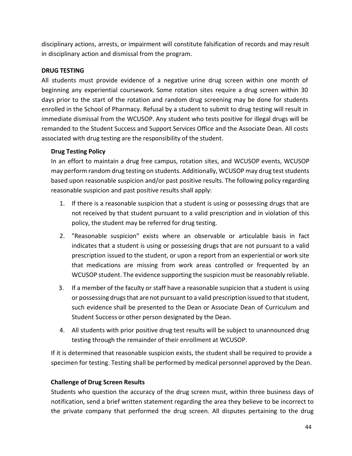disciplinary actions, arrests, or impairment will constitute falsification of records and may result in disciplinary action and dismissal from the program.

#### **DRUG TESTING**

All students must provide evidence of a negative urine drug screen within one month of beginning any experiential coursework. Some rotation sites require a drug screen within 30 days prior to the start of the rotation and random drug screening may be done for students enrolled in the School of Pharmacy. Refusal by a student to submit to drug testing will result in immediate dismissal from the WCUSOP. Any student who tests positive for illegal drugs will be remanded to the Student Success and Support Services Office and the Associate Dean. All costs associated with drug testing are the responsibility of the student.

#### **Drug Testing Policy**

In an effort to maintain a drug free campus, rotation sites, and WCUSOP events, WCUSOP may perform random drug testing on students. Additionally, WCUSOP may drug test students based upon reasonable suspicion and/or past positive results. The following policy regarding reasonable suspicion and past positive results shall apply:

- 1. If there is a reasonable suspicion that a student is using or possessing drugs that are not received by that student pursuant to a valid prescription and in violation of this policy, the student may be referred for drug testing.
- 2. "Reasonable suspicion" exists where an observable or articulable basis in fact indicates that a student is using or possessing drugs that are not pursuant to a valid prescription issued to the student, or upon a report from an experiential or work site that medications are missing from work areas controlled or frequented by an WCUSOP student. The evidence supporting the suspicion must be reasonably reliable.
- 3. If a member of the faculty or staff have a reasonable suspicion that a student is using or possessing drugs that are not pursuant to a valid prescription issued to that student, such evidence shall be presented to the Dean or Associate Dean of Curriculum and Student Success or other person designated by the Dean.
- 4. All students with prior positive drug test results will be subject to unannounced drug testing through the remainder of their enrollment at WCUSOP.

If it is determined that reasonable suspicion exists, the student shall be required to provide a specimen for testing. Testing shall be performed by medical personnel approved by the Dean.

# **Challenge of Drug Screen Results**

Students who question the accuracy of the drug screen must, within three business days of notification, send a brief written statement regarding the area they believe to be incorrect to the private company that performed the drug screen. All disputes pertaining to the drug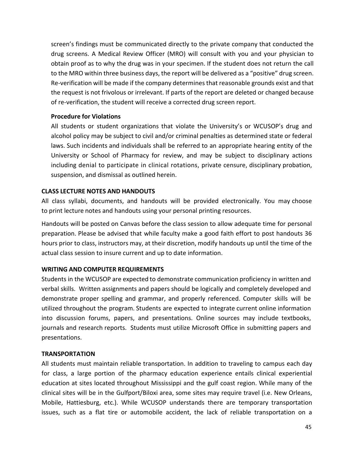screen's findings must be communicated directly to the private company that conducted the drug screens. A Medical Review Officer (MRO) will consult with you and your physician to obtain proof as to why the drug was in your specimen. If the student does not return the call to the MRO within three business days, the report will be delivered as a "positive" drug screen. Re‐verification will be made if the company determines that reasonable grounds exist and that the request is not frivolous or irrelevant. If parts of the report are deleted or changed because of re‐verification, the student will receive a corrected drug screen report.

#### **Procedure for Violations**

All students or student organizations that violate the University's or WCUSOP's drug and alcohol policy may be subject to civil and/or criminal penalties as determined state or federal laws. Such incidents and individuals shall be referred to an appropriate hearing entity of the University or School of Pharmacy for review, and may be subject to disciplinary actions including denial to participate in clinical rotations, private censure, disciplinary probation, suspension, and dismissal as outlined herein.

#### **CLASS LECTURE NOTES AND HANDOUTS**

All class syllabi, documents, and handouts will be provided electronically. You may choose to print lecture notes and handouts using your personal printing resources.

Handouts will be posted on Canvas before the class session to allow adequate time for personal preparation. Please be advised that while faculty make a good faith effort to post handouts 36 hours prior to class, instructors may, at their discretion, modify handouts up until the time of the actual class session to insure current and up to date information.

# **WRITING AND COMPUTER REQUIREMENTS**

Students in the WCUSOP are expected to demonstrate communication proficiency in written and verbal skills. Written assignments and papers should be logically and completely developed and demonstrate proper spelling and grammar, and properly referenced. Computer skills will be utilized throughout the program. Students are expected to integrate current online information into discussion forums, papers, and presentations. Online sources may include textbooks, journals and research reports. Students must utilize Microsoft Office in submitting papers and presentations.

#### **TRANSPORTATION**

All students must maintain reliable transportation. In addition to traveling to campus each day for class, a large portion of the pharmacy education experience entails clinical experiential education at sites located throughout Mississippi and the gulf coast region. While many of the clinical sites will be in the Gulfport/Biloxi area, some sites may require travel (i.e. New Orleans, Mobile, Hattiesburg, etc.). While WCUSOP understands there are temporary transportation issues, such as a flat tire or automobile accident, the lack of reliable transportation on a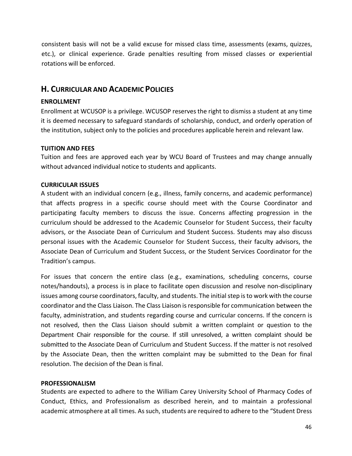consistent basis will not be a valid excuse for missed class time, assessments (exams, quizzes, etc.), or clinical experience. Grade penalties resulting from missed classes or experiential rotations will be enforced.

# **H. CURRICULAR AND ACADEMIC POLICIES**

#### **ENROLLMENT**

Enrollment at WCUSOP is a privilege. WCUSOP reserves the right to dismiss a student at any time it is deemed necessary to safeguard standards of scholarship, conduct, and orderly operation of the institution, subject only to the policies and procedures applicable herein and relevant law.

#### **TUITION AND FEES**

Tuition and fees are approved each year by WCU Board of Trustees and may change annually without advanced individual notice to students and applicants.

#### **CURRICULAR ISSUES**

A student with an individual concern (e.g., illness, family concerns, and academic performance) that affects progress in a specific course should meet with the Course Coordinator and participating faculty members to discuss the issue. Concerns affecting progression in the curriculum should be addressed to the Academic Counselor for Student Success, their faculty advisors, or the Associate Dean of Curriculum and Student Success. Students may also discuss personal issues with the Academic Counselor for Student Success, their faculty advisors, the Associate Dean of Curriculum and Student Success, or the Student Services Coordinator for the Tradition's campus.

For issues that concern the entire class (e.g., examinations, scheduling concerns, course notes/handouts), a process is in place to facilitate open discussion and resolve non‐disciplinary issues among course coordinators, faculty, and students. The initial step is to work with the course coordinator and the Class Liaison. The Class Liaison is responsible for communication between the faculty, administration, and students regarding course and curricular concerns. If the concern is not resolved, then the Class Liaison should submit a written complaint or question to the Department Chair responsible for the course. If still unresolved, a written complaint should be submitted to the Associate Dean of Curriculum and Student Success. If the matter is not resolved by the Associate Dean, then the written complaint may be submitted to the Dean for final resolution. The decision of the Dean is final.

#### **PROFESSIONALISM**

Students are expected to adhere to the William Carey University School of Pharmacy Codes of Conduct, Ethics, and Professionalism as described herein, and to maintain a professional academic atmosphere at all times. As such, students are required to adhere to the "Student Dress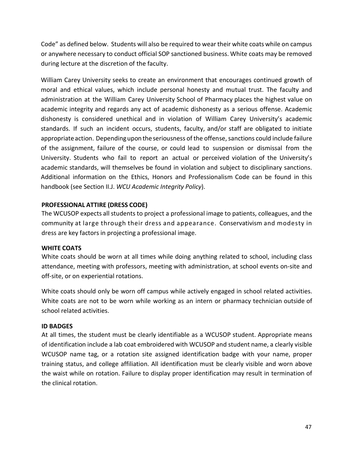Code" as defined below. Students will also be required to wear their white coats while on campus or anywhere necessary to conduct official SOP sanctioned business. White coats may be removed during lecture at the discretion of the faculty.

William Carey University seeks to create an environment that encourages continued growth of moral and ethical values, which include personal honesty and mutual trust. The faculty and administration at the William Carey University School of Pharmacy places the highest value on academic integrity and regards any act of academic dishonesty as a serious offense. Academic dishonesty is considered unethical and in violation of William Carey University's academic standards. If such an incident occurs, students, faculty, and/or staff are obligated to initiate appropriate action. Depending upon the seriousness of the offense, sanctions could include failure of the assignment, failure of the course, or could lead to suspension or dismissal from the University. Students who fail to report an actual or perceived violation of the University's academic standards, will themselves be found in violation and subject to disciplinary sanctions. Additional information on the Ethics, Honors and Professionalism Code can be found in this handbook (see Section II.J. *WCU Academic Integrity Policy*).

#### **PROFESSIONAL ATTIRE (DRESS CODE)**

The WCUSOP expects all students to project a professional image to patients, colleagues, and the community at large through their dress and appearance. Conservativism and modesty in dress are key factors in projecting a professional image.

#### **WHITE COATS**

White coats should be worn at all times while doing anything related to school, including class attendance, meeting with professors, meeting with administration, at school events on‐site and off‐site, or on experiential rotations.

White coats should only be worn off campus while actively engaged in school related activities. White coats are not to be worn while working as an intern or pharmacy technician outside of school related activities.

#### **ID BADGES**

At all times, the student must be clearly identifiable as a WCUSOP student. Appropriate means of identification include a lab coat embroidered with WCUSOP and student name, a clearly visible WCUSOP name tag, or a rotation site assigned identification badge with your name, proper training status, and college affiliation. All identification must be clearly visible and worn above the waist while on rotation. Failure to display proper identification may result in termination of the clinical rotation.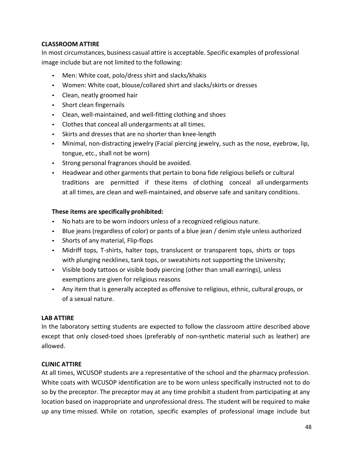# **CLASSROOM ATTIRE**

In most circumstances, business casual attire is acceptable. Specific examples of professional image include but are not limited to the following:

- Men: White coat, polo/dress shirt and slacks/khakis
- Women: White coat, blouse/collared shirt and slacks/skirts or dresses
- Clean, neatly groomed hair
- Short clean fingernails
- Clean, well-maintained, and well-fitting clothing and shoes
- Clothes that conceal all undergarments at all times.
- Skirts and dresses that are no shorter than knee‐length
- Minimal, non-distracting jewelry (Facial piercing jewelry, such as the nose, eyebrow, lip, tongue, etc., shall not be worn)
- Strong personal fragrances should be avoided.
- Headwear and other garments that pertain to bona fide religious beliefs or cultural traditions are permitted if these items of clothing conceal all undergarments at all times, are clean and well‐maintained, and observe safe and sanitary conditions.

# **These items are specifically prohibited:**

- No hats are to be worn indoors unless of a recognized religious nature.
- Blue jeans (regardless of color) or pants of a blue jean / denim style unless authorized
- Shorts of any material, Flip-flops
- Midriff tops, T-shirts, halter tops, translucent or transparent tops, shirts or tops with plunging necklines, tank tops, or sweatshirts not supporting the University;
- Visible body tattoos or visible body piercing (other than small earrings), unless exemptions are given for religious reasons
- Any item that is generally accepted as offensive to religious, ethnic, cultural groups, or of a sexual nature.

# **LAB ATTIRE**

In the laboratory setting students are expected to follow the classroom attire described above except that only closed-toed shoes (preferably of non-synthetic material such as leather) are allowed.

# **CLINIC ATTIRE**

At all times, WCUSOP students are a representative of the school and the pharmacy profession. White coats with WCUSOP identification are to be worn unless specifically instructed not to do so by the preceptor. The preceptor may at any time prohibit a student from participating at any location based on inappropriate and unprofessional dress. The student will be required to make up any time missed. While on rotation, specific examples of professional image include but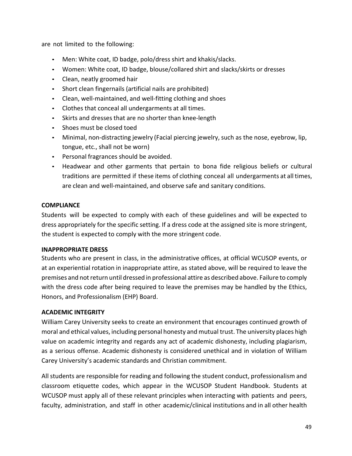are not limited to the following:

- Men: White coat, ID badge, polo/dress shirt and khakis/slacks.
- Women: White coat, ID badge, blouse/collared shirt and slacks/skirts or dresses
- Clean, neatly groomed hair
- Short clean fingernails (artificial nails are prohibited)
- Clean, well-maintained, and well-fitting clothing and shoes
- Clothes that conceal all undergarments at all times.
- Skirts and dresses that are no shorter than knee‐length
- Shoes must be closed toed
- Minimal, non-distracting jewelry (Facial piercing jewelry, such as the nose, eyebrow, lip, tongue, etc., shall not be worn)
- Personal fragrances should be avoided.
- Headwear and other garments that pertain to bona fide religious beliefs or cultural traditions are permitted if these items of clothing conceal all undergarments at all times, are clean and well-maintained, and observe safe and sanitary conditions.

#### **COMPLIANCE**

Students will be expected to comply with each of these guidelines and will be expected to dress appropriately for the specific setting. If a dress code at the assigned site is more stringent, the student is expected to comply with the more stringent code.

#### **INAPPROPRIATE DRESS**

Students who are present in class, in the administrative offices, at official WCUSOP events, or at an experiential rotation in inappropriate attire, as stated above, will be required to leave the premises and not return until dressed in professional attire as described above. Failure to comply with the dress code after being required to leave the premises may be handled by the Ethics, Honors, and Professionalism (EHP) Board.

# **ACADEMIC INTEGRITY**

William Carey University seeks to create an environment that encourages continued growth of moral and ethical values, including personal honesty and mutual trust. The university places high value on academic integrity and regards any act of academic dishonesty, including plagiarism, as a serious offense. Academic dishonesty is considered unethical and in violation of William Carey University's academic standards and Christian commitment.

All students are responsible for reading and following the student conduct, professionalism and classroom etiquette codes, which appear in the WCUSOP Student Handbook. Students at WCUSOP must apply all of these relevant principles when interacting with patients and peers, faculty, administration, and staff in other academic/clinical institutions and in all other health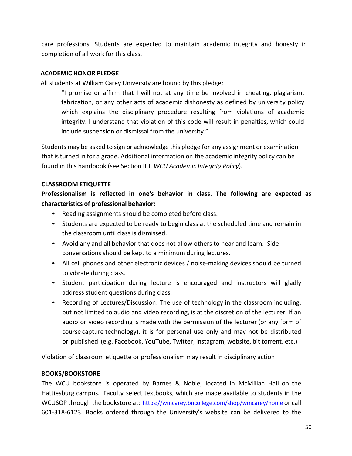care professions. Students are expected to maintain academic integrity and honesty in completion of all work for this class.

### **ACADEMIC HONOR PLEDGE**

All students at William Carey University are bound by this pledge:

"I promise or affirm that I will not at any time be involved in cheating, plagiarism, fabrication, or any other acts of academic dishonesty as defined by university policy which explains the disciplinary procedure resulting from violations of academic integrity. I understand that violation of this code will result in penalties, which could include suspension or dismissal from the university."

Students may be asked to sign or acknowledge this pledge for any assignment or examination that is turned in for a grade. Additional information on the academic integrity policy can be found in this handbook (see Section II.J. *WCU Academic Integrity Policy*).

#### **CLASSROOM ETIQUETTE**

**Professionalism is reflected in one's behavior in class. The following are expected as characteristics of professional behavior:**

- Reading assignments should be completed before class.
- Students are expected to be ready to begin class at the scheduled time and remain in the classroom until class is dismissed.
- Avoid any and all behavior that does not allow others to hear and learn. Side conversations should be kept to a minimum during lectures.
- All cell phones and other electronic devices / noise-making devices should be turned to vibrate during class.
- Student participation during lecture is encouraged and instructors will gladly address student questions during class.
- Recording of Lectures/Discussion: The use of technology in the classroom including, but not limited to audio and video recording, is at the discretion of the lecturer. If an audio or video recording is made with the permission of the lecturer (or any form of course capture technology), it is for personal use only and may not be distributed or published (e.g. Facebook, YouTube, Twitter, Instagram, website, bit torrent, etc.)

Violation of classroom etiquette or professionalism may result in disciplinary action

# **BOOKS/BOOKSTORE**

The WCU bookstore is operated by Barnes & Noble, located in McMillan Hall on the Hattiesburg campus. Faculty select textbooks, which are made available to students in the WCUSOP through the bookstore at: https://wmcarey.bncollege.com/shop/wmcarey/home or call 601‐318‐6123. Books ordered through the University's website can be delivered to the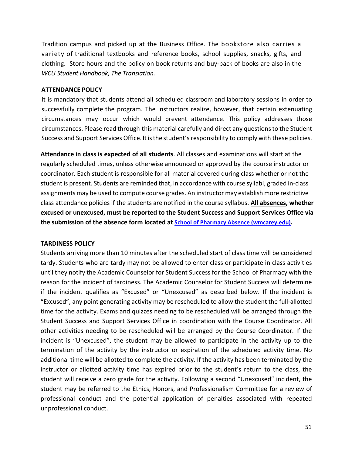Tradition campus and picked up at the Business Office. The bookstore also carries a variety of traditional textbooks and reference books, school supplies, snacks, gifts, and clothing. Store hours and the policy on book returns and buy‐back of books are also in the *WCU Student Handbook, The Translation.* 

#### **ATTENDANCE POLICY**

It is mandatory that students attend all scheduled classroom and laboratory sessions in order to successfully complete the program. The instructors realize, however, that certain extenuating circumstances may occur which would prevent attendance. This policy addresses those circumstances. Please read through this material carefully and direct any questions to the Student Success and Support Services Office. It is the student's responsibility to comply with these policies.

**Attendance in class is expected of all students**. All classes and examinations will start at the regularly scheduled times, unless otherwise announced or approved by the course instructor or coordinator. Each student is responsible for all material covered during class whether or not the student is present. Students are reminded that, in accordance with course syllabi, graded in‐class assignments may be used to compute course grades. An instructor may establish more restrictive class attendance policies if the students are notified in the course syllabus. **All absences, whether excused or unexcused, must be reported to the Student Success and Support Services Office via the submission of the absence form located at School of Pharmacy Absence (wmcarey.edu).**

# **TARDINESS POLICY**

Students arriving more than 10 minutes after the scheduled start of class time will be considered tardy. Students who are tardy may not be allowed to enter class or participate in class activities until they notify the Academic Counselor for Student Success for the School of Pharmacy with the reason for the incident of tardiness. The Academic Counselor for Student Success will determine if the incident qualifies as "Excused" or "Unexcused" as described below. If the incident is "Excused", any point generating activity may be rescheduled to allow the student the full‐allotted time for the activity. Exams and quizzes needing to be rescheduled will be arranged through the Student Success and Support Services Office in coordination with the Course Coordinator. All other activities needing to be rescheduled will be arranged by the Course Coordinator. If the incident is "Unexcused", the student may be allowed to participate in the activity up to the termination of the activity by the instructor or expiration of the scheduled activity time. No additional time will be allotted to complete the activity. If the activity has been terminated by the instructor or allotted activity time has expired prior to the student's return to the class, the student will receive a zero grade for the activity. Following a second "Unexcused" incident, the student may be referred to the Ethics, Honors, and Professionalism Committee for a review of professional conduct and the potential application of penalties associated with repeated unprofessional conduct.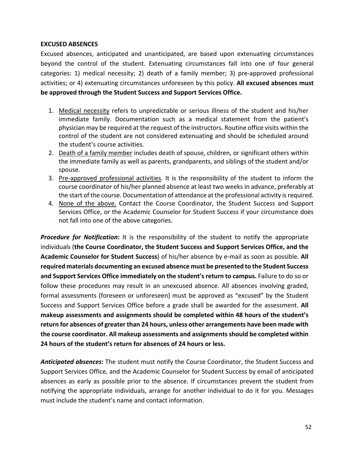### **EXCUSED ABSENCES**

Excused absences, anticipated and unanticipated, are based upon extenuating circumstances beyond the control of the student. Extenuating circumstances fall into one of four general categories: 1) medical necessity; 2) death of a family member; 3) pre‐approved professional activities; or 4) extenuating circumstances unforeseen by this policy. **All excused absences must be approved through the Student Success and Support Services Office.**

- 1. Medical necessity refers to unpredictable or serious illness of the student and his/her immediate family. Documentation such as a medical statement from the patient's physician may be required at the request of the instructors. Routine office visits within the control of the student are not considered extenuating and should be scheduled around the student's course activities.
- 2. Death of a family member includes death of spouse, children, or significant others within the immediate family as well as parents, grandparents, and siblings of the student and/or spouse.
- 3. Pre‐approved professional activities. It is the responsibility of the student to inform the course coordinator of his/her planned absence at least two weeks in advance, preferably at the start of the course. Documentation of attendance at the professional activity is required.
- 4. None of the above. Contact the Course Coordinator, the Student Success and Support Services Office, or the Academic Counselor for Student Success if your circumstance does not fall into one of the above categories.

**Procedure for Notification:** It is the responsibility of the student to notify the appropriate individuals (**the Course Coordinator, the Student Success and Support Services Office, and the Academic Counselor for Student Success**) of his/her absence by e‐mail as soon as possible. **All required materials documenting an excused absence must be presented to the Student Success and Support Services Office immediately on the student's return to campus.** Failure to do so or follow these procedures may result in an unexcused absence. All absences involving graded, formal assessments (foreseen or unforeseen) must be approved as "excused" by the Student Success and Support Services Office before a grade shall be awarded for the assessment. **All makeup assessments and assignments should be completed within 48 hours of the student's return for absences of greater than 24 hours, unless other arrangements have been made with the course coordinator. All makeup assessments and assignments should be completed within 24 hours of the student's return for absences of 24 hours or less.**

*Anticipated absences***:** The student must notify the Course Coordinator, the Student Success and Support Services Office, and the Academic Counselor for Student Success by email of anticipated absences as early as possible prior to the absence. If circumstances prevent the student from notifying the appropriate individuals, arrange for another individual to do it for you. Messages must include the student's name and contact information.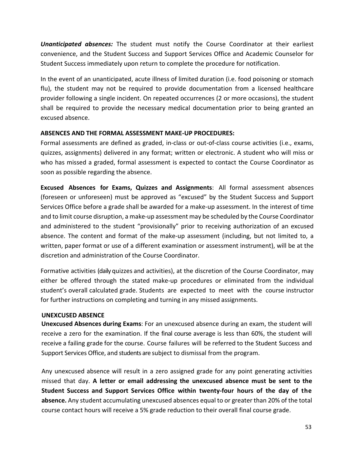**Unanticipated absences:** The student must notify the Course Coordinator at their earliest convenience, and the Student Success and Support Services Office and Academic Counselor for Student Success immediately upon return to complete the procedure for notification.

In the event of an unanticipated, acute illness of limited duration (i.e. food poisoning or stomach flu), the student may not be required to provide documentation from a licensed healthcare provider following a single incident. On repeated occurrences (2 or more occasions), the student shall be required to provide the necessary medical documentation prior to being granted an excused absence.

#### **ABSENCES AND THE FORMAL ASSESSMENT MAKE‐UP PROCEDURES:**

Formal assessments are defined as graded, in-class or out-of-class course activities (i.e., exams, quizzes, assignments) delivered in any format; written or electronic. A student who will miss or who has missed a graded, formal assessment is expected to contact the Course Coordinator as soon as possible regarding the absence.

**Excused Absences for Exams, Quizzes and Assignments**: All formal assessment absences (foreseen or unforeseen) must be approved as "excused" by the Student Success and Support Services Office before a grade shall be awarded for a make‐up assessment. In the interest of time and to limit course disruption, a make‐up assessment may be scheduled by the Course Coordinator and administered to the student "provisionally" prior to receiving authorization of an excused absence. The content and format of the make‐up assessment (including, but not limited to, a written, paper format or use of a different examination or assessment instrument), will be at the discretion and administration of the Course Coordinator.

Formative activities (daily quizzes and activities), at the discretion of the Course Coordinator, may either be offered through the stated make-up procedures or eliminated from the individual student's overall calculated grade. Students are expected to meet with the course instructor for further instructions on completing and turning in any missed assignments.

#### **UNEXCUSED ABSENCE**

**Unexcused Absences during Exams**: For an unexcused absence during an exam, the student will receive a zero for the examination. If the final course average is less than 60%, the student will receive a failing grade for the course. Course failures will be referred to the Student Success and Support Services Office, and students are subject to dismissal from the program.

Any unexcused absence will result in a zero assigned grade for any point generating activities missed that day. **A letter or email addressing the unexcused absence must be sent to the Student Success and Support Services Office within twenty‐four hours of the day of the absence.** Any student accumulating unexcused absences equal to or greater than 20% of the total course contact hours will receive a 5% grade reduction to their overall final course grade.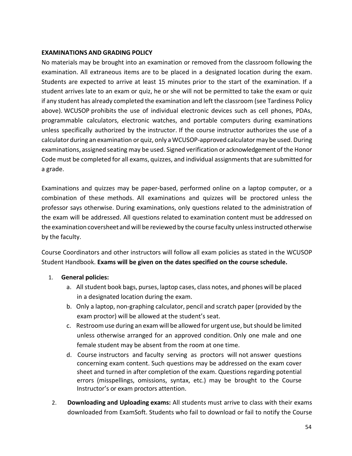#### **EXAMINATIONS AND GRADING POLICY**

No materials may be brought into an examination or removed from the classroom following the examination. All extraneous items are to be placed in a designated location during the exam. Students are expected to arrive at least 15 minutes prior to the start of the examination. If a student arrives late to an exam or quiz, he or she will not be permitted to take the exam or quiz if any student has already completed the examination and left the classroom (see Tardiness Policy above). WCUSOP prohibits the use of individual electronic devices such as cell phones, PDAs, programmable calculators, electronic watches, and portable computers during examinations unless specifically authorized by the instructor. If the course instructor authorizes the use of a calculator during an examination or quiz, only a WCUSOP‐approved calculator may be used. During examinations, assigned seating may be used. Signed verification or acknowledgement of the Honor Code must be completed for all exams, quizzes, and individual assignments that are submitted for a grade.

Examinations and quizzes may be paper-based, performed online on a laptop computer, or a combination of these methods. All examinations and quizzes will be proctored unless the professor says otherwise. During examinations, only questions related to the administration of the exam will be addressed. All questions related to examination content must be addressed on the examination coversheet and will be reviewed by the course faculty unless instructed otherwise by the faculty.

Course Coordinators and other instructors will follow all exam policies as stated in the WCUSOP Student Handbook. **Exams will be given on the dates specified on the course schedule.**

# 1. **General policies:**

- a. All student book bags, purses, laptop cases, class notes, and phones will be placed in a designated location during the exam.
- b. Only a laptop, non‐graphing calculator, pencil and scratch paper (provided by the exam proctor) will be allowed at the student's seat.
- c. Restroom use during an exam will be allowed for urgent use, but should be limited unless otherwise arranged for an approved condition. Only one male and one female student may be absent from the room at one time.
- d. Course instructors and faculty serving as proctors will not answer questions concerning exam content. Such questions may be addressed on the exam cover sheet and turned in after completion of the exam. Questions regarding potential errors (misspellings, omissions, syntax, etc.) may be brought to the Course Instructor's or exam proctors attention.
- 2. **Downloading and Uploading exams:** All students must arrive to class with their exams downloaded from ExamSoft. Students who fail to download or fail to notify the Course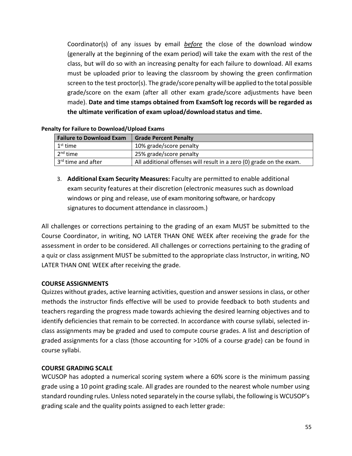Coordinator(s) of any issues by email *before*  the close of the download window (generally at the beginning of the exam period) will take the exam with the rest of the class, but will do so with an increasing penalty for each failure to download. All exams must be uploaded prior to leaving the classroom by showing the green confirmation screen to the test proctor(s). The grade/score penalty will be applied to the total possible grade/score on the exam (after all other exam grade/score adjustments have been made). **Date and time stamps obtained from ExamSoft log records will be regarded as the ultimate verification of exam upload/download status and time.** 

| <b>Failure to Download Exam</b> | <b>Grade Percent Penalty</b>                                         |
|---------------------------------|----------------------------------------------------------------------|
| $1st$ time                      | 10% grade/score penalty                                              |
| $2nd$ time                      | 25% grade/score penalty                                              |
| 3 <sup>rd</sup> time and after  | All additional offenses will result in a zero (0) grade on the exam. |

#### **Penalty for Failure to Download/Upload Exams**

3. **Additional Exam Security Measures:** Faculty are permitted to enable additional exam security features at their discretion (electronic measures such as download windows or ping and release, use of exam monitoring software, or hardcopy signatures to document attendance in classroom.)

All challenges or corrections pertaining to the grading of an exam MUST be submitted to the Course Coordinator, in writing, NO LATER THAN ONE WEEK after receiving the grade for the assessment in order to be considered. All challenges or corrections pertaining to the grading of a quiz or class assignment MUST be submitted to the appropriate class Instructor, in writing, NO LATER THAN ONE WEEK after receiving the grade.

#### **COURSE ASSIGNMENTS**

Quizzes without grades, active learning activities, question and answer sessions in class, or other methods the instructor finds effective will be used to provide feedback to both students and teachers regarding the progress made towards achieving the desired learning objectives and to identify deficiencies that remain to be corrected. In accordance with course syllabi, selected in‐ class assignments may be graded and used to compute course grades. A list and description of graded assignments for a class (those accounting for >10% of a course grade) can be found in course syllabi.

#### **COURSE GRADING SCALE**

WCUSOP has adopted a numerical scoring system where a 60% score is the minimum passing grade using a 10 point grading scale. All grades are rounded to the nearest whole number using standard rounding rules. Unless noted separately in the course syllabi, the following is WCUSOP's grading scale and the quality points assigned to each letter grade: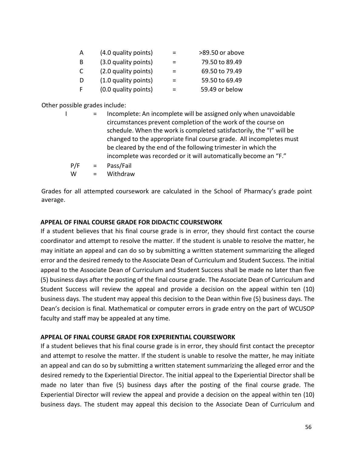| A            | (4.0 quality points) |          | >89.50 or above |
|--------------|----------------------|----------|-----------------|
| -B           | (3.0 quality points) | $\equiv$ | 79.50 to 89.49  |
| <sup>C</sup> | (2.0 quality points) | =        | 69.50 to 79.49  |
| -D           | (1.0 quality points) | =        | 59.50 to 69.49  |
| F            | (0.0 quality points) | =        | 59.49 or below  |

Other possible grades include:

| $\mathbf{r}$ | Incomplete: An incomplete will be assigned only when unavoidable     |
|--------------|----------------------------------------------------------------------|
|              | circumstances prevent completion of the work of the course on        |
|              | schedule. When the work is completed satisfactorily, the "I" will be |
|              | changed to the appropriate final course grade. All incompletes must  |
|              | be cleared by the end of the following trimester in which the        |
|              | incomplete was recorded or it will automatically become an "F."      |

- P/F = Pass/Fail
- W = Withdraw

Grades for all attempted coursework are calculated in the School of Pharmacy's grade point average.

#### **APPEAL OF FINAL COURSE GRADE FOR DIDACTIC COURSEWORK**

If a student believes that his final course grade is in error, they should first contact the course coordinator and attempt to resolve the matter. If the student is unable to resolve the matter, he may initiate an appeal and can do so by submitting a written statement summarizing the alleged error and the desired remedy to the Associate Dean of Curriculum and Student Success. The initial appeal to the Associate Dean of Curriculum and Student Success shall be made no later than five (5) business days after the posting of the final course grade. The Associate Dean of Curriculum and Student Success will review the appeal and provide a decision on the appeal within ten (10) business days. The student may appeal this decision to the Dean within five (5) business days. The Dean's decision is final. Mathematical or computer errors in grade entry on the part of WCUSOP faculty and staff may be appealed at any time.

# **APPEAL OF FINAL COURSE GRADE FOR EXPERIENTIAL COURSEWORK**

If a student believes that his final course grade is in error, they should first contact the preceptor and attempt to resolve the matter. If the student is unable to resolve the matter, he may initiate an appeal and can do so by submitting a written statement summarizing the alleged error and the desired remedy to the Experiential Director. The initial appeal to the Experiential Director shall be made no later than five (5) business days after the posting of the final course grade. The Experiential Director will review the appeal and provide a decision on the appeal within ten (10) business days. The student may appeal this decision to the Associate Dean of Curriculum and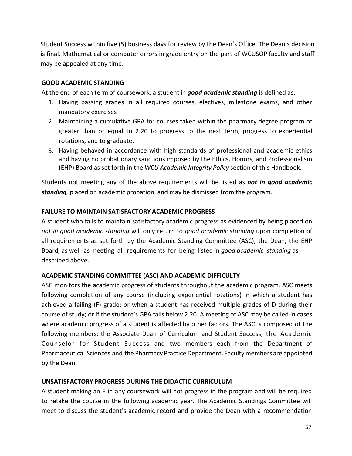Student Success within five (5) business days for review by the Dean's Office. The Dean's decision is final. Mathematical or computer errors in grade entry on the part of WCUSOP faculty and staff may be appealed at any time.

### **GOOD ACADEMIC STANDING**

At the end of each term of coursework, a student in *good academic standing* is defined as:

- 1. Having passing grades in all required courses, electives, milestone exams, and other mandatory exercises
- 2. Maintaining a cumulative GPA for courses taken within the pharmacy degree program of greater than or equal to 2.20 to progress to the next term, progress to experiential rotations, and to graduate.
- 3. Having behaved in accordance with high standards of professional and academic ethics and having no probationary sanctions imposed by the Ethics, Honors, and Professionalism (EHP) Board as set forth in the *WCU Academic Integrity Policy* section of this Handbook.

Students not meeting any of the above requirements will be listed as *not in good academic standing,* placed on academic probation, and may be dismissed from the program.

#### **FAILURE TO MAINTAIN SATISFACTORY ACADEMIC PROGRESS**

A student who fails to maintain satisfactory academic progress as evidenced by being placed on *not in good academic standing* will only return to *good academic standing* upon completion of all requirements as set forth by the Academic Standing Committee (ASC), the Dean, the EHP Board, as well as meeting all requirements for being listed in *good academic standing* as described above.

# **ACADEMIC STANDING COMMITTEE (ASC) AND ACADEMIC DIFFICULTY**

ASC monitors the academic progress of students throughout the academic program. ASC meets following completion of any course (including experiential rotations) in which a student has achieved a failing (F) grade; or when a student has received multiple grades of D during their course of study; or if the student's GPA falls below 2.20. A meeting of ASC may be called in cases where academic progress of a student is affected by other factors. The ASC is composed of the following members: the Associate Dean of Curriculum and Student Success, the Academic Counselor for Student Success and two members each from the Department of Pharmaceutical Sciences and the Pharmacy Practice Department. Faculty members are appointed by the Dean.

#### **UNSATISFACTORY PROGRESS DURING THE DIDACTIC CURRICULUM**

A student making an F in any coursework will not progress in the program and will be required to retake the course in the following academic year. The Academic Standings Committee will meet to discuss the student's academic record and provide the Dean with a recommendation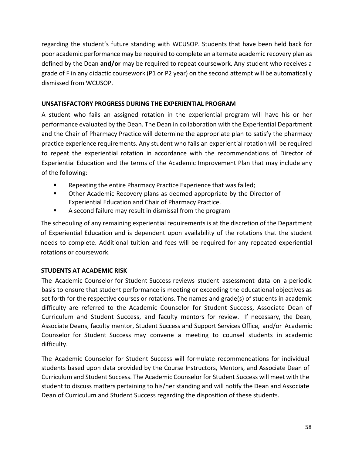regarding the student's future standing with WCUSOP. Students that have been held back for poor academic performance may be required to complete an alternate academic recovery plan as defined by the Dean **and/or** may be required to repeat coursework. Any student who receives a grade of F in any didactic coursework (P1 or P2 year) on the second attempt will be automatically dismissed from WCUSOP.

#### **UNSATISFACTORY PROGRESS DURING THE EXPERIENTIAL PROGRAM**

A student who fails an assigned rotation in the experiential program will have his or her performance evaluated by the Dean. The Dean in collaboration with the Experiential Department and the Chair of Pharmacy Practice will determine the appropriate plan to satisfy the pharmacy practice experience requirements. Any student who fails an experiential rotation will be required to repeat the experiential rotation in accordance with the recommendations of Director of Experiential Education and the terms of the Academic Improvement Plan that may include any of the following:

- **EXE** Repeating the entire Pharmacy Practice Experience that was failed;
- Other Academic Recovery plans as deemed appropriate by the Director of Experiential Education and Chair of Pharmacy Practice.
- A second failure may result in dismissal from the program

The scheduling of any remaining experiential requirements is at the discretion of the Department of Experiential Education and is dependent upon availability of the rotations that the student needs to complete. Additional tuition and fees will be required for any repeated experiential rotations or coursework.

# **STUDENTS AT ACADEMIC RISK**

The Academic Counselor for Student Success reviews student assessment data on a periodic basis to ensure that student performance is meeting or exceeding the educational objectives as set forth for the respective courses or rotations. The names and grade(s) of students in academic difficulty are referred to the Academic Counselor for Student Success, Associate Dean of Curriculum and Student Success, and faculty mentors for review. If necessary, the Dean, Associate Deans, faculty mentor, Student Success and Support Services Office, and/or Academic Counselor for Student Success may convene a meeting to counsel students in academic difficulty.

The Academic Counselor for Student Success will formulate recommendations for individual students based upon data provided by the Course Instructors, Mentors, and Associate Dean of Curriculum and Student Success. The Academic Counselor for Student Success will meet with the student to discuss matters pertaining to his/her standing and will notify the Dean and Associate Dean of Curriculum and Student Success regarding the disposition of these students.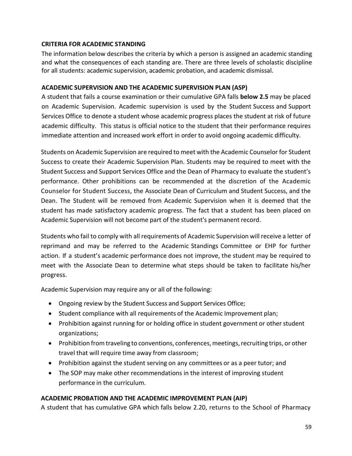### **CRITERIA FOR ACADEMIC STANDING**

The information below describes the criteria by which a person is assigned an academic standing and what the consequences of each standing are. There are three levels of scholastic discipline for all students: academic supervision, academic probation, and academic dismissal.

#### **ACADEMIC SUPERVISION AND THE ACADEMIC SUPERVISION PLAN (ASP)**

A student that fails a course examination or their cumulative GPA falls **below 2.5** may be placed on Academic Supervision. Academic supervision is used by the Student Success and Support Services Office to denote a student whose academic progress places the student at risk of future academic difficulty. This status is official notice to the student that their performance requires immediate attention and increased work effort in order to avoid ongoing academic difficulty.

Students on Academic Supervision are required to meet with the Academic Counselor for Student Success to create their Academic Supervision Plan. Students may be required to meet with the Student Success and Support Services Office and the Dean of Pharmacy to evaluate the student's performance. Other prohibitions can be recommended at the discretion of the Academic Counselor for Student Success, the Associate Dean of Curriculum and Student Success, and the Dean. The Student will be removed from Academic Supervision when it is deemed that the student has made satisfactory academic progress. The fact that a student has been placed on Academic Supervision will not become part of the student's permanent record.

Students who fail to comply with all requirements of Academic Supervision will receive a letter of reprimand and may be referred to the Academic Standings Committee or EHP for further action. If a student's academic performance does not improve, the student may be required to meet with the Associate Dean to determine what steps should be taken to facilitate his/her progress.

Academic Supervision may require any or all of the following:

- Ongoing review by the Student Success and Support Services Office;
- Student compliance with all requirements of the Academic Improvement plan;
- Prohibition against running for or holding office in student government or other student organizations;
- Prohibition from traveling to conventions, conferences, meetings, recruiting trips, or other travel that will require time away from classroom;
- Prohibition against the student serving on any committees or as a peer tutor; and
- The SOP may make other recommendations in the interest of improving student performance in the curriculum.

# **ACADEMIC PROBATION AND THE ACADEMIC IMPROVEMENT PLAN (AIP)**

A student that has cumulative GPA which falls below 2.20, returns to the School of Pharmacy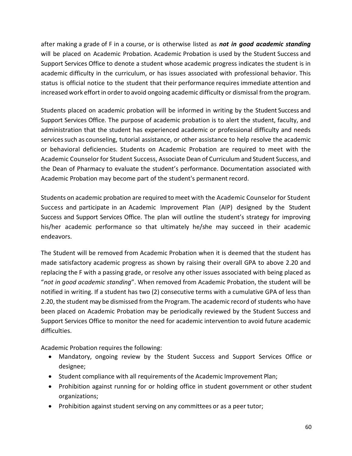after making a grade of F in a course, or is otherwise listed as *not in good academic standing*  will be placed on Academic Probation. Academic Probation is used by the Student Success and Support Services Office to denote a student whose academic progress indicates the student is in academic difficulty in the curriculum, or has issues associated with professional behavior. This status is official notice to the student that their performance requires immediate attention and increased work effort in order to avoid ongoing academic difficulty or dismissal from the program.

Students placed on academic probation will be informed in writing by the Student Success and Support Services Office. The purpose of academic probation is to alert the student, faculty, and administration that the student has experienced academic or professional difficulty and needs services such as counseling, tutorial assistance, or other assistance to help resolve the academic or behavioral deficiencies. Students on Academic Probation are required to meet with the Academic Counselor for Student Success, Associate Dean of Curriculum and Student Success, and the Dean of Pharmacy to evaluate the student's performance. Documentation associated with Academic Probation may become part of the student's permanent record.

Students on academic probation are required to meet with the Academic Counselor for Student Success and participate in an Academic Improvement Plan (AIP) designed by the Student Success and Support Services Office. The plan will outline the student's strategy for improving his/her academic performance so that ultimately he/she may succeed in their academic endeavors.

The Student will be removed from Academic Probation when it is deemed that the student has made satisfactory academic progress as shown by raising their overall GPA to above 2.20 and replacing the F with a passing grade, or resolve any other issues associated with being placed as "*not in good academic standing*". When removed from Academic Probation, the student will be notified in writing. If a student has two (2) consecutive terms with a cumulative GPA of less than 2.20, the student may be dismissed from the Program. The academic record of students who have been placed on Academic Probation may be periodically reviewed by the Student Success and Support Services Office to monitor the need for academic intervention to avoid future academic difficulties.

Academic Probation requires the following:

- Mandatory, ongoing review by the Student Success and Support Services Office or designee;
- Student compliance with all requirements of the Academic Improvement Plan;
- Prohibition against running for or holding office in student government or other student organizations;
- Prohibition against student serving on any committees or as a peer tutor;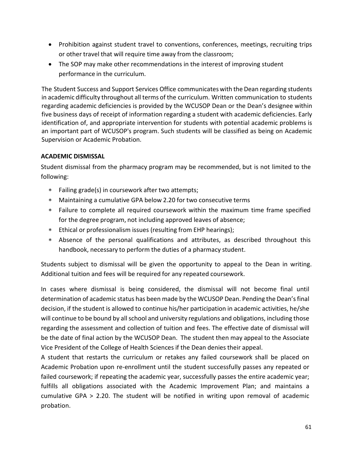- Prohibition against student travel to conventions, conferences, meetings, recruiting trips or other travel that will require time away from the classroom;
- The SOP may make other recommendations in the interest of improving student performance in the curriculum.

The Student Success and Support Services Office communicates with the Dean regarding students in academic difficulty throughout all terms of the curriculum. Written communication to students regarding academic deficiencies is provided by the WCUSOP Dean or the Dean's designee within five business days of receipt of information regarding a student with academic deficiencies. Early identification of, and appropriate intervention for students with potential academic problems is an important part of WCUSOP's program. Such students will be classified as being on Academic Supervision or Academic Probation.

# **ACADEMIC DISMISSAL**

Student dismissal from the pharmacy program may be recommended, but is not limited to the following:

- Failing grade(s) in coursework after two attempts;
- Maintaining a cumulative GPA below 2.20 for two consecutive terms
- Failure to complete all required coursework within the maximum time frame specified for the degree program, not including approved leaves of absence;
- Ethical or professionalism issues (resulting from EHP hearings);
- Absence of the personal qualifications and attributes, as described throughout this handbook, necessary to perform the duties of a pharmacy student.

Students subject to dismissal will be given the opportunity to appeal to the Dean in writing. Additional tuition and fees will be required for any repeated coursework.

In cases where dismissal is being considered, the dismissal will not become final until determination of academic status has been made by the WCUSOP Dean. Pending the Dean's final decision, if the student is allowed to continue his/her participation in academic activities, he/she will continue to be bound by all school and university regulations and obligations, including those regarding the assessment and collection of tuition and fees. The effective date of dismissal will be the date of final action by the WCUSOP Dean. The student then may appeal to the Associate Vice President of the College of Health Sciences if the Dean denies their appeal.

A student that restarts the curriculum or retakes any failed coursework shall be placed on Academic Probation upon re‐enrollment until the student successfully passes any repeated or failed coursework; if repeating the academic year, successfully passes the entire academic year; fulfills all obligations associated with the Academic Improvement Plan; and maintains a cumulative GPA > 2.20. The student will be notified in writing upon removal of academic probation.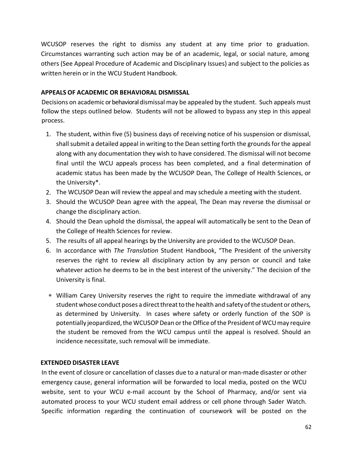WCUSOP reserves the right to dismiss any student at any time prior to graduation. Circumstances warranting such action may be of an academic, legal, or social nature, among others (See Appeal Procedure of Academic and Disciplinary Issues) and subject to the policies as written herein or in the WCU Student Handbook.

### **APPEALS OF ACADEMIC OR BEHAVIORAL DISMISSAL**

Decisions on academic or behavioral dismissal may be appealed by the student. Such appeals must follow the steps outlined below. Students will not be allowed to bypass any step in this appeal process.

- 1. The student, within five (5) business days of receiving notice of his suspension or dismissal, shall submit a detailed appeal in writing to the Dean setting forth the grounds for the appeal along with any documentation they wish to have considered. The dismissal will not become final until the WCU appeals process has been completed, and a final determination of academic status has been made by the WCUSOP Dean, The College of Health Sciences, or the University\*.
- 2. The WCUSOP Dean will review the appeal and may schedule a meeting with the student.
- 3. Should the WCUSOP Dean agree with the appeal, The Dean may reverse the dismissal or change the disciplinary action.
- 4. Should the Dean uphold the dismissal, the appeal will automatically be sent to the Dean of the College of Health Sciences for review.
- 5. The results of all appeal hearings by the University are provided to the WCUSOP Dean.
- 6. In accordance with *The Translation* Student Handbook, "The President of the university reserves the right to review all disciplinary action by any person or council and take whatever action he deems to be in the best interest of the university." The decision of the University is final.
- William Carey University reserves the right to require the immediate withdrawal of any student whose conduct poses a direct threat to the health and safety of the student or others, as determined by University. In cases where safety or orderly function of the SOP is potentially jeopardized, the WCUSOP Dean or the Office of the President of WCU may require the student be removed from the WCU campus until the appeal is resolved. Should an incidence necessitate, such removal will be immediate.

# **EXTENDED DISASTER LEAVE**

In the event of closure or cancellation of classes due to a natural or man‐made disaster or other emergency cause, general information will be forwarded to local media, posted on the WCU website, sent to your WCU e-mail account by the School of Pharmacy, and/or sent via automated process to your WCU student email address or cell phone through Sader Watch. Specific information regarding the continuation of coursework will be posted on the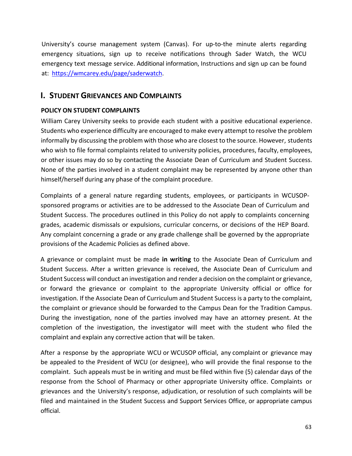University's course management system (Canvas). For up-to-the minute alerts regarding emergency situations, sign up to receive notifications through Sader Watch, the WCU emergency text message service. Additional information, Instructions and sign up can be found at: https://wmcarey.edu/page/saderwatch.

# **I. STUDENT GRIEVANCES AND COMPLAINTS**

#### **POLICY ON STUDENT COMPLAINTS**

William Carey University seeks to provide each student with a positive educational experience. Students who experience difficulty are encouraged to make every attempt to resolve the problem informally by discussing the problem with those who are closest to the source. However, students who wish to file formal complaints related to university policies, procedures, faculty, employees, or other issues may do so by contacting the Associate Dean of Curriculum and Student Success. None of the parties involved in a student complaint may be represented by anyone other than himself/herself during any phase of the complaint procedure.

Complaints of a general nature regarding students, employees, or participants in WCUSOP‐ sponsored programs or activities are to be addressed to the Associate Dean of Curriculum and Student Success. The procedures outlined in this Policy do not apply to complaints concerning grades, academic dismissals or expulsions, curricular concerns, or decisions of the HEP Board. Any complaint concerning a grade or any grade challenge shall be governed by the appropriate provisions of the Academic Policies as defined above.

A grievance or complaint must be made **in writing** to the Associate Dean of Curriculum and Student Success. After a written grievance is received, the Associate Dean of Curriculum and Student Success will conduct an investigation and render a decision on the complaint or grievance, or forward the grievance or complaint to the appropriate University official or office for investigation. If the Associate Dean of Curriculum and Student Success is a party to the complaint, the complaint or grievance should be forwarded to the Campus Dean for the Tradition Campus. During the investigation, none of the parties involved may have an attorney present. At the completion of the investigation, the investigator will meet with the student who filed the complaint and explain any corrective action that will be taken.

After a response by the appropriate WCU or WCUSOP official, any complaint or grievance may be appealed to the President of WCU (or designee), who will provide the final response to the complaint. Such appeals must be in writing and must be filed within five (5) calendar days of the response from the School of Pharmacy or other appropriate University office. Complaints or grievances and the University's response, adjudication, or resolution of such complaints will be filed and maintained in the Student Success and Support Services Office, or appropriate campus official.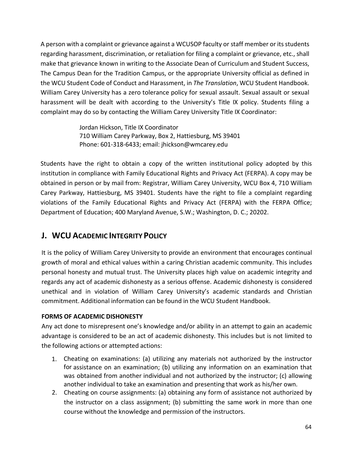A person with a complaint or grievance against a WCUSOP faculty or staff member or its students regarding harassment, discrimination, or retaliation for filing a complaint or grievance, etc., shall make that grievance known in writing to the Associate Dean of Curriculum and Student Success, The Campus Dean for the Tradition Campus, or the appropriate University official as defined in the WCU Student Code of Conduct and Harassment, in *The Translation*, WCU Student Handbook. William Carey University has a zero tolerance policy for sexual assault. Sexual assault or sexual harassment will be dealt with according to the University's Title IX policy. Students filing a complaint may do so by contacting the William Carey University Title IX Coordinator:

> Jordan Hickson, Title IX Coordinator 710 William Carey Parkway, Box 2, Hattiesburg, MS 39401 Phone: 601‐318‐6433; email: jhickson@wmcarey.edu

Students have the right to obtain a copy of the written institutional policy adopted by this institution in compliance with Family Educational Rights and Privacy Act (FERPA). A copy may be obtained in person or by mail from: Registrar, William Carey University, WCU Box 4, 710 William Carey Parkway, Hattiesburg, MS 39401. Students have the right to file a complaint regarding violations of the Family Educational Rights and Privacy Act (FERPA) with the FERPA Office; Department of Education; 400 Maryland Avenue, S.W.; Washington, D. C.; 20202.

# **J. WCU ACADEMIC INTEGRITY POLICY**

It is the policy of William Carey University to provide an environment that encourages continual growth of moral and ethical values within a caring Christian academic community. This includes personal honesty and mutual trust. The University places high value on academic integrity and regards any act of academic dishonesty as a serious offense. Academic dishonesty is considered unethical and in violation of William Carey University's academic standards and Christian commitment. Additional information can be found in the WCU Student Handbook.

# **FORMS OF ACADEMIC DISHONESTY**

Any act done to misrepresent one's knowledge and/or ability in an attempt to gain an academic advantage is considered to be an act of academic dishonesty. This includes but is not limited to the following actions or attempted actions:

- 1. Cheating on examinations: (a) utilizing any materials not authorized by the instructor for assistance on an examination; (b) utilizing any information on an examination that was obtained from another individual and not authorized by the instructor; (c) allowing another individual to take an examination and presenting that work as his/her own.
- 2. Cheating on course assignments: (a) obtaining any form of assistance not authorized by the instructor on a class assignment; (b) submitting the same work in more than one course without the knowledge and permission of the instructors.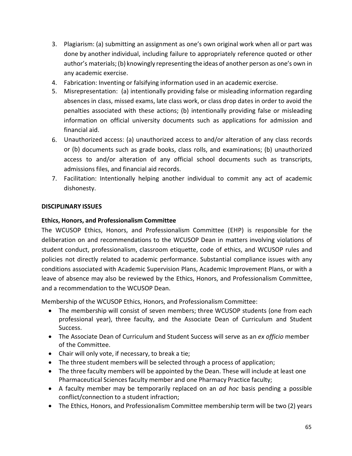- 3. Plagiarism: (a) submitting an assignment as one's own original work when all or part was done by another individual, including failure to appropriately reference quoted or other author's materials; (b) knowingly representing the ideas of another person as one's own in any academic exercise.
- 4. Fabrication: Inventing or falsifying information used in an academic exercise.
- 5. Misrepresentation: (a) intentionally providing false or misleading information regarding absences in class, missed exams, late class work, or class drop dates in order to avoid the penalties associated with these actions; (b) intentionally providing false or misleading information on official university documents such as applications for admission and financial aid.
- 6. Unauthorized access: (a) unauthorized access to and/or alteration of any class records or (b) documents such as grade books, class rolls, and examinations; (b) unauthorized access to and/or alteration of any official school documents such as transcripts, admissions files, and financial aid records.
- 7. Facilitation: Intentionally helping another individual to commit any act of academic dishonesty.

#### **DISCIPLINARY ISSUES**

# **Ethics, Honors, and Professionalism Committee**

The WCUSOP Ethics, Honors, and Professionalism Committee (EHP) is responsible for the deliberation on and recommendations to the WCUSOP Dean in matters involving violations of student conduct, professionalism, classroom etiquette, code of ethics, and WCUSOP rules and policies not directly related to academic performance. Substantial compliance issues with any conditions associated with Academic Supervision Plans, Academic Improvement Plans, or with a leave of absence may also be reviewed by the Ethics, Honors, and Professionalism Committee, and a recommendation to the WCUSOP Dean.

Membership of the WCUSOP Ethics, Honors, and Professionalism Committee:

- The membership will consist of seven members; three WCUSOP students (one from each professional year), three faculty, and the Associate Dean of Curriculum and Student Success.
- The Associate Dean of Curriculum and Student Success will serve as an *ex officio* member of the Committee.
- Chair will only vote, if necessary, to break a tie;
- The three student members will be selected through a process of application;
- The three faculty members will be appointed by the Dean. These will include at least one Pharmaceutical Sciences faculty member and one Pharmacy Practice faculty;
- A faculty member may be temporarily replaced on an *ad hoc*  basis pending a possible conflict/connection to a student infraction;
- The Ethics, Honors, and Professionalism Committee membership term will be two (2) years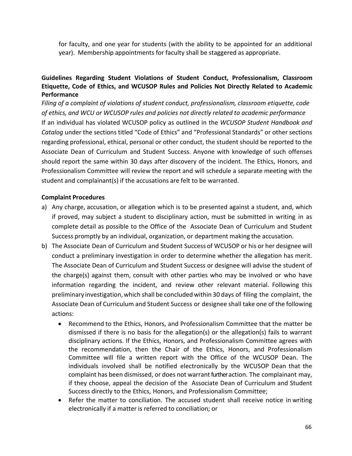for faculty, and one year for students (with the ability to be appointed for an additional year). Membership appointments for faculty shall be staggered as appropriate.

# **Guidelines Regarding Student Violations of Student Conduct, Professionalism, Classroom Etiquette, Code of Ethics, and WCUSOP Rules and Policies Not Directly Related to Academic Performance**

*Filing of a complaint of violations of student conduct, professionalism, classroom etiquette, code of ethics, and WCU or WCUSOP rules and policies not directly related to academic performance* If an individual has violated WCUSOP policy as outlined in the *WCUSOP Student Handbook and Catalog* under the sections titled "Code of Ethics" and "Professional Standards" or other sections regarding professional, ethical, personal or other conduct, the student should be reported to the Associate Dean of Curriculum and Student Success. Anyone with knowledge of such offenses should report the same within 30 days after discovery of the incident. The Ethics, Honors, and Professionalism Committee will review the report and will schedule a separate meeting with the student and complainant(s) if the accusations are felt to be warranted.

#### **Complaint Procedures**

- a) Any charge, accusation, or allegation which is to be presented against a student, and, which if proved, may subject a student to disciplinary action, must be submitted in writing in as complete detail as possible to the Office of the Associate Dean of Curriculum and Student Success promptly by an individual, organization, or department making the accusation.
- b) The Associate Dean of Curriculum and Student Success of WCUSOP or his or her designee will conduct a preliminary investigation in order to determine whether the allegation has merit. The Associate Dean of Curriculum and Student Success or designee will advise the student of the charge(s) against them, consult with other parties who may be involved or who have information regarding the incident, and review other relevant material. Following this preliminary investigation, which shall be concluded within 30 days of filing the complaint, the Associate Dean of Curriculum and Student Success or designee shall take one of the following actions:
	- Recommend to the Ethics, Honors, and Professionalism Committee that the matter be dismissed if there is no basis for the allegation(s) or the allegation(s) fails to warrant disciplinary actions. If the Ethics, Honors, and Professionalism Committee agrees with the recommendation, then the Chair of the Ethics, Honors, and Professionalism Committee will file a written report with the Office of the WCUSOP Dean. The individuals involved shall be notified electronically by the WCUSOP Dean that the complaint has been dismissed, or does not warrant further action. The complainant may, if they choose, appeal the decision of the Associate Dean of Curriculum and Student Success directly to the Ethics, Honors, and Professionalism Committee;
	- Refer the matter to conciliation. The accused student shall receive notice in writing electronically if a matter is referred to conciliation; or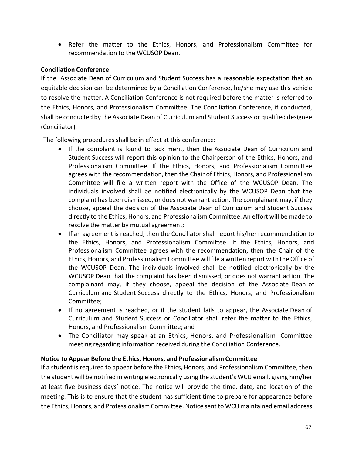Refer the matter to the Ethics, Honors, and Professionalism Committee for recommendation to the WCUSOP Dean.

### **Conciliation Conference**

If the Associate Dean of Curriculum and Student Success has a reasonable expectation that an equitable decision can be determined by a Conciliation Conference, he/she may use this vehicle to resolve the matter. A Conciliation Conference is not required before the matter is referred to the Ethics, Honors, and Professionalism Committee. The Conciliation Conference, if conducted, shall be conducted by the Associate Dean of Curriculum and Student Success or qualified designee (Conciliator).

The following procedures shall be in effect at this conference:

- If the complaint is found to lack merit, then the Associate Dean of Curriculum and Student Success will report this opinion to the Chairperson of the Ethics, Honors, and Professionalism Committee. If the Ethics, Honors, and Professionalism Committee agrees with the recommendation, then the Chair of Ethics, Honors, and Professionalism Committee will file a written report with the Office of the WCUSOP Dean. The individuals involved shall be notified electronically by the WCUSOP Dean that the complaint has been dismissed, or does not warrant action. The complainant may, if they choose, appeal the decision of the Associate Dean of Curriculum and Student Success directly to the Ethics, Honors, and Professionalism Committee. An effort will be made to resolve the matter by mutual agreement;
- If an agreement is reached, then the Conciliator shall report his/her recommendation to the Ethics, Honors, and Professionalism Committee. If the Ethics, Honors, and Professionalism Committee agrees with the recommendation, then the Chair of the Ethics, Honors, and Professionalism Committee will file a written report with the Office of the WCUSOP Dean. The individuals involved shall be notified electronically by the WCUSOP Dean that the complaint has been dismissed, or does not warrant action. The complainant may, if they choose, appeal the decision of the Associate Dean of Curriculum and Student Success directly to the Ethics, Honors, and Professionalism Committee;
- If no agreement is reached, or if the student fails to appear, the Associate Dean of Curriculum and Student Success or Conciliator shall refer the matter to the Ethics, Honors, and Professionalism Committee; and
- The Conciliator may speak at an Ethics, Honors, and Professionalism Committee meeting regarding information received during the Conciliation Conference.

#### **Notice to Appear Before the Ethics, Honors, and Professionalism Committee**

If a student is required to appear before the Ethics, Honors, and Professionalism Committee, then the student will be notified in writing electronically using the student's WCU email, giving him/her at least five business days' notice. The notice will provide the time, date, and location of the meeting. This is to ensure that the student has sufficient time to prepare for appearance before the Ethics, Honors, and Professionalism Committee. Notice sent to WCU maintained email address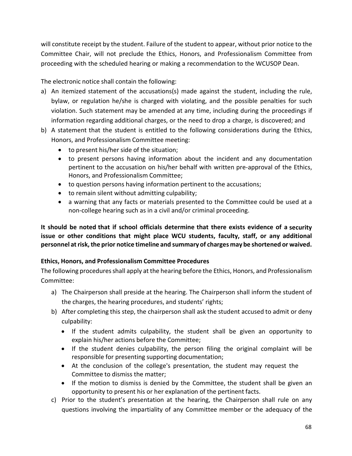will constitute receipt by the student. Failure of the student to appear, without prior notice to the Committee Chair, will not preclude the Ethics, Honors, and Professionalism Committee from proceeding with the scheduled hearing or making a recommendation to the WCUSOP Dean.

The electronic notice shall contain the following:

- a) An itemized statement of the accusations(s) made against the student, including the rule, bylaw, or regulation he/she is charged with violating, and the possible penalties for such violation. Such statement may be amended at any time, including during the proceedings if information regarding additional charges, or the need to drop a charge, is discovered; and
- b) A statement that the student is entitled to the following considerations during the Ethics, Honors, and Professionalism Committee meeting:
	- to present his/her side of the situation;
	- to present persons having information about the incident and any documentation pertinent to the accusation on his/her behalf with written pre‐approval of the Ethics, Honors, and Professionalism Committee;
	- to question persons having information pertinent to the accusations;
	- to remain silent without admitting culpability;
	- a warning that any facts or materials presented to the Committee could be used at a non‐college hearing such as in a civil and/or criminal proceeding.

**It should be noted that if school officials determine that there exists evidence of a security issue or other conditions that might place WCU students, faculty, staff, or any additional personnel at risk, the prior notice timeline and summary of charges may be shortened or waived.** 

# **Ethics, Honors, and Professionalism Committee Procedures**

The following procedures shall apply at the hearing before the Ethics, Honors, and Professionalism Committee:

- a) The Chairperson shall preside at the hearing. The Chairperson shall inform the student of the charges, the hearing procedures, and students' rights;
- b) After completing this step, the chairperson shall ask the student accused to admit or deny culpability:
	- If the student admits culpability, the student shall be given an opportunity to explain his/her actions before the Committee;
	- If the student denies culpability, the person filing the original complaint will be responsible for presenting supporting documentation;
	- At the conclusion of the college's presentation, the student may request the Committee to dismiss the matter;
	- If the motion to dismiss is denied by the Committee, the student shall be given an opportunity to present his or her explanation of the pertinent facts.
- c) Prior to the student's presentation at the hearing, the Chairperson shall rule on any questions involving the impartiality of any Committee member or the adequacy of the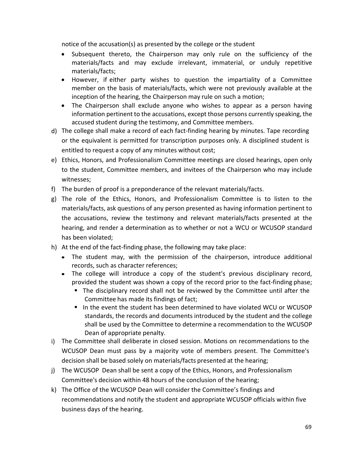notice of the accusation(s) as presented by the college or the student

- Subsequent thereto, the Chairperson may only rule on the sufficiency of the materials/facts and may exclude irrelevant, immaterial, or unduly repetitive materials/facts;
- However, if either party wishes to question the impartiality of a Committee member on the basis of materials/facts, which were not previously available at the inception of the hearing, the Chairperson may rule on such a motion;
- The Chairperson shall exclude anyone who wishes to appear as a person having information pertinent to the accusations, except those persons currently speaking, the accused student during the testimony, and Committee members.
- d) The college shall make a record of each fact-finding hearing by minutes. Tape recording or the equivalent is permitted for transcription purposes only. A disciplined student is entitled to request a copy of any minutes without cost;
- e) Ethics, Honors, and Professionalism Committee meetings are closed hearings, open only to the student, Committee members, and invitees of the Chairperson who may include witnesses;
- f) The burden of proof is a preponderance of the relevant materials/facts.
- g) The role of the Ethics, Honors, and Professionalism Committee is to listen to the materials/facts, ask questions of any person presented as having information pertinent to the accusations, review the testimony and relevant materials/facts presented at the hearing, and render a determination as to whether or not a WCU or WCUSOP standard has been violated;
- h) At the end of the fact‐finding phase, the following may take place:
	- The student may, with the permission of the chairperson, introduce additional records, such as character references;
	- The college will introduce a copy of the student's previous disciplinary record, provided the student was shown a copy of the record prior to the fact‐finding phase;
		- The disciplinary record shall not be reviewed by the Committee until after the Committee has made its findings of fact;
		- In the event the student has been determined to have violated WCU or WCUSOP standards, the records and documents introduced by the student and the college shall be used by the Committee to determine a recommendation to the WCUSOP Dean of appropriate penalty.
- i) The Committee shall deliberate in closed session. Motions on recommendations to the WCUSOP Dean must pass by a majority vote of members present. The Committee's decision shall be based solely on materials/facts presented at the hearing;
- j) The WCUSOP Dean shall be sent a copy of the Ethics, Honors, and Professionalism Committee's decision within 48 hours of the conclusion of the hearing;
- k) The Office of the WCUSOP Dean will consider the Committee's findings and recommendations and notify the student and appropriate WCUSOP officials within five business days of the hearing.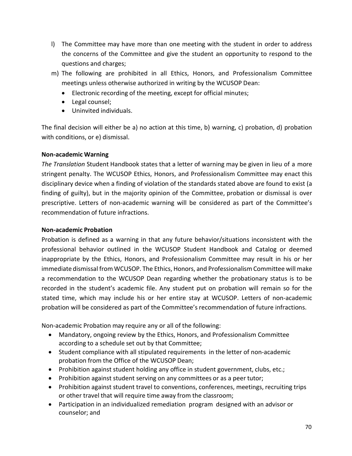- l) The Committee may have more than one meeting with the student in order to address the concerns of the Committee and give the student an opportunity to respond to the questions and charges;
- m) The following are prohibited in all Ethics, Honors, and Professionalism Committee meetings unless otherwise authorized in writing by the WCUSOP Dean:
	- Electronic recording of the meeting, except for official minutes;
	- Legal counsel:
	- Uninvited individuals.

The final decision will either be a) no action at this time, b) warning, c) probation, d) probation with conditions, or e) dismissal.

# **Non‐academic Warning**

*The Translation* Student Handbook states that a letter of warning may be given in lieu of a more stringent penalty. The WCUSOP Ethics, Honors, and Professionalism Committee may enact this disciplinary device when a finding of violation of the standards stated above are found to exist (a finding of guilty), but in the majority opinion of the Committee, probation or dismissal is over prescriptive. Letters of non-academic warning will be considered as part of the Committee's recommendation of future infractions.

# **Non‐academic Probation**

Probation is defined as a warning in that any future behavior/situations inconsistent with the professional behavior outlined in the WCUSOP Student Handbook and Catalog or deemed inappropriate by the Ethics, Honors, and Professionalism Committee may result in his or her immediate dismissal from WCUSOP. The Ethics, Honors, and Professionalism Committee will make a recommendation to the WCUSOP Dean regarding whether the probationary status is to be recorded in the student's academic file. Any student put on probation will remain so for the stated time, which may include his or her entire stay at WCUSOP. Letters of non-academic probation will be considered as part of the Committee's recommendation of future infractions.

Non‐academic Probation may require any or all of the following:

- Mandatory, ongoing review by the Ethics, Honors, and Professionalism Committee according to a schedule set out by that Committee;
- Student compliance with all stipulated requirements in the letter of non-academic probation from the Office of the WCUSOP Dean;
- Prohibition against student holding any office in student government, clubs, etc.;
- Prohibition against student serving on any committees or as a peer tutor;
- Prohibition against student travel to conventions, conferences, meetings, recruiting trips or other travel that will require time away from the classroom;
- Participation in an individualized remediation program designed with an advisor or counselor; and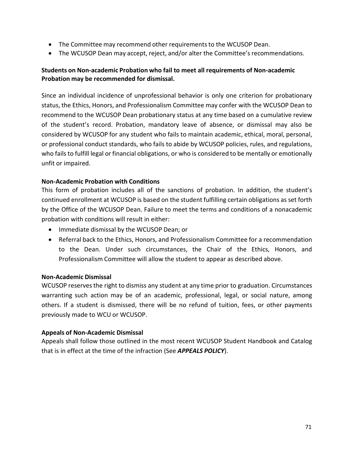- The Committee may recommend other requirements to the WCUSOP Dean.
- The WCUSOP Dean may accept, reject, and/or alter the Committee's recommendations.

# **Students on Non‐academic Probation who fail to meet all requirements of Non‐academic Probation may be recommended for dismissal.**

Since an individual incidence of unprofessional behavior is only one criterion for probationary status, the Ethics, Honors, and Professionalism Committee may confer with the WCUSOP Dean to recommend to the WCUSOP Dean probationary status at any time based on a cumulative review of the student's record. Probation, mandatory leave of absence, or dismissal may also be considered by WCUSOP for any student who fails to maintain academic, ethical, moral, personal, or professional conduct standards, who fails to abide by WCUSOP policies, rules, and regulations, who fails to fulfill legal or financial obligations, or who is considered to be mentally or emotionally unfit or impaired.

#### **Non‐Academic Probation with Conditions**

This form of probation includes all of the sanctions of probation. In addition, the student's continued enrollment at WCUSOP is based on the student fulfilling certain obligations as set forth by the Office of the WCUSOP Dean. Failure to meet the terms and conditions of a nonacademic probation with conditions will result in either:

- Immediate dismissal by the WCUSOP Dean; or
- Referral back to the Ethics, Honors, and Professionalism Committee for a recommendation to the Dean. Under such circumstances, the Chair of the Ethics, Honors, and Professionalism Committee will allow the student to appear as described above.

#### **Non‐Academic Dismissal**

WCUSOP reserves the right to dismiss any student at any time prior to graduation. Circumstances warranting such action may be of an academic, professional, legal, or social nature, among others. If a student is dismissed, there will be no refund of tuition, fees, or other payments previously made to WCU or WCUSOP.

#### **Appeals of Non‐Academic Dismissal**

Appeals shall follow those outlined in the most recent WCUSOP Student Handbook and Catalog that is in effect at the time of the infraction (See *APPEALS POLICY*).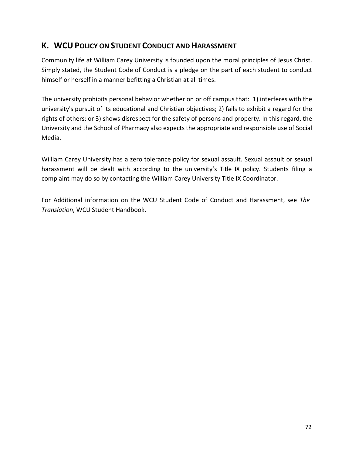# **K. WCU POLICY ON STUDENT CONDUCT AND HARASSMENT**

Community life at William Carey University is founded upon the moral principles of Jesus Christ. Simply stated, the Student Code of Conduct is a pledge on the part of each student to conduct himself or herself in a manner befitting a Christian at all times.

The university prohibits personal behavior whether on or off campus that: 1) interferes with the university's pursuit of its educational and Christian objectives; 2) fails to exhibit a regard for the rights of others; or 3) shows disrespect for the safety of persons and property. In this regard, the University and the School of Pharmacy also expects the appropriate and responsible use of Social Media.

William Carey University has a zero tolerance policy for sexual assault. Sexual assault or sexual harassment will be dealt with according to the university's Title IX policy. Students filing a complaint may do so by contacting the William Carey University Title IX Coordinator.

For Additional information on the WCU Student Code of Conduct and Harassment, see *The Translation*, WCU Student Handbook.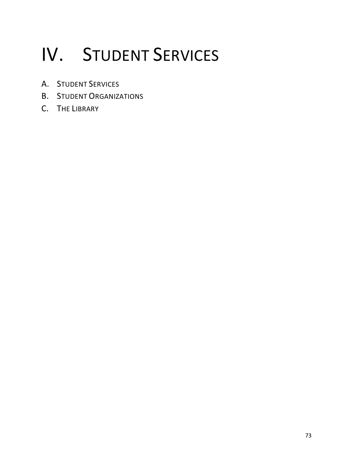# IV. STUDENT SERVICES

- A. STUDENT SERVICES
- B. STUDENT ORGANIZATIONS
- C. THE LIBRARY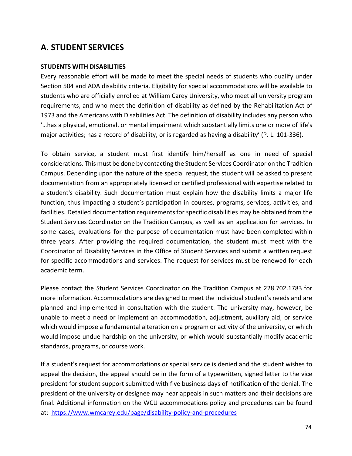## **A. STUDENT SERVICES**

## **STUDENTS WITH DISABILITIES**

Every reasonable effort will be made to meet the special needs of students who qualify under Section 504 and ADA disability criteria. Eligibility for special accommodations will be available to students who are officially enrolled at William Carey University, who meet all university program requirements, and who meet the definition of disability as defined by the Rehabilitation Act of 1973 and the Americans with Disabilities Act. The definition of disability includes any person who ′…has a physical, emotional, or mental impairment which substantially limits one or more of life's major activities; has a record of disability, or is regarded as having a disability′ (P. L. 101‐336).

To obtain service, a student must first identify him/herself as one in need of special considerations. This must be done by contacting the Student Services Coordinator on the Tradition Campus. Depending upon the nature of the special request, the student will be asked to present documentation from an appropriately licensed or certified professional with expertise related to a student's disability. Such documentation must explain how the disability limits a major life function, thus impacting a student's participation in courses, programs, services, activities, and facilities. Detailed documentation requirements for specific disabilities may be obtained from the Student Services Coordinator on the Tradition Campus, as well as an application for services. In some cases, evaluations for the purpose of documentation must have been completed within three years. After providing the required documentation, the student must meet with the Coordinator of Disability Services in the Office of Student Services and submit a written request for specific accommodations and services. The request for services must be renewed for each academic term.

Please contact the Student Services Coordinator on the Tradition Campus at 228.702.1783 for more information. Accommodations are designed to meet the individual student's needs and are planned and implemented in consultation with the student. The university may, however, be unable to meet a need or implement an accommodation, adjustment, auxiliary aid, or service which would impose a fundamental alteration on a program or activity of the university, or which would impose undue hardship on the university, or which would substantially modify academic standards, programs, or course work.

If a student's request for accommodations or special service is denied and the student wishes to appeal the decision, the appeal should be in the form of a typewritten, signed letter to the vice president for student support submitted with five business days of notification of the denial. The president of the university or designee may hear appeals in such matters and their decisions are final. Additional information on the WCU accommodations policy and procedures can be found at: https://www.wmcarey.edu/page/disability‐policy‐and‐procedures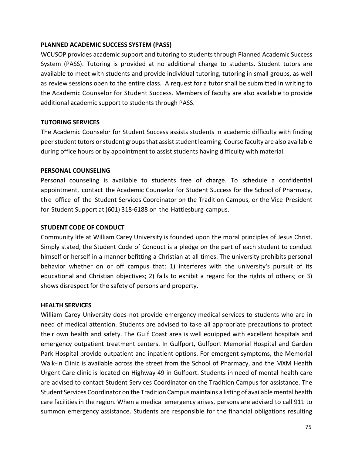## **PLANNED ACADEMIC SUCCESS SYSTEM (PASS)**

WCUSOP provides academic support and tutoring to students through Planned Academic Success System (PASS). Tutoring is provided at no additional charge to students. Student tutors are available to meet with students and provide individual tutoring, tutoring in small groups, as well as review sessions open to the entire class. A request for a tutor shall be submitted in writing to the Academic Counselor for Student Success. Members of faculty are also available to provide additional academic support to students through PASS.

## **TUTORING SERVICES**

The Academic Counselor for Student Success assists students in academic difficulty with finding peer student tutors or student groups that assist student learning. Course faculty are also available during office hours or by appointment to assist students having difficulty with material.

## **PERSONAL COUNSELING**

Personal counseling is available to students free of charge. To schedule a confidential appointment, contact the Academic Counselor for Student Success for the School of Pharmacy, t he office of the Student Services Coordinator on the Tradition Campus, or the Vice President for Student Support at (601) 318‐6188 on the Hattiesburg campus.

## **STUDENT CODE OF CONDUCT**

Community life at William Carey University is founded upon the moral principles of Jesus Christ. Simply stated, the Student Code of Conduct is a pledge on the part of each student to conduct himself or herself in a manner befitting a Christian at all times. The university prohibits personal behavior whether on or off campus that: 1) interferes with the university's pursuit of its educational and Christian objectives; 2) fails to exhibit a regard for the rights of others; or 3) shows disrespect for the safety of persons and property.

## **HEALTH SERVICES**

William Carey University does not provide emergency medical services to students who are in need of medical attention. Students are advised to take all appropriate precautions to protect their own health and safety. The Gulf Coast area is well equipped with excellent hospitals and emergency outpatient treatment centers. In Gulfport, Gulfport Memorial Hospital and Garden Park Hospital provide outpatient and inpatient options. For emergent symptoms, the Memorial Walk-In Clinic is available across the street from the School of Pharmacy, and the MXM Health Urgent Care clinic is located on Highway 49 in Gulfport. Students in need of mental health care are advised to contact Student Services Coordinator on the Tradition Campus for assistance. The Student Services Coordinator on the Tradition Campus maintains a listing of available mental health care facilities in the region. When a medical emergency arises, persons are advised to call 911 to summon emergency assistance. Students are responsible for the financial obligations resulting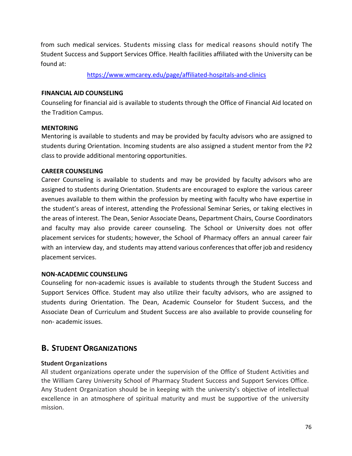from such medical services. Students missing class for medical reasons should notify The Student Success and Support Services Office. Health facilities affiliated with the University can be found at:

https://www.wmcarey.edu/page/affiliated‐hospitals‐and‐clinics

## **FINANCIAL AID COUNSELING**

Counseling for financial aid is available to students through the Office of Financial Aid located on the Tradition Campus.

## **MENTORING**

Mentoring is available to students and may be provided by faculty advisors who are assigned to students during Orientation. Incoming students are also assigned a student mentor from the P2 class to provide additional mentoring opportunities.

## **CAREER COUNSELING**

Career Counseling is available to students and may be provided by faculty advisors who are assigned to students during Orientation. Students are encouraged to explore the various career avenues available to them within the profession by meeting with faculty who have expertise in the student's areas of interest, attending the Professional Seminar Series, or taking electives in the areas of interest. The Dean, Senior Associate Deans, Department Chairs, Course Coordinators and faculty may also provide career counseling. The School or University does not offer placement services for students; however, the School of Pharmacy offers an annual career fair with an interview day, and students may attend various conferences that offer job and residency placement services.

## **NON‐ACADEMIC COUNSELING**

Counseling for non‐academic issues is available to students through the Student Success and Support Services Office. Student may also utilize their faculty advisors, who are assigned to students during Orientation. The Dean, Academic Counselor for Student Success, and the Associate Dean of Curriculum and Student Success are also available to provide counseling for non‐ academic issues.

## **B. STUDENT ORGANIZATIONS**

## **Student Organizations**

All student organizations operate under the supervision of the Office of Student Activities and the William Carey University School of Pharmacy Student Success and Support Services Office. Any Student Organization should be in keeping with the university's objective of intellectual excellence in an atmosphere of spiritual maturity and must be supportive of the university mission.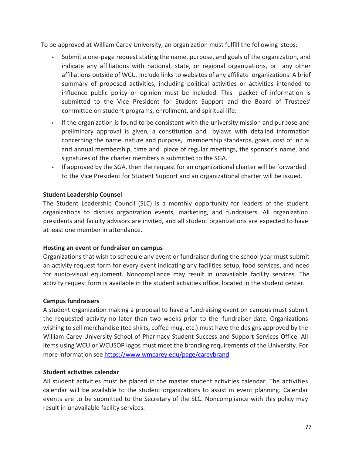To be approved at William Carey University, an organization must fulfill the following steps:

- Submit a one‐page request stating the name, purpose, and goals of the organization, and indicate any affiliations with national, state, or regional organizations, or any other affiliations outside of WCU. Include links to websites of any affiliate organizations. A brief summary of proposed activities, including political activities or activities intended to influence public policy or opinion must be included. This packet of information is submitted to the Vice President for Student Support and the Board of Trustees' committee on student programs, enrollment, and spiritual life.
- If the organization is found to be consistent with the university mission and purpose and preliminary approval is given, a constitution and bylaws with detailed information concerning the name, nature and purpose, membership standards, goals, cost of initial and annual membership, time and place of regular meetings, the sponsor's name, and signatures of the charter members is submitted to the SGA.
- If approved by the SGA, then the request for an organizational charter will be forwarded to the Vice President for Student Support and an organizational charter will be issued.

## **Student Leadership Counsel**

The Student Leadership Council (SLC) is a monthly opportunity for leaders of the student organizations to discuss organization events, marketing, and fundraisers. All organization presidents and faculty advisors are invited, and all student organizations are expected to have at least one member in attendance.

## **Hosting an event or fundraiser on campus**

Organizations that wish to schedule any event or fundraiser during the school year must submit an activity request form for every event indicating any facilities setup, food services, and need for audio-visual equipment. Noncompliance may result in unavailable facility services. The activity request form is available in the student activities office, located in the student center.

## **Campus fundraisers**

A student organization making a proposal to have a fundraising event on campus must submit the requested activity no later than two weeks prior to the fundraiser date. Organizations wishing to sell merchandise (tee shirts, coffee mug, etc.) must have the designs approved by the William Carey University School of Pharmacy Student Success and Support Services Office. All items using WCU or WCUSOP logos must meet the branding requirements of the University. For more information see https://www.wmcarey.edu/page/careybrand.

## **Student activities calendar**

All student activities must be placed in the master student activities calendar. The activities calendar will be available to the student organizations to assist in event planning. Calendar events are to be submitted to the Secretary of the SLC. Noncompliance with this policy may result in unavailable facility services.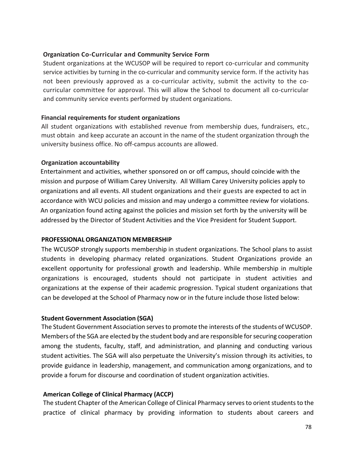## **Organization Co‐Curricular and Community Service Form**

Student organizations at the WCUSOP will be required to report co-curricular and community service activities by turning in the co-curricular and community service form. If the activity has not been previously approved as a co-curricular activity, submit the activity to the cocurricular committee for approval. This will allow the School to document all co-curricular and community service events performed by student organizations.

## **Financial requirements for student organizations**

All student organizations with established revenue from membership dues, fundraisers, etc., must obtain and keep accurate an account in the name of the student organization through the university business office. No off‐campus accounts are allowed.

## **Organization accountability**

Entertainment and activities, whether sponsored on or off campus, should coincide with the mission and purpose of William Carey University. All William Carey University policies apply to organizations and all events. All student organizations and their guests are expected to act in accordance with WCU policies and mission and may undergo a committee review for violations. An organization found acting against the policies and mission set forth by the university will be addressed by the Director of Student Activities and the Vice President for Student Support.

## **PROFESSIONAL ORGANIZATION MEMBERSHIP**

The WCUSOP strongly supports membership in student organizations. The School plans to assist students in developing pharmacy related organizations. Student Organizations provide an excellent opportunity for professional growth and leadership. While membership in multiple organizations is encouraged, students should not participate in student activities and organizations at the expense of their academic progression. Typical student organizations that can be developed at the School of Pharmacy now or in the future include those listed below:

## **Student Government Association (SGA)**

The Student Government Association serves to promote the interests of the students of WCUSOP. Members of the SGA are elected by the student body and are responsible for securing cooperation among the students, faculty, staff, and administration, and planning and conducting various student activities. The SGA will also perpetuate the University's mission through its activities, to provide guidance in leadership, management, and communication among organizations, and to provide a forum for discourse and coordination of student organization activities.

## **American College of Clinical Pharmacy (ACCP)**

The student Chapter of the American College of Clinical Pharmacy serves to orient students to the practice of clinical pharmacy by providing information to students about careers and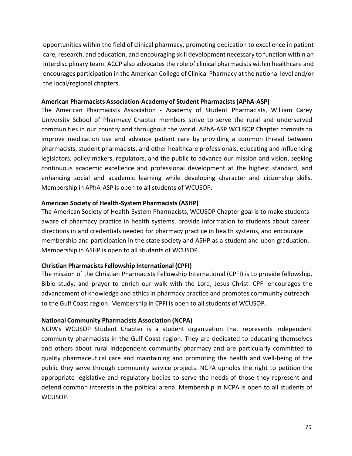opportunities within the field of clinical pharmacy, promoting dedication to excellence in patient care, research, and education, and encouraging skill development necessary to function within an interdisciplinary team. ACCP also advocates the role of clinical pharmacists within healthcare and encourages participation in the American College of Clinical Pharmacy at the national level and/or the local/regional chapters.

## **American Pharmacists Association‐Academy of Student Pharmacists (APhA‐ASP)**

The American Pharmacists Association ‐ Academy of Student Pharmacists, William Carey University School of Pharmacy Chapter members strive to serve the rural and underserved communities in our country and throughout the world. APhA‐ASP WCUSOP Chapter commits to improve medication use and advance patient care by providing a common thread between pharmacists, student pharmacists, and other healthcare professionals, educating and influencing legislators, policy makers, regulators, and the public to advance our mission and vision, seeking continuous academic excellence and professional development at the highest standard, and enhancing social and academic learning while developing character and citizenship skills. Membership in APhA‐ASP is open to all students of WCUSOP.

## **American Society of Health‐System Pharmacists (ASHP)**

The American Society of Health‐System Pharmacists, WCUSOP Chapter goal is to make students aware of pharmacy practice in health systems, provide information to students about career directions in and credentials needed for pharmacy practice in health systems, and encourage membership and participation in the state society and ASHP as a student and upon graduation. Membership in ASHP is open to all students of WCUSOP.

## **Christian Pharmacists Fellowship International (CPFI)**

The mission of the Christian Pharmacists Fellowship International (CPFI) is to provide fellowship, Bible study, and prayer to enrich our walk with the Lord, Jesus Christ. CPFI encourages the advancement of knowledge and ethics in pharmacy practice and promotes community outreach to the Gulf Coast region. Membership in CPFI is open to all students of WCUSOP.

## **National Community Pharmacists Association (NCPA)**

NCPA's WCUSOP Student Chapter is a student organization that represents independent community pharmacists in the Gulf Coast region. They are dedicated to educating themselves and others about rural independent community pharmacy and are particularly committed to quality pharmaceutical care and maintaining and promoting the health and well‐being of the public they serve through community service projects. NCPA upholds the right to petition the appropriate legislative and regulatory bodies to serve the needs of those they represent and defend common interests in the political arena. Membership in NCPA is open to all students of WCUSOP.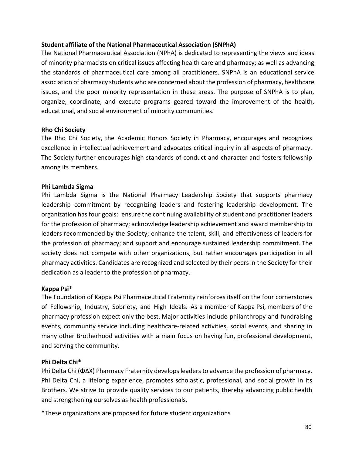## **Student affiliate of the National Pharmaceutical Association (SNPhA)**

The National Pharmaceutical Association (NPhA) is dedicated to representing the views and ideas of minority pharmacists on critical issues affecting health care and pharmacy; as well as advancing the standards of pharmaceutical care among all practitioners. SNPhA is an educational service association of pharmacy students who are concerned about the profession of pharmacy, healthcare issues, and the poor minority representation in these areas. The purpose of SNPhA is to plan, organize, coordinate, and execute programs geared toward the improvement of the health, educational, and social environment of minority communities.

## **Rho Chi Society**

The Rho Chi Society, the Academic Honors Society in Pharmacy, encourages and recognizes excellence in intellectual achievement and advocates critical inquiry in all aspects of pharmacy. The Society further encourages high standards of conduct and character and fosters fellowship among its members.

## **Phi Lambda Sigma**

Phi Lambda Sigma is the National Pharmacy Leadership Society that supports pharmacy leadership commitment by recognizing leaders and fostering leadership development. The organization has four goals: ensure the continuing availability of student and practitioner leaders for the profession of pharmacy; acknowledge leadership achievement and award membership to leaders recommended by the Society; enhance the talent, skill, and effectiveness of leaders for the profession of pharmacy; and support and encourage sustained leadership commitment. The society does not compete with other organizations, but rather encourages participation in all pharmacy activities. Candidates are recognized and selected by their peers in the Society for their dedication as a leader to the profession of pharmacy.

## **Kappa Psi\***

The Foundation of Kappa Psi Pharmaceutical Fraternity reinforces itself on the four cornerstones of Fellowship, Industry, Sobriety, and High Ideals. As a member of Kappa Psi, members of the pharmacy profession expect only the best. Major activities include philanthropy and fundraising events, community service including healthcare-related activities, social events, and sharing in many other Brotherhood activities with a main focus on having fun, professional development, and serving the community.

## **Phi Delta Chi\***

Phi Delta Chi (ΦΔΧ) Pharmacy Fraternity develops leaders to advance the profession of pharmacy. Phi Delta Chi, a lifelong experience, promotes scholastic, professional, and social growth in its Brothers. We strive to provide quality services to our patients, thereby advancing public health and strengthening ourselves as health professionals.

\*These organizations are proposed for future student organizations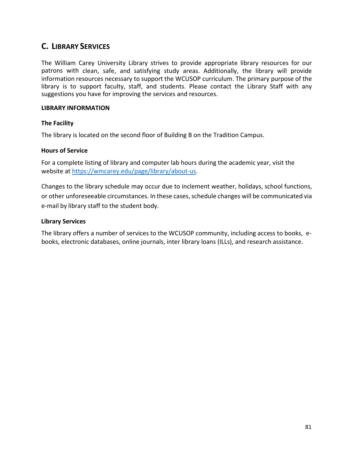## **C. LIBRARY SERVICES**

The William Carey University Library strives to provide appropriate library resources for our patrons with clean, safe, and satisfying study areas. Additionally, the library will provide information resources necessary to support the WCUSOP curriculum. The primary purpose of the library is to support faculty, staff, and students. Please contact the Library Staff with any suggestions you have for improving the services and resources.

## **LIBRARY INFORMATION**

## **The Facility**

The library is located on the second floor of Building B on the Tradition Campus.

#### **Hours of Service**

For a complete listing of library and computer lab hours during the academic year, visit the website at https://wmcarey.edu/page/library/about‐us.

Changes to the library schedule may occur due to inclement weather, holidays, school functions, or other unforeseeable circumstances. In these cases, schedule changes will be communicated via e‐mail by library staff to the student body.

## **Library Services**

The library offers a number of services to the WCUSOP community, including access to books, e‐ books, electronic databases, online journals, inter library loans (ILLs), and research assistance.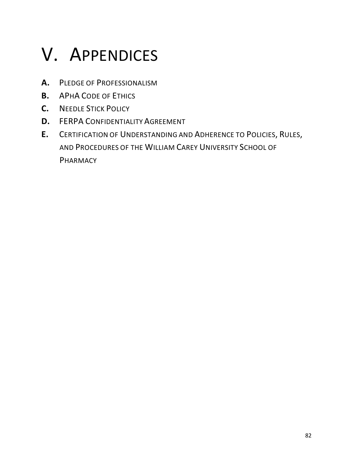# V. APPENDICES

- **A.**  PLEDGE OF PROFESSIONALISM
- **B.**  APHA CODE OF ETHICS
- **C.**  NEEDLE STICK POLICY
- **D.** FERPA CONFIDENTIALITY AGREEMENT
- **E.**  CERTIFICATION OF UNDERSTANDING AND ADHERENCE TO POLICIES, RULES, AND PROCEDURES OF THE WILLIAM CAREY UNIVERSITY SCHOOL OF PHARMACY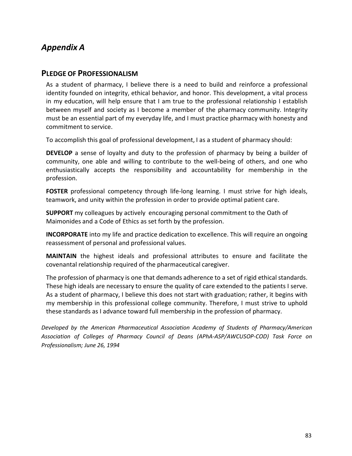## *Appendix A*

## **PLEDGE OF PROFESSIONALISM**

As a student of pharmacy, I believe there is a need to build and reinforce a professional identity founded on integrity, ethical behavior, and honor. This development, a vital process in my education, will help ensure that I am true to the professional relationship I establish between myself and society as I become a member of the pharmacy community. Integrity must be an essential part of my everyday life, and I must practice pharmacy with honesty and commitment to service.

To accomplish this goal of professional development, I as a student of pharmacy should:

**DEVELOP** a sense of loyalty and duty to the profession of pharmacy by being a builder of community, one able and willing to contribute to the well-being of others, and one who enthusiastically accepts the responsibility and accountability for membership in the profession.

**FOSTER** professional competency through life-long learning. I must strive for high ideals, teamwork, and unity within the profession in order to provide optimal patient care.

**SUPPORT** my colleagues by actively encouraging personal commitment to the Oath of Maimonides and a Code of Ethics as set forth by the profession.

**INCORPORATE** into my life and practice dedication to excellence. This will require an ongoing reassessment of personal and professional values.

**MAINTAIN**  the highest ideals and professional attributes to ensure and facilitate the covenantal relationship required of the pharmaceutical caregiver.

The profession of pharmacy is one that demands adherence to a set of rigid ethical standards. These high ideals are necessary to ensure the quality of care extended to the patients I serve. As a student of pharmacy, I believe this does not start with graduation; rather, it begins with my membership in this professional college community. Therefore, I must strive to uphold these standards as I advance toward full membership in the profession of pharmacy.

*Developed by the American Pharmaceutical Association Academy of Students of Pharmacy/American Association of Colleges of Pharmacy Council of Deans (APhA‐ASP/AWCUSOP‐COD) Task Force on Professionalism; June 26, 1994*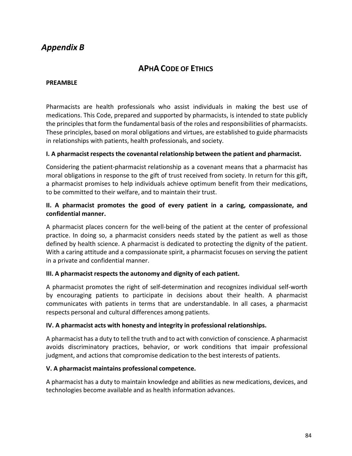## *Appendix B*

## **APHA CODE OF ETHICS**

#### **PREAMBLE**

Pharmacists are health professionals who assist individuals in making the best use of medications. This Code, prepared and supported by pharmacists, is intended to state publicly the principles that form the fundamental basis of the roles and responsibilities of pharmacists. These principles, based on moral obligations and virtues, are established to guide pharmacists in relationships with patients, health professionals, and society.

## **I. A pharmacist respects the covenantal relationship between the patient and pharmacist.**

Considering the patient‐pharmacist relationship as a covenant means that a pharmacist has moral obligations in response to the gift of trust received from society. In return for this gift, a pharmacist promises to help individuals achieve optimum benefit from their medications, to be committed to their welfare, and to maintain their trust.

## **II. A pharmacist promotes the good of every patient in a caring, compassionate, and confidential manner.**

A pharmacist places concern for the well‐being of the patient at the center of professional practice. In doing so, a pharmacist considers needs stated by the patient as well as those defined by health science. A pharmacist is dedicated to protecting the dignity of the patient. With a caring attitude and a compassionate spirit, a pharmacist focuses on serving the patient in a private and confidential manner.

## **III. A pharmacist respects the autonomy and dignity of each patient.**

A pharmacist promotes the right of self‐determination and recognizes individual self‐worth by encouraging patients to participate in decisions about their health. A pharmacist communicates with patients in terms that are understandable. In all cases, a pharmacist respects personal and cultural differences among patients.

## **IV. A pharmacist acts with honesty and integrity in professional relationships.**

A pharmacist has a duty to tell the truth and to act with conviction of conscience. A pharmacist avoids discriminatory practices, behavior, or work conditions that impair professional judgment, and actions that compromise dedication to the best interests of patients.

## **V. A pharmacist maintains professional competence.**

A pharmacist has a duty to maintain knowledge and abilities as new medications, devices, and technologies become available and as health information advances.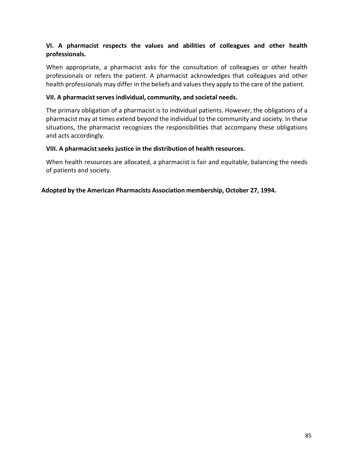## **VI. A pharmacist respects the values and abilities of colleagues and other health professionals.**

When appropriate, a pharmacist asks for the consultation of colleagues or other health professionals or refers the patient. A pharmacist acknowledges that colleagues and other health professionals may differ in the beliefs and values they apply to the care of the patient.

#### **VII. A pharmacist serves individual, community, and societal needs.**

The primary obligation of a pharmacist is to individual patients. However, the obligations of a pharmacist may at times extend beyond the individual to the community and society. In these situations, the pharmacist recognizes the responsibilities that accompany these obligations and acts accordingly.

#### **VIII. A pharmacist seeks justice in the distribution of health resources.**

When health resources are allocated, a pharmacist is fair and equitable, balancing the needs of patients and society.

## **Adopted by the American Pharmacists Association membership, October 27, 1994.**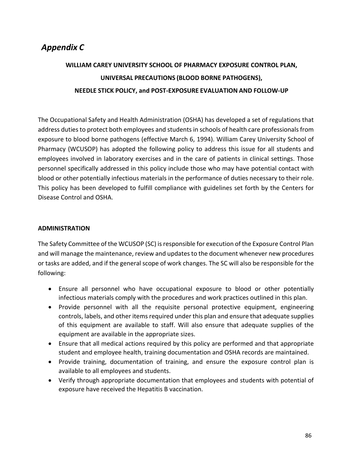# *Appendix C*

# **WILLIAM CAREY UNIVERSITY SCHOOL OF PHARMACY EXPOSURE CONTROL PLAN, UNIVERSAL PRECAUTIONS (BLOOD BORNE PATHOGENS), NEEDLE STICK POLICY, and POST‐EXPOSURE EVALUATION AND FOLLOW‐UP**

The Occupational Safety and Health Administration (OSHA) has developed a set of regulations that address duties to protect both employees and students in schools of health care professionals from exposure to blood borne pathogens (effective March 6, 1994). William Carey University School of Pharmacy (WCUSOP) has adopted the following policy to address this issue for all students and employees involved in laboratory exercises and in the care of patients in clinical settings. Those personnel specifically addressed in this policy include those who may have potential contact with blood or other potentially infectious materials in the performance of duties necessary to their role. This policy has been developed to fulfill compliance with guidelines set forth by the Centers for Disease Control and OSHA.

## **ADMINISTRATION**

The Safety Committee of the WCUSOP (SC) is responsible for execution of the Exposure Control Plan and will manage the maintenance, review and updates to the document whenever new procedures or tasks are added, and if the general scope of work changes. The SC will also be responsible for the following:

- Ensure all personnel who have occupational exposure to blood or other potentially infectious materials comply with the procedures and work practices outlined in this plan.
- Provide personnel with all the requisite personal protective equipment, engineering controls, labels, and other items required under this plan and ensure that adequate supplies of this equipment are available to staff. Will also ensure that adequate supplies of the equipment are available in the appropriate sizes.
- Ensure that all medical actions required by this policy are performed and that appropriate student and employee health, training documentation and OSHA records are maintained.
- Provide training, documentation of training, and ensure the exposure control plan is available to all employees and students.
- Verify through appropriate documentation that employees and students with potential of exposure have received the Hepatitis B vaccination.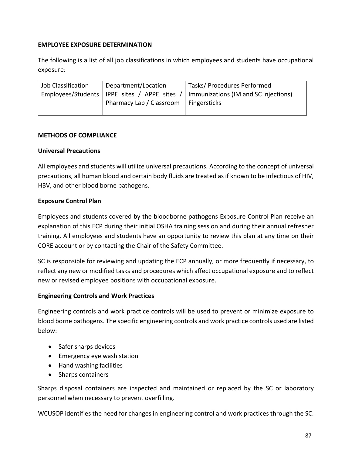## **EMPLOYEE EXPOSURE DETERMINATION**

The following is a list of all job classifications in which employees and students have occupational exposure:

| Job Classification | Department/Location      | Tasks/ Procedures Performed                                                           |
|--------------------|--------------------------|---------------------------------------------------------------------------------------|
|                    |                          | Employees/Students   IPPE sites / APPE sites /   Immunizations (IM and SC injections) |
|                    | Pharmacy Lab / Classroom | Fingersticks                                                                          |

## **METHODS OF COMPLIANCE**

## **Universal Precautions**

All employees and students will utilize universal precautions. According to the concept of universal precautions, all human blood and certain body fluids are treated as if known to be infectious of HIV, HBV, and other blood borne pathogens.

## **Exposure Control Plan**

Employees and students covered by the bloodborne pathogens Exposure Control Plan receive an explanation of this ECP during their initial OSHA training session and during their annual refresher training. All employees and students have an opportunity to review this plan at any time on their CORE account or by contacting the Chair of the Safety Committee.

SC is responsible for reviewing and updating the ECP annually, or more frequently if necessary, to reflect any new or modified tasks and procedures which affect occupational exposure and to reflect new or revised employee positions with occupational exposure.

## **Engineering Controls and Work Practices**

Engineering controls and work practice controls will be used to prevent or minimize exposure to blood borne pathogens. The specific engineering controls and work practice controls used are listed below:

- Safer sharps devices
- Emergency eye wash station
- Hand washing facilities
- Sharps containers

Sharps disposal containers are inspected and maintained or replaced by the SC or laboratory personnel when necessary to prevent overfilling.

WCUSOP identifies the need for changes in engineering control and work practices through the SC.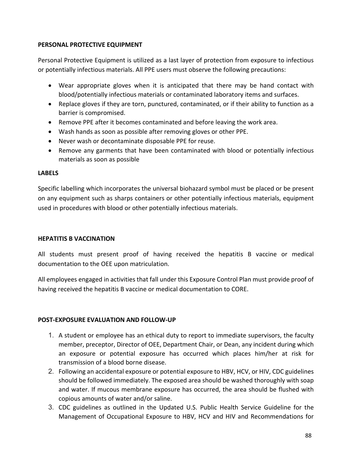## **PERSONAL PROTECTIVE EQUIPMENT**

Personal Protective Equipment is utilized as a last layer of protection from exposure to infectious or potentially infectious materials. All PPE users must observe the following precautions:

- Wear appropriate gloves when it is anticipated that there may be hand contact with blood/potentially infectious materials or contaminated laboratory items and surfaces.
- Replace gloves if they are torn, punctured, contaminated, or if their ability to function as a barrier is compromised.
- Remove PPE after it becomes contaminated and before leaving the work area.
- Wash hands as soon as possible after removing gloves or other PPE.
- Never wash or decontaminate disposable PPE for reuse.
- Remove any garments that have been contaminated with blood or potentially infectious materials as soon as possible

## **LABELS**

Specific labelling which incorporates the universal biohazard symbol must be placed or be present on any equipment such as sharps containers or other potentially infectious materials, equipment used in procedures with blood or other potentially infectious materials.

## **HEPATITIS B VACCINATION**

All students must present proof of having received the hepatitis B vaccine or medical documentation to the OEE upon matriculation.

All employees engaged in activities that fall under this Exposure Control Plan must provide proof of having received the hepatitis B vaccine or medical documentation to CORE.

## **POST‐EXPOSURE EVALUATION AND FOLLOW‐UP**

- 1. A student or employee has an ethical duty to report to immediate supervisors, the faculty member, preceptor, Director of OEE, Department Chair, or Dean, any incident during which an exposure or potential exposure has occurred which places him/her at risk for transmission of a blood borne disease.
- 2. Following an accidental exposure or potential exposure to HBV, HCV, or HIV, CDC guidelines should be followed immediately. The exposed area should be washed thoroughly with soap and water. If mucous membrane exposure has occurred, the area should be flushed with copious amounts of water and/or saline.
- 3. CDC guidelines as outlined in the Updated U.S. Public Health Service Guideline for the Management of Occupational Exposure to HBV, HCV and HIV and Recommendations for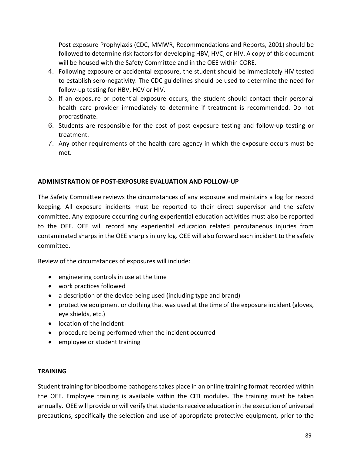Post exposure Prophylaxis (CDC, MMWR, Recommendations and Reports, 2001) should be followed to determine risk factors for developing HBV, HVC, or HIV. A copy of this document will be housed with the Safety Committee and in the OEE within CORE.

- 4. Following exposure or accidental exposure, the student should be immediately HIV tested to establish sero‐negativity. The CDC guidelines should be used to determine the need for follow‐up testing for HBV, HCV or HIV.
- 5. If an exposure or potential exposure occurs, the student should contact their personal health care provider immediately to determine if treatment is recommended. Do not procrastinate.
- 6. Students are responsible for the cost of post exposure testing and follow‐up testing or treatment.
- 7. Any other requirements of the health care agency in which the exposure occurs must be met.

## **ADMINISTRATION OF POST‐EXPOSURE EVALUATION AND FOLLOW‐UP**

The Safety Committee reviews the circumstances of any exposure and maintains a log for record keeping. All exposure incidents must be reported to their direct supervisor and the safety committee. Any exposure occurring during experiential education activities must also be reported to the OEE. OEE will record any experiential education related percutaneous injuries from contaminated sharps in the OEE sharp's injury log. OEE will also forward each incident to the safety committee.

Review of the circumstances of exposures will include:

- engineering controls in use at the time
- work practices followed
- a description of the device being used (including type and brand)
- protective equipment or clothing that was used at the time of the exposure incident (gloves, eye shields, etc.)
- location of the incident
- procedure being performed when the incident occurred
- employee or student training

## **TRAINING**

Student training for bloodborne pathogens takes place in an online training format recorded within the OEE. Employee training is available within the CITI modules. The training must be taken annually. OEE will provide or will verify that students receive education in the execution of universal precautions, specifically the selection and use of appropriate protective equipment, prior to the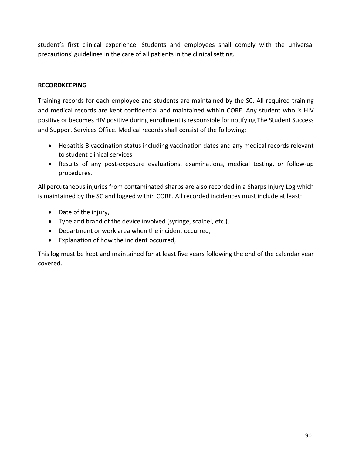student's first clinical experience. Students and employees shall comply with the universal precautions' guidelines in the care of all patients in the clinical setting.

## **RECORDKEEPING**

Training records for each employee and students are maintained by the SC. All required training and medical records are kept confidential and maintained within CORE. Any student who is HIV positive or becomes HIV positive during enrollment is responsible for notifying The Student Success and Support Services Office. Medical records shall consist of the following:

- Hepatitis B vaccination status including vaccination dates and any medical records relevant to student clinical services
- Results of any post-exposure evaluations, examinations, medical testing, or follow-up procedures.

All percutaneous injuries from contaminated sharps are also recorded in a Sharps Injury Log which is maintained by the SC and logged within CORE. All recorded incidences must include at least:

- Date of the injury,
- Type and brand of the device involved (syringe, scalpel, etc.),
- Department or work area when the incident occurred,
- Explanation of how the incident occurred,

This log must be kept and maintained for at least five years following the end of the calendar year covered.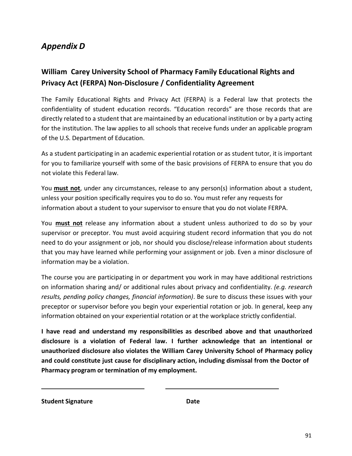## *Appendix D*

## **William Carey University School of Pharmacy Family Educational Rights and Privacy Act (FERPA) Non‐Disclosure / Confidentiality Agreement**

The Family Educational Rights and Privacy Act (FERPA) is a Federal law that protects the confidentiality of student education records. "Education records" are those records that are directly related to a student that are maintained by an educational institution or by a party acting for the institution. The law applies to all schools that receive funds under an applicable program of the U.S. Department of Education.

As a student participating in an academic experiential rotation or as student tutor, it is important for you to familiarize yourself with some of the basic provisions of FERPA to ensure that you do not violate this Federal law.

You **must not**, under any circumstances, release to any person(s) information about a student, unless your position specifically requires you to do so. You must refer any requests for information about a student to your supervisor to ensure that you do not violate FERPA.

You **must not**  release any information about a student unless authorized to do so by your supervisor or preceptor. You must avoid acquiring student record information that you do not need to do your assignment or job, nor should you disclose/release information about students that you may have learned while performing your assignment or job. Even a minor disclosure of information may be a violation.

The course you are participating in or department you work in may have additional restrictions on information sharing and/ or additional rules about privacy and confidentiality. *(e.g. research results, pending policy changes, financial information)*. Be sure to discuss these issues with your preceptor or supervisor before you begin your experiential rotation or job. In general, keep any information obtained on your experiential rotation or at the workplace strictly confidential.

**I have read and understand my responsibilities as described above and that unauthorized disclosure is a violation of Federal law. I further acknowledge that an intentional or unauthorized disclosure also violates the William Carey University School of Pharmacy policy and could constitute just cause for disciplinary action, including dismissal from the Doctor of Pharmacy program or termination of my employment.**

**Student Signature Date**